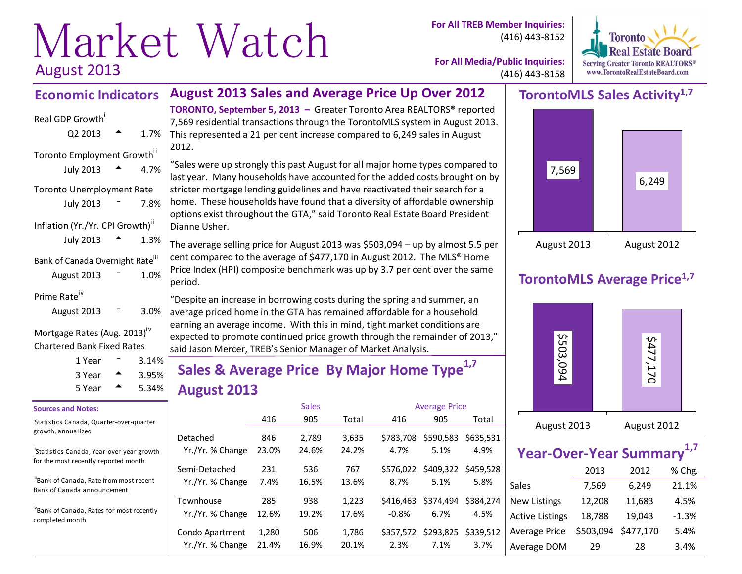# Market Watch<sup>
cor All TREB Member Inquiries:</sup> August 2013

(416) 443-8152



**For All Media/Public Inquiries:** (416) 443-8158

### **TorontoMLS Sales Activity1,7**



### **TorontoMLS Average Price1,7**



| Year-Over-Year Summary <sup>1,7</sup> |           |           |         |  |  |  |  |  |  |  |
|---------------------------------------|-----------|-----------|---------|--|--|--|--|--|--|--|
|                                       | 2013      | 2012      | % Chg.  |  |  |  |  |  |  |  |
| Sales                                 | 7,569     | 6,249     | 21.1%   |  |  |  |  |  |  |  |
| <b>New Listings</b>                   | 12,208    | 11,683    | 4.5%    |  |  |  |  |  |  |  |
| <b>Active Listings</b>                | 18,788    | 19,043    | $-1.3%$ |  |  |  |  |  |  |  |
| Average Price                         | \$503,094 | \$477,170 | 5.4%    |  |  |  |  |  |  |  |
| Average DOM                           | 29        | 28        | 3.4%    |  |  |  |  |  |  |  |

#### **August 2013 Sales and Average Price Up Over 2012 Economic Indicators**

## Real GDP Growth  $Q2 2013$   $\rightarrow$  1.7% Toronto Employment Growth<sup>ii</sup> July 2013  $\triangle$  4.7% Toronto Unemployment Rate July  $2013 - 7.8%$ Inflation (Yr./Yr. CPI Growth)<sup>"</sup> July 2013  $\triangle$  1.3% Bank of Canada Overnight Rate<sup>iii</sup> August  $2013 - 1.0%$ Prime Rate<sup>iv</sup> August 2013 <sup>-</sup> 3.0%

#### Mortgage Rates (Aug. 2013)<sup>iv</sup> Chartered Bank Fixed Rates

| 1 Year |   | $3.14\%$ |
|--------|---|----------|
| 3 Year |   | 3.95%    |
| 5 Year | ▴ | $5.34\%$ |

#### **Sources and Notes:**

i Statistics Canada, Quarter-over-quarter growth, annualized

"Statistics Canada, Year-over-year growth for the most recently reported month

ii<sub>Bank</sub> of Canada, Rate from most recent Bank of Canada announcement

ivBank of Canada, Rates for most recently completed month

**TORONTO, September 5, 2013 –** Greater Toronto Area REALTORS® reported 7,569 residential transactions through the TorontoMLS system in August 2013. This represented a 21 per cent increase compared to 6,249 sales in August 2012.

"Sales were up strongly this past August for all major home types compared to last year. Many households have accounted for the added costs brought on by stricter mortgage lending guidelines and have reactivated their search for a home. These households have found that a diversity of affordable ownership options exist throughout the GTA," said Toronto Real Estate Board President Dianne Usher.

The average selling price for August 2013 was \$503,094 – up by almost 5.5 per cent compared to the average of \$477,170 in August 2012. The MLS® Home Price Index (HPI) composite benchmark was up by 3.7 per cent over the same period.

"Despite an increase in borrowing costs during the spring and summer, an average priced home in the GTA has remained affordable for a household earning an average income. With this in mind, tight market conditions are expected to promote continued price growth through the remainder of 2013," said Jason Mercer, TREB's Senior Manager of Market Analysis.

## **Sales & Average Price By Major Home Type1,7 August 2013**

|                                     |                | <b>Sales</b>   |                |                      | <b>Average Price</b>                  |                   |
|-------------------------------------|----------------|----------------|----------------|----------------------|---------------------------------------|-------------------|
|                                     | 416            | 905            | Total          | 416                  | 905                                   | Total             |
| Detached<br>Yr./Yr. % Change        | 846<br>23.0%   | 2.789<br>24.6% | 3,635<br>24.2% | 4.7%                 | \$783,708 \$590,583<br>5.1%           | \$635,531<br>4.9% |
| Semi-Detached<br>Yr./Yr. % Change   | 231<br>7.4%    | 536<br>16.5%   | 767<br>13.6%   | 8.7%                 | \$576,022 \$409,322 \$459,528<br>5.1% | 5.8%              |
| Townhouse<br>Yr./Yr. % Change       | 285<br>12.6%   | 938<br>19.2%   | 1,223<br>17.6% | \$416.463<br>$-0.8%$ | \$374,494<br>6.7%                     | \$384.274<br>4.5% |
| Condo Apartment<br>Yr./Yr. % Change | 1,280<br>21.4% | 506<br>16.9%   | 1,786<br>20.1% | \$357,572<br>2.3%    | \$293,825<br>7.1%                     | \$339.512<br>3.7% |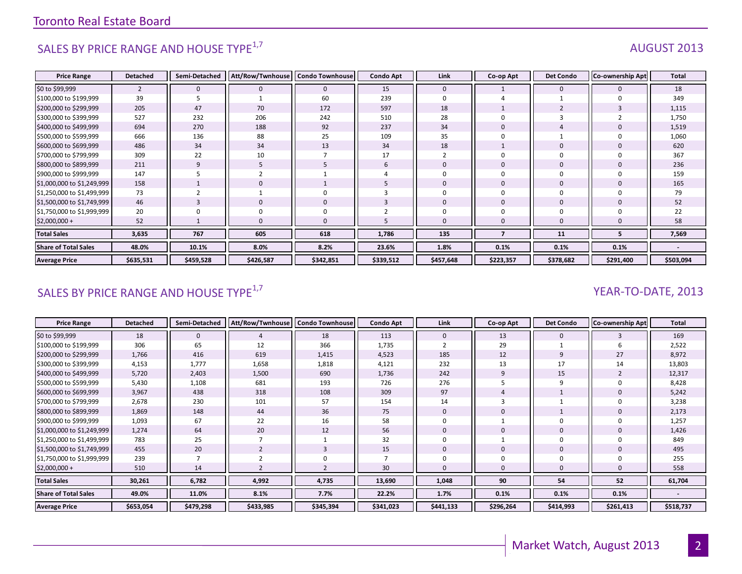## SALES BY PRICE RANGE AND HOUSE TYPE $^{1,7}$  AUGUST 2013

| <b>Price Range</b>          | <b>Detached</b> | Semi-Detached | Att/Row/Twnhouse | <b>Condo Townhouse</b> | <b>Condo Apt</b> | Link         | Co-op Apt   | <b>Det Condo</b> | Co-ownership Apt | Total     |
|-----------------------------|-----------------|---------------|------------------|------------------------|------------------|--------------|-------------|------------------|------------------|-----------|
| \$0 to \$99,999             | $\overline{2}$  | $\mathbf{0}$  | $\mathbf{0}$     | $\mathbf 0$            | 15               | $\mathbf{0}$ |             | $\mathbf{0}$     |                  | 18        |
| \$100,000 to \$199,999      | 39              |               |                  | 60                     | 239              | $\Omega$     |             |                  |                  | 349       |
| \$200,000 to \$299,999      | 205             | 47            | 70               | 172                    | 597              | 18           |             |                  |                  | 1,115     |
| \$300,000 to \$399,999      | 527             | 232           | 206              | 242                    | 510              | 28           |             |                  |                  | 1,750     |
| \$400,000 to \$499,999      | 694             | 270           | 188              | 92                     | 237              | 34           | 0           |                  |                  | 1,519     |
| \$500,000 to \$599,999      | 666             | 136           | 88               | 25                     | 109              | 35           |             |                  |                  | 1,060     |
| \$600,000 to \$699,999      | 486             | 34            | 34               | 13                     | 34               | 18           |             | $\Omega$         |                  | 620       |
| \$700,000 to \$799,999      | 309             | 22            | 10               |                        | 17               |              | 0           | $\Omega$         |                  | 367       |
| \$800,000 to \$899,999      | 211             | 9             | b.               |                        | 6                | $\mathbf{0}$ | $\mathbf 0$ | $\mathbf{0}$     |                  | 236       |
| \$900,000 to \$999,999      | 147             |               |                  |                        |                  |              | $\Omega$    |                  |                  | 159       |
| \$1,000,000 to \$1,249,999  | 158             |               | $\Omega$         |                        |                  | $\Omega$     | $\Omega$    | $\Omega$         |                  | 165       |
| \$1,250,000 to \$1,499,999  | 73              |               |                  |                        |                  |              | $\Omega$    | $\Omega$         |                  | 79        |
| \$1,500,000 to \$1,749,999  | 46              |               | $\mathbf 0$      | $\mathbf 0$            |                  | $\Omega$     | $\mathbf 0$ | $\mathbf{0}$     |                  | 52        |
| \$1,750,000 to \$1,999,999  | 20              |               |                  | $\Omega$               |                  |              | $\Omega$    |                  |                  | 22        |
| $$2,000,000 +$              | 52              |               | 0                | $\Omega$               |                  |              | $\mathbf 0$ |                  |                  | 58        |
| <b>Total Sales</b>          | 3,635           | 767           | 605              | 618                    | 1,786            | 135          |             | 11               |                  | 7,569     |
| <b>Share of Total Sales</b> | 48.0%           | 10.1%         | 8.0%             | 8.2%                   | 23.6%            | 1.8%         | 0.1%        | 0.1%             | 0.1%             |           |
| <b>Average Price</b>        | \$635,531       | \$459,528     | \$426,587        | \$342,851              | \$339,512        | \$457,648    | \$223,357   | \$378,682        | \$291,400        | \$503,094 |

## SALES BY PRICE RANGE AND HOUSE TYPE<sup>1,7</sup>  $\sqrt{2}$  and  $\sqrt{2}$  and  $\sqrt{2}$  and  $\sqrt{2}$  and  $\sqrt{2}$  and  $\sqrt{2}$  and  $\sqrt{2}$  and  $\sqrt{2}$  and  $\sqrt{2}$  and  $\sqrt{2}$  and  $\sqrt{2}$  and  $\sqrt{2}$  and  $\sqrt{2}$  and  $\sqrt{2}$  and  $\sqrt{2}$  and

| <b>Price Range</b>          | <b>Detached</b> | Semi-Detached | Att/Row/Twnhouse | <b>Condo Townhouse</b> | <b>Condo Apt</b> | Link         | Co-op Apt | <b>Det Condo</b> | <b>Co-ownership Apt</b> | Total     |
|-----------------------------|-----------------|---------------|------------------|------------------------|------------------|--------------|-----------|------------------|-------------------------|-----------|
| \$0 to \$99,999             | 18              | 0             |                  | 18                     | 113              | 0            | 13        | 0                |                         | 169       |
| \$100,000 to \$199,999      | 306             | 65            | 12               | 366                    | 1,735            |              | 29        |                  |                         | 2,522     |
| \$200,000 to \$299,999      | 1,766           | 416           | 619              | 1,415                  | 4,523            | 185          | 12        | 9                | 27                      | 8,972     |
| \$300,000 to \$399,999      | 4,153           | 1,777         | 1,658            | 1,818                  | 4,121            | 232          | 13        | 17               | 14                      | 13,803    |
| \$400,000 to \$499,999      | 5,720           | 2,403         | 1,500            | 690                    | 1,736            | 242          | 9         | 15               |                         | 12,317    |
| \$500,000 to \$599,999      | 5,430           | 1,108         | 681              | 193                    | 726              | 276          |           | 9                |                         | 8,428     |
| \$600,000 to \$699,999      | 3,967           | 438           | 318              | 108                    | 309              | 97           |           |                  |                         | 5,242     |
| \$700,000 to \$799,999      | 2,678           | 230           | 101              | 57                     | 154              | 14           |           |                  |                         | 3,238     |
| \$800,000 to \$899,999      | 1,869           | 148           | 44               | 36                     | 75               | $\mathbf{0}$ | O         |                  |                         | 2,173     |
| \$900,000 to \$999,999      | 1,093           | 67            | 22               | 16                     | 58               |              |           | $\Omega$         |                         | 1,257     |
| \$1,000,000 to \$1,249,999  | 1,274           | 64            | 20               | 12                     | 56               | 0            | 0         | 0                |                         | 1,426     |
| \$1,250,000 to \$1,499,999  | 783             | 25            |                  |                        | 32               |              |           | 0                |                         | 849       |
| \$1,500,000 to \$1,749,999  | 455             | 20            |                  | 3                      | 15               | 0            | 0         | $\mathbf{0}$     |                         | 495       |
| \$1,750,000 to \$1,999,999  | 239             |               |                  | $\Omega$               |                  |              |           | $\Omega$         |                         | 255       |
| $$2,000,000 +$              | 510             | 14            |                  |                        | 30               |              |           | $\Omega$         |                         | 558       |
| <b>Total Sales</b>          | 30,261          | 6,782         | 4,992            | 4,735                  | 13,690           | 1,048        | 90        | 54               | 52                      | 61,704    |
| <b>Share of Total Sales</b> | 49.0%           | 11.0%         | 8.1%             | 7.7%                   | 22.2%            | 1.7%         | 0.1%      | 0.1%             | 0.1%                    |           |
| <b>Average Price</b>        | \$653,054       | \$479,298     | \$433,985        | \$345,394              | \$341,023        | \$441,133    | \$296,264 | \$414,993        | \$261,413               | \$518,737 |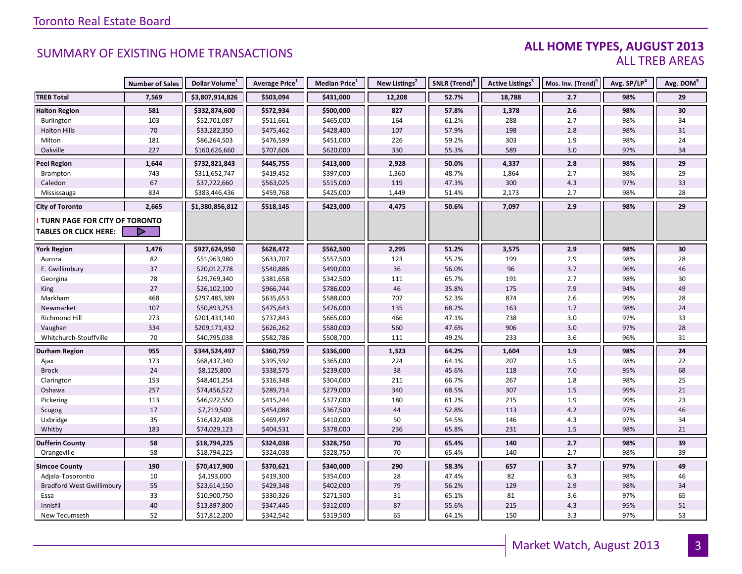#### **ALL HOME TYPES, AUGUST 2013** ALL TREB AREAS

|                                      | <b>Number of Sales</b> | Dollar Volume <sup>1</sup> | Average Price <sup>1</sup> | Median Price <sup>1</sup> | New Listings <sup>2</sup> | SNLR (Trend) <sup>8</sup> | Active Listings <sup>3</sup> | Mos. Inv. (Trend) <sup>9</sup> | Avg. SP/LP <sup>4</sup> | Avg. DOM <sup>5</sup> |
|--------------------------------------|------------------------|----------------------------|----------------------------|---------------------------|---------------------------|---------------------------|------------------------------|--------------------------------|-------------------------|-----------------------|
| <b>TREB Total</b>                    | 7,569                  | \$3,807,914,826            | \$503,094                  | \$431,000                 | 12,208                    | 52.7%                     | 18,788                       | 2.7                            | 98%                     | 29                    |
| <b>Halton Region</b>                 | 581                    | \$332,874,600              | \$572,934                  | \$500,000                 | 827                       | 57.8%                     | 1,378                        | 2.6                            | 98%                     | 30                    |
| Burlington                           | 103                    | \$52,701,087               | \$511,661                  | \$465,000                 | 164                       | 61.2%                     | 288                          | 2.7                            | 98%                     | 34                    |
| <b>Halton Hills</b>                  | $70\,$                 | \$33,282,350               | \$475,462                  | \$428,400                 | 107                       | 57.9%                     | 198                          | 2.8                            | 98%                     | 31                    |
| Milton                               | 181                    | \$86,264,503               | \$476,599                  | \$451,000                 | 226                       | 59.2%                     | 303                          | 1.9                            | 98%                     | 24                    |
| Oakville                             | 227                    | \$160,626,660              | \$707,606                  | \$620,000                 | 330                       | 55.3%                     | 589                          | $3.0\,$                        | 97%                     | 34                    |
| <b>Peel Region</b>                   | 1,644                  | \$732,821,843              | \$445,755                  | \$413,000                 | 2,928                     | 50.0%                     | 4,337                        | 2.8                            | 98%                     | 29                    |
| Brampton                             | 743                    | \$311,652,747              | \$419,452                  | \$397,000                 | 1,360                     | 48.7%                     | 1,864                        | 2.7                            | 98%                     | 29                    |
| Caledon                              | 67                     | \$37,722,660               | \$563,025                  | \$515,000                 | 119                       | 47.3%                     | 300                          | 4.3                            | 97%                     | 33                    |
| Mississauga                          | 834                    | \$383,446,436              | \$459,768                  | \$425,000                 | 1,449                     | 51.4%                     | 2,173                        | 2.7                            | 98%                     | 28                    |
| <b>City of Toronto</b>               | 2,665                  | \$1,380,856,812            | \$518,145                  | \$423,000                 | 4,475                     | 50.6%                     | 7,097                        | 2.9                            | 98%                     | 29                    |
| <b>TURN PAGE FOR CITY OF TORONTO</b> |                        |                            |                            |                           |                           |                           |                              |                                |                         |                       |
| <b>TABLES OR CLICK HERE:</b>         |                        |                            |                            |                           |                           |                           |                              |                                |                         |                       |
|                                      |                        |                            |                            |                           |                           |                           |                              |                                |                         |                       |
| <b>York Region</b>                   | 1,476                  | \$927,624,950              | \$628,472                  | \$562,500                 | 2,295                     | 51.2%                     | 3,575                        | 2.9                            | 98%                     | 30                    |
| Aurora                               | 82                     | \$51,963,980               | \$633,707                  | \$557,500                 | 123                       | 55.2%                     | 199                          | 2.9                            | 98%                     | 28                    |
| E. Gwillimbury                       | 37                     | \$20,012,778               | \$540,886                  | \$490,000                 | 36                        | 56.0%                     | 96                           | 3.7                            | 96%                     | 46                    |
| Georgina                             | 78                     | \$29,769,340               | \$381,658                  | \$342,500                 | 111                       | 65.7%                     | 191                          | 2.7                            | 98%                     | 30                    |
| King                                 | $27$                   | \$26,102,100               | \$966,744                  | \$786,000                 | 46                        | 35.8%                     | 175                          | 7.9                            | 94%                     | 49                    |
| Markham                              | 468                    | \$297,485,389              | \$635,653                  | \$588,000                 | 707                       | 52.3%                     | 874                          | 2.6                            | 99%                     | 28                    |
| Newmarket                            | 107                    | \$50,893,753               | \$475,643                  | \$476,000                 | 135                       | 68.2%                     | 163                          | 1.7                            | 98%                     | 24                    |
| Richmond Hill                        | 273                    | \$201,431,140              | \$737,843                  | \$665,000                 | 466                       | 47.1%                     | 738                          | 3.0                            | 97%                     | 33                    |
| Vaughan                              | 334                    | \$209,171,432              | \$626,262                  | \$580,000                 | 560                       | 47.6%                     | 906                          | $3.0\,$                        | 97%                     | 28                    |
| Whitchurch-Stouffville               | 70                     | \$40,795,038               | \$582,786                  | \$508,700                 | 111                       | 49.2%                     | 233                          | 3.6                            | 96%                     | 31                    |
| <b>Durham Region</b>                 | 955                    | \$344,524,497              | \$360,759                  | \$336,000                 | 1,323                     | 64.2%                     | 1,604                        | 1.9                            | 98%                     | 24                    |
| Ajax                                 | 173                    | \$68,437,340               | \$395,592                  | \$365,000                 | 224                       | 64.1%                     | 207                          | 1.5                            | 98%                     | 22                    |
| <b>Brock</b>                         | 24                     | \$8,125,800                | \$338,575                  | \$239,000                 | 38                        | 45.6%                     | 118                          | $7.0\,$                        | 95%                     | 68                    |
| Clarington                           | 153                    | \$48,401,254               | \$316,348                  | \$304,000                 | 211                       | 66.7%                     | 267                          | 1.8                            | 98%                     | 25                    |
| Oshawa                               | 257                    | \$74,456,522               | \$289,714                  | \$279,000                 | 340                       | 68.5%                     | 307                          | $1.5\,$                        | 99%                     | 21                    |
| Pickering                            | 113                    | \$46,922,550               | \$415,244                  | \$377,000                 | 180                       | 61.2%                     | 215                          | $1.9\,$                        | 99%                     | 23                    |
| Scugog                               | $17\,$                 | \$7,719,500                | \$454,088                  | \$367,500                 | 44                        | 52.8%                     | 113                          | $4.2\,$                        | 97%                     | 46                    |
| Uxbridge                             | 35                     | \$16,432,408               | \$469,497                  | \$410,000                 | 50                        | 54.5%                     | 146                          | 4.3                            | 97%                     | 34                    |
| Whitby                               | 183                    | \$74,029,123               | \$404,531                  | \$378,000                 | 236                       | 65.8%                     | 231                          | 1.5                            | 98%                     | 21                    |
| <b>Dufferin County</b>               | 58                     | \$18,794,225               | \$324,038                  | \$328,750                 | 70                        | 65.4%                     | 140                          | 2.7                            | 98%                     | 39                    |
| Orangeville                          | 58                     | \$18,794,225               | \$324,038                  | \$328,750                 | 70                        | 65.4%                     | 140                          | 2.7                            | 98%                     | 39                    |
| <b>Simcoe County</b>                 | 190                    | \$70,417,900               | \$370,621                  | \$340,000                 | 290                       | 58.3%                     | 657                          | 3.7                            | 97%                     | 49                    |
| Adjala-Tosorontio                    | 10                     | \$4,193,000                | \$419,300                  | \$354,000                 | 28                        | 47.4%                     | 82                           | $6.3\,$                        | 98%                     | 46                    |
| <b>Bradford West Gwillimbury</b>     | 55                     | \$23,614,150               | \$429,348                  | \$402,000                 | 79                        | 56.2%                     | 129                          | 2.9                            | 98%                     | 34                    |
| Essa                                 | 33                     | \$10,900,750               | \$330,326                  | \$271,500                 | 31                        | 65.1%                     | 81                           | 3.6                            | 97%                     | 65                    |
| Innisfil                             | $40\,$                 | \$13,897,800               | \$347,445                  | \$312,000                 | 87                        | 55.6%                     | 215                          | $4.3\,$                        | 95%                     | 51                    |
| New Tecumseth                        | 52                     | \$17,812,200               | \$342,542                  | \$319,500                 | 65                        | 64.1%                     | 150                          | 3.3                            | 97%                     | 53                    |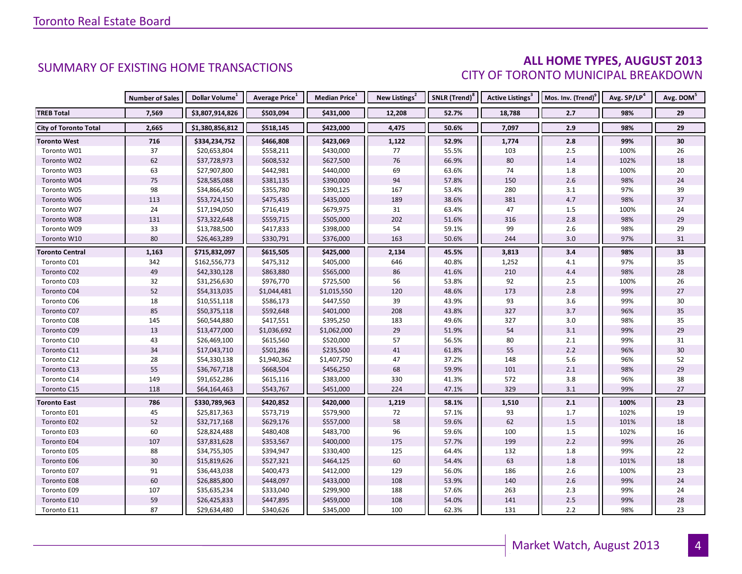#### **ALL HOME TYPES, AUGUST 2013** CITY OF TORONTO MUNICIPAL BREAKDOWN

|                              | <b>Number of Sales</b> | Dollar Volume <sup>1</sup> | <b>Average Price</b> <sup>1</sup> | Median Price <sup>1</sup> | New Listings <sup>2</sup> | SNLR (Trend) <sup>8</sup> | Active Listings <sup>3</sup> | Mos. Inv. (Trend) <sup>9</sup> | Avg. SP/LP <sup>4</sup> | Avg. DOM <sup>5</sup> |
|------------------------------|------------------------|----------------------------|-----------------------------------|---------------------------|---------------------------|---------------------------|------------------------------|--------------------------------|-------------------------|-----------------------|
| <b>TREB Total</b>            | 7,569                  | \$3,807,914,826            | \$503,094                         | \$431,000                 | 12,208                    | 52.7%                     | 18,788                       | 2.7                            | 98%                     | 29                    |
| <b>City of Toronto Total</b> | 2,665                  | \$1,380,856,812            | \$518,145                         | \$423,000                 | 4,475                     | 50.6%                     | 7,097                        | 2.9                            | 98%                     | 29                    |
| <b>Toronto West</b>          | 716                    | \$334,234,752              | \$466,808                         | \$423,069                 | 1,122                     | 52.9%                     | 1,774                        | 2.8                            | 99%                     | 30                    |
| Toronto W01                  | 37                     | \$20,653,804               | \$558,211                         | \$430,000                 | 77                        | 55.5%                     | 103                          | 2.5                            | 100%                    | 26                    |
| Toronto W02                  | 62                     | \$37,728,973               | \$608,532                         | \$627,500                 | 76                        | 66.9%                     | 80                           | 1.4                            | 102%                    | 18                    |
| Toronto W03                  | 63                     | \$27,907,800               | \$442,981                         | \$440,000                 | 69                        | 63.6%                     | 74                           | $1.8\,$                        | 100%                    | 20                    |
| Toronto W04                  | 75                     | \$28,585,088               | \$381,135                         | \$390,000                 | 94                        | 57.8%                     | 150                          | $2.6$                          | 98%                     | 24                    |
| Toronto W05                  | 98                     | \$34,866,450               | \$355,780                         | \$390,125                 | 167                       | 53.4%                     | 280                          | 3.1                            | 97%                     | 39                    |
| Toronto W06                  | 113                    | \$53,724,150               | \$475,435                         | \$435,000                 | 189                       | 38.6%                     | 381                          | 4.7                            | 98%                     | 37                    |
| Toronto W07                  | 24                     | \$17,194,050               | \$716,419                         | \$679,975                 | 31                        | 63.4%                     | 47                           | $1.5\,$                        | 100%                    | 24                    |
| Toronto W08                  | 131                    | \$73,322,648               | \$559,715                         | \$505,000                 | 202                       | 51.6%                     | 316                          | $2.8\,$                        | 98%                     | 29                    |
| Toronto W09                  | 33                     | \$13,788,500               | \$417,833                         | \$398,000                 | 54                        | 59.1%                     | 99                           | 2.6                            | 98%                     | 29                    |
| Toronto W10                  | 80                     | \$26,463,289               | \$330,791                         | \$376,000                 | 163                       | 50.6%                     | 244                          | 3.0                            | 97%                     | 31                    |
| <b>Toronto Central</b>       | 1,163                  | \$715,832,097              | \$615,505                         | \$425,000                 | 2,134                     | 45.5%                     | 3,813                        | 3.4                            | 98%                     | 33                    |
| Toronto C01                  | 342                    | \$162,556,773              | \$475,312                         | \$405,000                 | 646                       | 40.8%                     | 1,252                        | 4.1                            | 97%                     | 35                    |
| Toronto C02                  | 49                     | \$42,330,128               | \$863,880                         | \$565,000                 | 86                        | 41.6%                     | 210                          | 4.4                            | 98%                     | 28                    |
| Toronto C03                  | 32                     | \$31,256,630               | \$976,770                         | \$725,500                 | 56                        | 53.8%                     | 92                           | $2.5\,$                        | 100%                    | 26                    |
| Toronto C04                  | 52                     | \$54,313,035               | \$1,044,481                       | \$1,015,550               | 120                       | 48.6%                     | 173                          | $2.8$                          | 99%                     | 27                    |
| Toronto C06                  | 18                     | \$10,551,118               | \$586,173                         | \$447,550                 | 39                        | 43.9%                     | 93                           | $3.6\,$                        | 99%                     | 30                    |
| Toronto C07                  | 85                     | \$50,375,118               | \$592,648                         | \$401,000                 | 208                       | 43.8%                     | 327                          | 3.7                            | 96%                     | 35                    |
| Toronto C08                  | 145                    | \$60,544,880               | \$417,551                         | \$395,250                 | 183                       | 49.6%                     | 327                          | 3.0                            | 98%                     | 35                    |
| Toronto C09                  | 13                     | \$13,477,000               | \$1,036,692                       | \$1,062,000               | 29                        | 51.9%                     | 54                           | $3.1\,$                        | 99%                     | 29                    |
| Toronto C10                  | 43                     | \$26,469,100               | \$615,560                         | \$520,000                 | 57                        | 56.5%                     | 80                           | $2.1\,$                        | 99%                     | 31                    |
| Toronto C11                  | 34                     | \$17,043,710               | \$501,286                         | \$235,500                 | 41                        | 61.8%                     | 55                           | $2.2\,$                        | 96%                     | 30                    |
| Toronto C12                  | 28                     | \$54,330,138               | \$1,940,362                       | \$1,407,750               | 47                        | 37.2%                     | 148                          | $5.6\,$                        | 96%                     | 52                    |
| Toronto C13                  | 55                     | \$36,767,718               | \$668,504                         | \$456,250                 | 68                        | 59.9%                     | 101                          | $2.1\,$                        | 98%                     | 29                    |
| Toronto C14                  | 149                    | \$91,652,286               | \$615,116                         | \$383,000                 | 330                       | 41.3%                     | 572                          | 3.8                            | 96%                     | 38                    |
| Toronto C15                  | 118                    | \$64,164,463               | \$543,767                         | \$451,000                 | 224                       | 47.1%                     | 329                          | 3.1                            | 99%                     | 27                    |
| <b>Toronto East</b>          | 786                    | \$330,789,963              | \$420,852                         | \$420,000                 | 1,219                     | 58.1%                     | 1,510                        | $2.1$                          | 100%                    | 23                    |
| Toronto E01                  | 45                     | \$25,817,363               | \$573,719                         | \$579,900                 | 72                        | 57.1%                     | 93                           | 1.7                            | 102%                    | 19                    |
| Toronto E02                  | 52                     | \$32,717,168               | \$629,176                         | \$557,000                 | 58                        | 59.6%                     | 62                           | $1.5\,$                        | 101%                    | 18                    |
| Toronto E03                  | 60                     | \$28,824,488               | \$480,408                         | \$483,700                 | 96                        | 59.6%                     | 100                          | $1.5\,$                        | 102%                    | 16                    |
| Toronto E04                  | 107                    | \$37,831,628               | \$353,567                         | \$400,000                 | 175                       | 57.7%                     | 199                          | 2.2                            | 99%                     | 26                    |
| Toronto E05                  | 88                     | \$34,755,305               | \$394,947                         | \$330,400                 | 125                       | 64.4%                     | 132                          | 1.8                            | 99%                     | 22                    |
| Toronto E06                  | 30                     | \$15,819,626               | \$527,321                         | \$464,125                 | 60                        | 54.4%                     | 63                           | 1.8                            | 101%                    | 18                    |
| Toronto E07                  | $\mathsf{91}$          | \$36,443,038               | \$400,473                         | \$412,000                 | 129                       | 56.0%                     | 186                          | $2.6\,$                        | 100%                    | 23                    |
| Toronto E08                  | 60                     | \$26,885,800               | \$448,097                         | \$433,000                 | 108                       | 53.9%                     | 140                          | $2.6\,$                        | 99%                     | 24                    |
| Toronto E09                  | 107                    | \$35,635,234               | \$333,040                         | \$299,900                 | 188                       | 57.6%                     | 263                          | 2.3                            | 99%                     | 24                    |
| Toronto E10                  | 59                     | \$26,425,833               | \$447,895                         | \$459,000                 | 108                       | 54.0%                     | 141                          | $2.5\,$                        | 99%                     | 28                    |
| Toronto E11                  | 87                     | \$29,634,480               | \$340,626                         | \$345,000                 | 100                       | 62.3%                     | 131                          | 2.2                            | 98%                     | 23                    |

4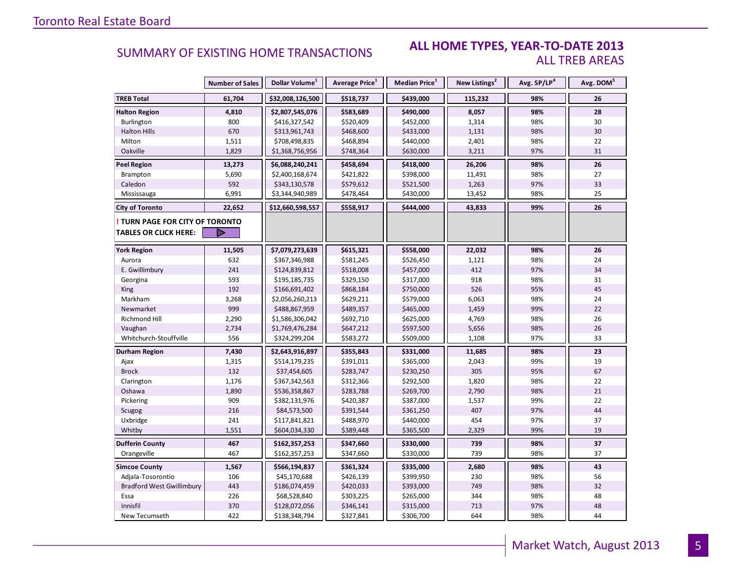### **ALL HOME TYPES, YEAR-TO-DATE 2013** ALL TREB AREAS

|                                                               | <b>Number of Sales</b> | Dollar Volume <sup>1</sup> | Average Price <sup>1</sup> | Median Price <sup>1</sup> | New Listings <sup>2</sup> | Avg. SP/LP <sup>4</sup> | Avg. DOM <sup>5</sup> |
|---------------------------------------------------------------|------------------------|----------------------------|----------------------------|---------------------------|---------------------------|-------------------------|-----------------------|
| <b>TREB Total</b>                                             | 61,704                 | \$32,008,126,500           | \$518,737                  | \$439,000                 | 115,232                   | 98%                     | 26                    |
| <b>Halton Region</b>                                          | 4,810                  | \$2,807,545,076            | \$583,689                  | \$490,000                 | 8,057                     | 98%                     | 28                    |
| Burlington                                                    | 800                    | \$416,327,542              | \$520,409                  | \$452,000                 | 1,314                     | 98%                     | 30                    |
| <b>Halton Hills</b>                                           | 670                    | \$313,961,743              | \$468,600                  | \$433,000                 | 1,131                     | 98%                     | 30                    |
| Milton                                                        | 1,511                  | \$708,498,835              | \$468,894                  | \$440,000                 | 2,401                     | 98%                     | 22                    |
| Oakville                                                      | 1,829                  | \$1,368,756,956            | \$748,364                  | \$630,000                 | 3,211                     | 97%                     | 31                    |
| <b>Peel Region</b>                                            | 13,273                 | \$6,088,240,241            | \$458,694                  | \$418,000                 | 26,206                    | 98%                     | 26                    |
| Brampton                                                      | 5,690                  | \$2,400,168,674            | \$421,822                  | \$398,000                 | 11,491                    | 98%                     | 27                    |
| Caledon                                                       | 592                    | \$343,130,578              | \$579,612                  | \$521,500                 | 1,263                     | 97%                     | 33                    |
| Mississauga                                                   | 6,991                  | \$3,344,940,989            | \$478,464                  | \$430,000                 | 13,452                    | 98%                     | 25                    |
| <b>City of Toronto</b>                                        | 22,652                 | \$12,660,598,557           | \$558,917                  | \$444,000                 | 43,833                    | 99%                     | 26                    |
| TURN PAGE FOR CITY OF TORONTO<br><b>TABLES OR CLICK HERE:</b> |                        |                            |                            |                           |                           |                         |                       |
| <b>York Region</b>                                            | 11,505                 | \$7,079,273,639            | \$615,321                  | \$558,000                 | 22,032                    | 98%                     | 26                    |
| Aurora                                                        | 632                    | \$367,346,988              | \$581,245                  | \$526,450                 | 1,121                     | 98%                     | 24                    |
| E. Gwillimbury                                                | 241                    | \$124,839,812              | \$518,008                  | \$457,000                 | 412                       | 97%                     | 34                    |
| Georgina                                                      | 593                    | \$195,185,735              | \$329,150                  | \$317,000                 | 918                       | 98%                     | 31                    |
| King                                                          | 192                    | \$166,691,402              | \$868,184                  | \$750,000                 | 526                       | 95%                     | 45                    |
| Markham                                                       | 3,268                  | \$2,056,260,213            | \$629,211                  | \$579,000                 | 6,063                     | 98%                     | 24                    |
| Newmarket                                                     | 999                    | \$488,867,959              | \$489,357                  | \$465,000                 | 1,459                     | 99%                     | 22                    |
| <b>Richmond Hill</b>                                          | 2,290                  | \$1,586,306,042            | \$692,710                  | \$625,000                 | 4,769                     | 98%                     | 26                    |
| Vaughan                                                       | 2,734                  | \$1,769,476,284            | \$647,212                  | \$597,500                 | 5,656                     | 98%                     | 26                    |
| Whitchurch-Stouffville                                        | 556                    | \$324,299,204              | \$583,272                  | \$509,000                 | 1,108                     | 97%                     | 33                    |
| Durham Region                                                 | 7,430                  | \$2,643,916,897            | \$355,843                  | \$331,000                 | 11,685                    | 98%                     | 23                    |
| Ajax                                                          | 1,315                  | \$514,179,235              | \$391,011                  | \$365,000                 | 2,043                     | 99%                     | 19                    |
| <b>Brock</b>                                                  | 132                    | \$37,454,605               | \$283,747                  | \$230,250                 | 305                       | 95%                     | 67                    |
| Clarington                                                    | 1,176                  | \$367,342,563              | \$312,366                  | \$292,500                 | 1,820                     | 98%                     | 22                    |
| Oshawa                                                        | 1,890                  | \$536,358,867              | \$283,788                  | \$269,700                 | 2,790                     | 98%                     | 21                    |
| Pickering                                                     | 909                    | \$382,131,976              | \$420,387                  | \$387,000                 | 1,537                     | 99%                     | 22                    |
| Scugog                                                        | 216                    | \$84,573,500               | \$391,544                  | \$361,250                 | 407                       | 97%                     | 44                    |
| Uxbridge                                                      | 241                    | \$117,841,821              | \$488,970                  | \$440,000                 | 454                       | 97%                     | 37                    |
| Whitby                                                        | 1,551                  | \$604,034,330              | \$389,448                  | \$365,500                 | 2,329                     | 99%                     | 19                    |
| <b>Dufferin County</b>                                        | 467                    | \$162,357,253              | \$347,660                  | \$330,000                 | 739                       | 98%                     | $\overline{37}$       |
| Orangeville                                                   | 467                    | \$162,357,253              | \$347,660                  | \$330,000                 | 739                       | 98%                     | 37                    |
| <b>Simcoe County</b>                                          | 1,567                  | \$566,194,837              | \$361,324                  | \$335,000                 | 2,680                     | 98%                     | 43                    |
| Adjala-Tosorontio                                             | 106                    | \$45,170,688               | \$426,139                  | \$399,950                 | 230                       | 98%                     | 56                    |
| <b>Bradford West Gwillimbury</b>                              | 443                    | \$186,074,459              | \$420,033                  | \$393,000                 | 749                       | 98%                     | 32                    |
| Essa                                                          | 226                    | \$68,528,840               | \$303,225                  | \$265,000                 | 344                       | 98%                     | 48                    |
| Innisfil                                                      | 370                    | \$128,072,056              | \$346,141                  | \$315,000                 | 713                       | 97%                     | 48                    |
| New Tecumseth                                                 | 422                    | \$138,348,794              | \$327,841                  | \$306,700                 | 644                       | 98%                     | 44                    |

5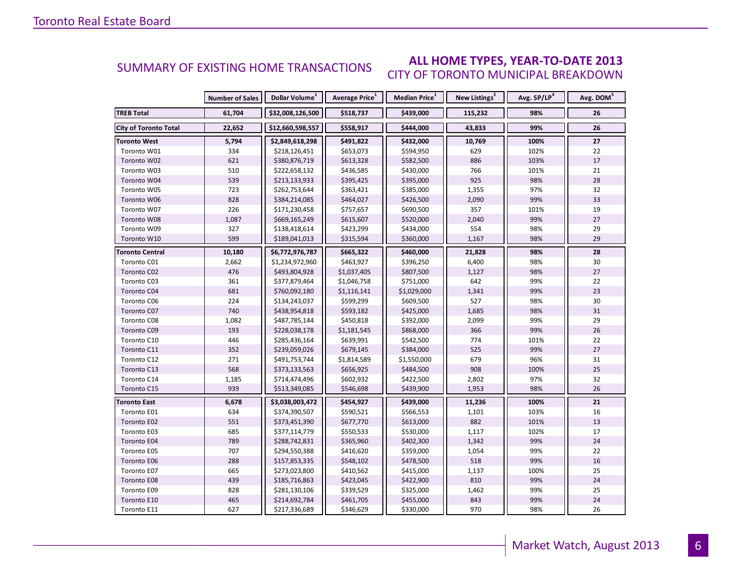#### **ALL HOME TYPES, YEAR-TO-DATE 2013** CITY OF TORONTO MUNICIPAL BREAKDOWN SUMMARY OF EXISTING HOME TRANSACTIONS

|                              | <b>Number of Sales</b> | Dollar Volume <sup>1</sup> | Average Price <sup>1</sup> | Median Price <sup>1</sup> | New Listings <sup>2</sup> | Avg. SP/LP <sup>4</sup> | Avg. DOM <sup>5</sup> |
|------------------------------|------------------------|----------------------------|----------------------------|---------------------------|---------------------------|-------------------------|-----------------------|
| <b>TREB Total</b>            | 61,704                 | \$32,008,126,500           | \$518,737                  | \$439,000                 | 115,232                   | 98%                     | 26                    |
| <b>City of Toronto Total</b> | 22,652                 | \$12,660,598,557           | \$558,917                  | \$444,000                 | 43,833                    | 99%                     | 26                    |
| <b>Toronto West</b>          | 5,794                  | \$2,849,618,298            | \$491,822                  | \$432,000                 | 10,769                    | 100%                    | 27                    |
| Toronto W01                  | 334                    | \$218,126,451              | \$653,073                  | \$594,950                 | 629                       | 102%                    | 22                    |
| Toronto W02                  | 621                    | \$380,876,719              | \$613,328                  | \$582,500                 | 886                       | 103%                    | 17                    |
| Toronto W03                  | 510                    | \$222,658,132              | \$436,585                  | \$430,000                 | 766                       | 101%                    | 21                    |
| Toronto W04                  | 539                    | \$213,133,933              | \$395,425                  | \$395,000                 | 925                       | 98%                     | 28                    |
| Toronto W05                  | 723                    | \$262,753,644              | \$363,421                  | \$385,000                 | 1,355                     | 97%                     | 32                    |
| Toronto W06                  | 828                    | \$384,214,085              | \$464,027                  | \$426,500                 | 2,090                     | 99%                     | 33                    |
| Toronto W07                  | 226                    | \$171,230,458              | \$757,657                  | \$690,500                 | 357                       | 101%                    | 19                    |
| Toronto W08                  | 1,087                  | \$669,165,249              | \$615,607                  | \$520,000                 | 2,040                     | 99%                     | 27                    |
| Toronto W09                  | 327                    | \$138,418,614              | \$423,299                  | \$434,000                 | 554                       | 98%                     | 29                    |
| Toronto W10                  | 599                    | \$189,041,013              | \$315,594                  | \$360,000                 | 1,167                     | 98%                     | 29                    |
| <b>Toronto Central</b>       | 10,180                 | \$6,772,976,787            | \$665,322                  | \$460,000                 | 21,828                    | 98%                     | 28                    |
| Toronto C01                  | 2,662                  | \$1,234,972,960            | \$463,927                  | \$396,250                 | 6,400                     | 98%                     | 30                    |
| Toronto C02                  | 476                    | \$493,804,928              | \$1,037,405                | \$807,500                 | 1,127                     | 98%                     | 27                    |
| Toronto C03                  | 361                    | \$377,879,464              | \$1,046,758                | \$751,000                 | 642                       | 99%                     | 22                    |
| Toronto C04                  | 681                    | \$760,092,180              | \$1,116,141                | \$1,029,000               | 1,341                     | 99%                     | 23                    |
| Toronto C06                  | 224                    | \$134,243,037              | \$599,299                  | \$609,500                 | 527                       | 98%                     | 30                    |
| Toronto C07                  | 740                    | \$438,954,818              | \$593,182                  | \$425,000                 | 1,685                     | 98%                     | 31                    |
| Toronto C08                  | 1,082                  | \$487,785,144              | \$450,818                  | \$392,000                 | 2,099                     | 99%                     | 29                    |
| Toronto C09                  | 193                    | \$228,038,178              | \$1,181,545                | \$868,000                 | 366                       | 99%                     | 26                    |
| Toronto C10                  | 446                    | \$285,436,164              | \$639,991                  | \$542,500                 | 774                       | 101%                    | 22                    |
| Toronto C11                  | 352                    | \$239,059,026              | \$679,145                  | \$384,000                 | 525                       | 99%                     | 27                    |
| Toronto C12                  | 271                    | \$491,753,744              | \$1,814,589                | \$1,550,000               | 679                       | 96%                     | 31                    |
| Toronto C13                  | 568                    | \$373,133,563              | \$656,925                  | \$484,500                 | 908                       | 100%                    | 25                    |
| Toronto C14                  | 1,185                  | \$714,474,496              | \$602,932                  | \$422,500                 | 2,802                     | 97%                     | 32                    |
| Toronto C15                  | 939                    | \$513,349,085              | \$546,698                  | \$439,900                 | 1,953                     | 98%                     | 26                    |
| <b>Toronto East</b>          | 6,678                  | \$3,038,003,472            | \$454,927                  | \$439,000                 | 11,236                    | 100%                    | 21                    |
| Toronto E01                  | 634                    | \$374,390,507              | \$590,521                  | \$566,553                 | 1,101                     | 103%                    | 16                    |
| Toronto E02                  | 551                    | \$373,451,390              | \$677,770                  | \$613,000                 | 882                       | 101%                    | 13                    |
| Toronto E03                  | 685                    | \$377,114,779              | \$550,533                  | \$530,000                 | 1,117                     | 102%                    | 17                    |
| Toronto E04                  | 789                    | \$288,742,831              | \$365,960                  | \$402,300                 | 1,342                     | 99%                     | 24                    |
| Toronto E05                  | 707                    | \$294,550,388              | \$416,620                  | \$359,000                 | 1,054                     | 99%                     | 22                    |
| Toronto E06                  | 288                    | \$157,853,335              | \$548,102                  | \$478,500                 | 518                       | 99%                     | 16                    |
| Toronto E07                  | 665                    | \$273,023,800              | \$410,562                  | \$415,000                 | 1,137                     | 100%                    | 25                    |
| Toronto E08                  | 439                    | \$185,716,863              | \$423,045                  | \$422,900                 | 810                       | 99%                     | 24                    |
| Toronto E09                  | 828                    | \$281,130,106              | \$339,529                  | \$325,000                 | 1,462                     | 99%                     | 25                    |
| Toronto E10                  | 465                    | \$214,692,784              | \$461,705                  | \$455,000                 | 843                       | 99%                     | 24                    |
| Toronto E11                  | 627                    | \$217,336,689              | \$346,629                  | \$330,000                 | 970                       | 98%                     | 26                    |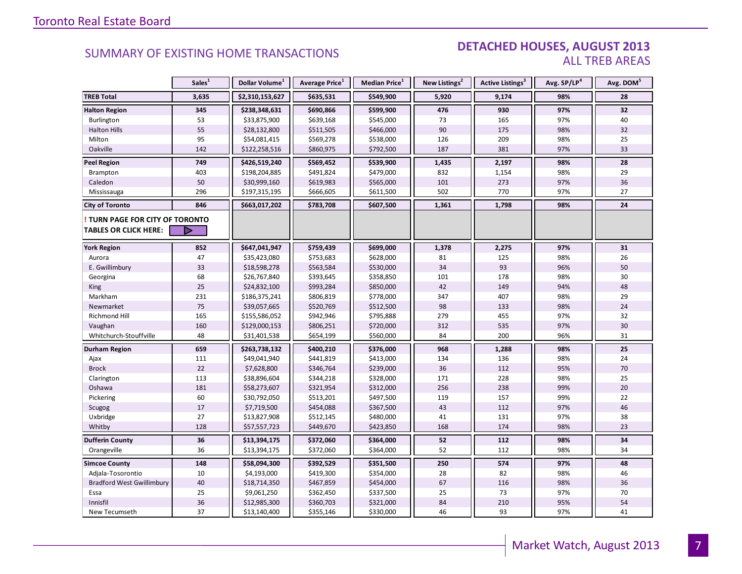#### DETACHED HOUSES, AUGUST 2013 ALL TREB AREAS

|                                      | Sales <sup>1</sup> | Dollar Volume <sup>1</sup> | Average Price <sup>1</sup> | Median Price <sup>1</sup> | New Listings <sup>2</sup> | <b>Active Listings<sup>3</sup></b> | Avg. SP/LP <sup>4</sup> | Avg. DOM <sup>5</sup> |
|--------------------------------------|--------------------|----------------------------|----------------------------|---------------------------|---------------------------|------------------------------------|-------------------------|-----------------------|
| <b>TREB Total</b>                    | 3,635              | \$2,310,153,627            | \$635,531                  | \$549,900                 | 5,920                     | 9,174                              | 98%                     | 28                    |
| <b>Halton Region</b>                 | 345                | \$238,348,631              | \$690,866                  | \$599,900                 | 476                       | 930                                | 97%                     | 32                    |
| Burlington                           | 53                 | \$33,875,900               | \$639,168                  | \$545,000                 | 73                        | 165                                | 97%                     | 40                    |
| <b>Halton Hills</b>                  | 55                 | \$28,132,800               | \$511,505                  | \$466,000                 | 90                        | 175                                | 98%                     | 32                    |
| Milton                               | 95                 | \$54,081,415               | \$569,278                  | \$538,000                 | 126                       | 209                                | 98%                     | 25                    |
| Oakville                             | 142                | \$122,258,516              | \$860,975                  | \$792,500                 | 187                       | 381                                | 97%                     | 33                    |
| <b>Peel Region</b>                   | 749                | \$426,519,240              | \$569,452                  | \$539,900                 | 1,435                     | 2,197                              | 98%                     | 28                    |
| Brampton                             | 403                | \$198,204,885              | \$491,824                  | \$479,000                 | 832                       | 1,154                              | 98%                     | 29                    |
| Caledon                              | 50                 | \$30,999,160               | \$619,983                  | \$565,000                 | 101                       | 273                                | 97%                     | 36                    |
| Mississauga                          | 296                | \$197,315,195              | \$666,605                  | \$611,500                 | 502                       | 770                                | 97%                     | 27                    |
| <b>City of Toronto</b>               | 846                | \$663,017,202              | \$783,708                  | \$607,500                 | 1,361                     | 1,798                              | 98%                     | 24                    |
| <b>TURN PAGE FOR CITY OF TORONTO</b> |                    |                            |                            |                           |                           |                                    |                         |                       |
| <b>TABLES OR CLICK HERE:</b>         |                    |                            |                            |                           |                           |                                    |                         |                       |
| <b>York Region</b>                   | 852                | \$647,041,947              | \$759,439                  | \$699,000                 | 1,378                     | 2,275                              | 97%                     | 31                    |
| Aurora                               | 47                 | \$35,423,080               | \$753,683                  | \$628,000                 | 81                        | 125                                | 98%                     | 26                    |
| E. Gwillimbury                       | 33                 | \$18,598,278               | \$563,584                  | \$530,000                 | 34                        | 93                                 | 96%                     | 50                    |
| Georgina                             | 68                 | \$26,767,840               | \$393,645                  | \$358,850                 | 101                       | 178                                | 98%                     | 30                    |
| King                                 | 25                 | \$24,832,100               | \$993,284                  | \$850,000                 | 42                        | 149                                | 94%                     | 48                    |
| Markham                              | 231                | \$186,375,241              | \$806,819                  | \$778,000                 | 347                       | 407                                | 98%                     | 29                    |
| Newmarket                            | 75                 | \$39,057,665               | \$520,769                  | \$512,500                 | 98                        | 133                                | 98%                     | 24                    |
| Richmond Hill                        | 165                | \$155,586,052              | \$942,946                  | \$795,888                 | 279                       | 455                                | 97%                     | 32                    |
| Vaughan                              | 160                | \$129,000,153              | \$806,251                  | \$720,000                 | 312                       | 535                                | 97%                     | 30                    |
| Whitchurch-Stouffville               | 48                 | \$31,401,538               | \$654,199                  | \$560,000                 | 84                        | 200                                | 96%                     | 31                    |
| <b>Durham Region</b>                 | 659                | \$263,738,132              | \$400,210                  | \$376,000                 | 968                       | 1,288                              | 98%                     | 25                    |
| Ajax                                 | 111                | \$49,041,940               | \$441,819                  | \$413,000                 | 134                       | 136                                | 98%                     | 24                    |
| <b>Brock</b>                         | 22                 | \$7,628,800                | \$346,764                  | \$239,000                 | 36                        | 112                                | 95%                     | 70                    |
| Clarington                           | 113                | \$38,896,604               | \$344,218                  | \$328,000                 | 171                       | 228                                | 98%                     | 25                    |
| Oshawa                               | 181                | \$58,273,607               | \$321,954                  | \$312,000                 | 256                       | 238                                | 99%                     | 20                    |
| Pickering                            | 60                 | \$30,792,050               | \$513,201                  | \$497,500                 | 119                       | 157                                | 99%                     | 22                    |
| Scugog                               | 17                 | \$7,719,500                | \$454,088                  | \$367,500                 | 43                        | 112                                | 97%                     | 46                    |
| Uxbridge                             | 27                 | \$13,827,908               | \$512,145                  | \$480,000                 | 41                        | 131                                | 97%                     | 38                    |
| Whitby                               | 128                | \$57,557,723               | \$449,670                  | \$423,850                 | 168                       | 174                                | 98%                     | 23                    |
| <b>Dufferin County</b>               | 36                 | \$13,394,175               | \$372,060                  | \$364,000                 | 52                        | 112                                | 98%                     | 34                    |
| Orangeville                          | 36                 | \$13,394,175               | \$372,060                  | \$364,000                 | 52                        | 112                                | 98%                     | 34                    |
| <b>Simcoe County</b>                 | 148                | \$58,094,300               | \$392,529                  | \$351,500                 | 250                       | 574                                | 97%                     | 48                    |
| Adjala-Tosorontio                    | 10                 | \$4,193,000                | \$419,300                  | \$354,000                 | 28                        | 82                                 | 98%                     | 46                    |
| <b>Bradford West Gwillimbury</b>     | 40                 | \$18,714,350               | \$467,859                  | \$454,000                 | 67                        | 116                                | 98%                     | 36                    |
| Essa                                 | 25                 | \$9,061,250                | \$362,450                  | \$337,500                 | 25                        | 73                                 | 97%                     | 70                    |
| Innisfil                             | 36                 | \$12,985,300               | \$360,703                  | \$321,000                 | 84                        | 210                                | 95%                     | 54                    |
| New Tecumseth                        | 37                 | \$13,140,400               | \$355,146                  | \$330,000                 | 46                        | 93                                 | 97%                     | 41                    |

7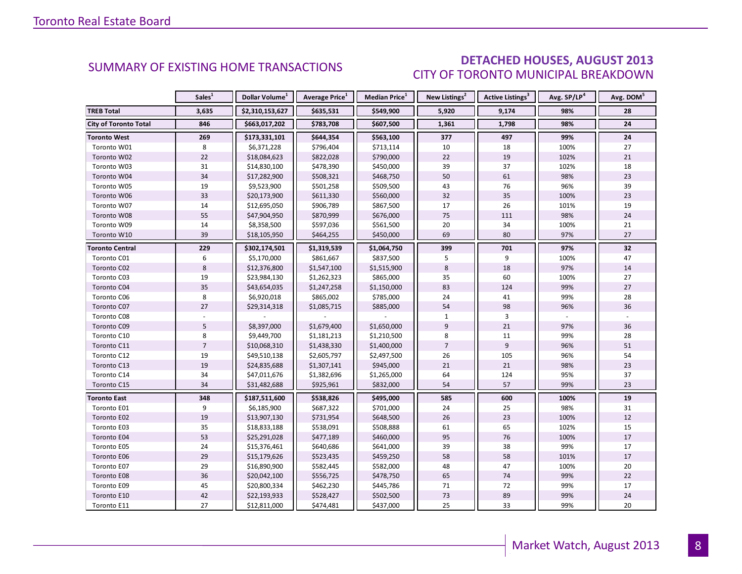### DETACHED HOUSES, AUGUST 2013 CITY OF TORONTO MUNICIPAL BREAKDOWN

<span id="page-7-0"></span>

|                              | Sales <sup>1</sup> | Dollar Volume <sup>1</sup> | Average Price <sup>1</sup> | Median Price <sup>1</sup> | New Listings <sup>2</sup> | Active Listings <sup>3</sup> | Avg. SP/LP <sup>4</sup> | Avg. DOM <sup>5</sup> |
|------------------------------|--------------------|----------------------------|----------------------------|---------------------------|---------------------------|------------------------------|-------------------------|-----------------------|
| <b>TREB Total</b>            | 3,635              | \$2,310,153,627            | \$635,531                  | \$549,900                 | 5,920                     | 9,174                        | 98%                     | 28                    |
| <b>City of Toronto Total</b> | 846                | \$663,017,202              | \$783,708                  | \$607,500                 | 1,361                     | 1,798                        | 98%                     | 24                    |
| <b>Toronto West</b>          | 269                | \$173,331,101              | \$644,354                  | \$563,100                 | 377                       | 497                          | 99%                     | 24                    |
| Toronto W01                  | 8                  | \$6,371,228                | \$796,404                  | \$713,114                 | 10                        | 18                           | 100%                    | 27                    |
| Toronto W02                  | 22                 | \$18,084,623               | \$822,028                  | \$790,000                 | 22                        | 19                           | 102%                    | 21                    |
| Toronto W03                  | 31                 | \$14,830,100               | \$478,390                  | \$450,000                 | 39                        | 37                           | 102%                    | 18                    |
| Toronto W04                  | 34                 | \$17,282,900               | \$508,321                  | \$468,750                 | 50                        | 61                           | 98%                     | 23                    |
| Toronto W05                  | 19                 | \$9,523,900                | \$501,258                  | \$509,500                 | 43                        | 76                           | 96%                     | 39                    |
| Toronto W06                  | 33                 | \$20,173,900               | \$611,330                  | \$560,000                 | 32                        | 35                           | 100%                    | 23                    |
| Toronto W07                  | 14                 | \$12,695,050               | \$906,789                  | \$867,500                 | 17                        | 26                           | 101%                    | 19                    |
| Toronto W08                  | 55                 | \$47,904,950               | \$870,999                  | \$676,000                 | 75                        | 111                          | 98%                     | 24                    |
| Toronto W09                  | 14                 | \$8,358,500                | \$597,036                  | \$561,500                 | 20                        | 34                           | 100%                    | 21                    |
| Toronto W10                  | 39                 | \$18,105,950               | \$464,255                  | \$450,000                 | 69                        | 80                           | 97%                     | 27                    |
| <b>Toronto Central</b>       | 229                | \$302,174,501              | \$1,319,539                | \$1,064,750               | 399                       | 701                          | 97%                     | 32                    |
| Toronto C01                  | 6                  | \$5,170,000                | \$861,667                  | \$837,500                 | 5                         | 9                            | 100%                    | 47                    |
| Toronto C02                  | 8                  | \$12,376,800               | \$1,547,100                | \$1,515,900               | 8                         | 18                           | 97%                     | 14                    |
| Toronto C03                  | 19                 | \$23,984,130               | \$1,262,323                | \$865,000                 | 35                        | 60                           | 100%                    | 27                    |
| Toronto C04                  | 35                 | \$43,654,035               | \$1,247,258                | \$1,150,000               | 83                        | 124                          | 99%                     | 27                    |
| Toronto C06                  | 8                  | \$6,920,018                | \$865,002                  | \$785,000                 | 24                        | 41                           | 99%                     | 28                    |
| Toronto C07                  | 27                 | \$29,314,318               | \$1,085,715                | \$885,000                 | 54                        | 98                           | 96%                     | 36                    |
| Toronto C08                  |                    |                            |                            |                           | $\mathbf{1}$              | 3                            |                         |                       |
| Toronto C09                  | 5                  | \$8,397,000                | \$1,679,400                | \$1,650,000               | 9                         | 21                           | 97%                     | 36                    |
| Toronto C10                  | 8                  | \$9,449,700                | \$1,181,213                | \$1,210,500               | 8                         | 11                           | 99%                     | 28                    |
| Toronto C11                  | $\overline{7}$     | \$10,068,310               | \$1,438,330                | \$1,400,000               | $\overline{7}$            | 9                            | 96%                     | 51                    |
| Toronto C12                  | 19                 | \$49,510,138               | \$2,605,797                | \$2,497,500               | 26                        | 105                          | 96%                     | 54                    |
| Toronto C13                  | 19                 | \$24,835,688               | \$1,307,141                | \$945,000                 | 21                        | 21                           | 98%                     | 23                    |
| Toronto C14                  | 34                 | \$47,011,676               | \$1,382,696                | \$1,265,000               | 64                        | 124                          | 95%                     | 37                    |
| Toronto C15                  | 34                 | \$31,482,688               | \$925,961                  | \$832,000                 | 54                        | 57                           | 99%                     | 23                    |
| <b>Toronto East</b>          | 348                | \$187,511,600              | \$538,826                  | \$495,000                 | 585                       | 600                          | 100%                    | 19                    |
| Toronto E01                  | 9                  | \$6,185,900                | \$687,322                  | \$701,000                 | 24                        | 25                           | 98%                     | 31                    |
| Toronto E02                  | 19                 | \$13,907,130               | \$731,954                  | \$648,500                 | 26                        | 23                           | 100%                    | 12                    |
| Toronto E03                  | 35                 | \$18,833,188               | \$538,091                  | \$508,888                 | 61                        | 65                           | 102%                    | 15                    |
| Toronto E04                  | 53                 | \$25,291,028               | \$477,189                  | \$460,000                 | 95                        | 76                           | 100%                    | 17                    |
| Toronto E05                  | 24                 | \$15,376,461               | \$640,686                  | \$641,000                 | 39                        | 38                           | 99%                     | 17                    |
| Toronto E06                  | 29                 | \$15,179,626               | \$523,435                  | \$459,250                 | 58                        | 58                           | 101%                    | 17                    |
| Toronto E07                  | 29                 | \$16,890,900               | \$582,445                  | \$582,000                 | 48                        | 47                           | 100%                    | 20                    |
| Toronto E08                  | 36                 | \$20,042,100               | \$556,725                  | \$478,750                 | 65                        | 74                           | 99%                     | 22                    |
| Toronto E09                  | 45                 | \$20,800,334               | \$462,230                  | \$445,786                 | 71                        | 72                           | 99%                     | 17                    |
| Toronto E10                  | 42                 | \$22,193,933               | \$528,427                  | \$502,500                 | 73                        | 89                           | 99%                     | 24                    |
| Toronto E11                  | 27                 | \$12,811,000               | \$474,481                  | \$437,000                 | 25                        | 33                           | 99%                     | 20                    |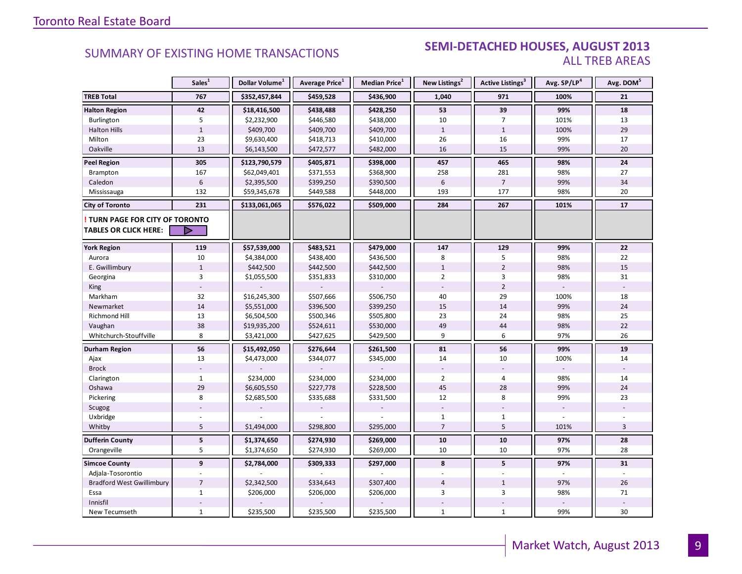#### **Industrial Leasing SEMI-DETACHED HOUSES, AUGUST 2013**<br>ALL TREB AREAS ALL TREB AREAS

|                                                               | Sales <sup>1</sup> | Dollar Volume <sup>1</sup> | Average Price <sup>1</sup> | Median Price <sup>1</sup> | New Listings <sup>2</sup> | Active Listings <sup>3</sup> | Avg. SP/LP <sup>4</sup> | Avg. DOM <sup>5</sup> |
|---------------------------------------------------------------|--------------------|----------------------------|----------------------------|---------------------------|---------------------------|------------------------------|-------------------------|-----------------------|
| <b>TREB Total</b>                                             | 767                | \$352,457,844              | \$459,528                  | \$436,900                 | 1,040                     | 971                          | 100%                    | 21                    |
| <b>Halton Region</b>                                          | 42                 | \$18,416,500               | \$438,488                  | \$428,250                 | 53                        | 39                           | 99%                     | 18                    |
| Burlington                                                    | 5                  | \$2,232,900                | \$446,580                  | \$438,000                 | 10                        | $\overline{7}$               | 101%                    | 13                    |
| <b>Halton Hills</b>                                           | $\,1\,$            | \$409,700                  | \$409,700                  | \$409,700                 | $\mathbf{1}$              | $\mathbf{1}$                 | 100%                    | 29                    |
| Milton                                                        | 23                 | \$9,630,400                | \$418,713                  | \$410,000                 | 26                        | 16                           | 99%                     | 17                    |
| Oakville                                                      | 13                 | \$6,143,500                | \$472,577                  | \$482,000                 | 16                        | 15                           | 99%                     | 20                    |
| <b>Peel Region</b>                                            | 305                | \$123,790,579              | \$405,871                  | \$398,000                 | 457                       | 465                          | 98%                     | 24                    |
| Brampton                                                      | 167                | \$62,049,401               | \$371,553                  | \$368,900                 | 258                       | 281                          | 98%                     | 27                    |
| Caledon                                                       | $6\phantom{1}$     | \$2,395,500                | \$399,250                  | \$390,500                 | $6\phantom{1}$            | $\overline{7}$               | 99%                     | 34                    |
| Mississauga                                                   | 132                | \$59,345,678               | \$449,588                  | \$448,000                 | 193                       | 177                          | 98%                     | 20                    |
| City of Toronto                                               | 231                | \$133,061,065              | \$576,022                  | \$509,000                 | 284                       | 267                          | 101%                    | 17                    |
| TURN PAGE FOR CITY OF TORONTO<br><b>TABLES OR CLICK HERE:</b> | D                  |                            |                            |                           |                           |                              |                         |                       |
| <b>York Region</b>                                            | 119                | \$57,539,000               | \$483,521                  | \$479,000                 | 147                       | 129                          | 99%                     | 22                    |
| Aurora                                                        | 10                 | \$4,384,000                | \$438,400                  | \$436,500                 | 8                         | 5                            | 98%                     | 22                    |
| E. Gwillimbury                                                | $\mathbf{1}$       | \$442,500                  | \$442,500                  | \$442,500                 | $\mathbf{1}$              | $\overline{2}$               | 98%                     | 15                    |
| Georgina                                                      | 3                  | \$1,055,500                | \$351,833                  | \$310,000                 | $\overline{2}$            | 3                            | 98%                     | 31                    |
| King                                                          |                    |                            |                            |                           |                           | $\overline{2}$               |                         |                       |
| Markham                                                       | 32                 | \$16,245,300               | \$507,666                  | \$506,750                 | 40                        | 29                           | 100%                    | 18                    |
| Newmarket                                                     | 14                 | \$5,551,000                | \$396,500                  | \$399,250                 | 15                        | 14                           | 99%                     | 24                    |
| Richmond Hill                                                 | 13                 | \$6,504,500                | \$500,346                  | \$505,800                 | 23                        | 24                           | 98%                     | 25                    |
| Vaughan                                                       | 38                 | \$19,935,200               | \$524,611                  | \$530,000                 | 49                        | 44                           | 98%                     | 22                    |
| Whitchurch-Stouffville                                        | 8                  | \$3,421,000                | \$427,625                  | \$429,500                 | 9                         | 6                            | 97%                     | 26                    |
| <b>Durham Region</b>                                          | 56                 | \$15,492,050               | \$276,644                  | \$261,500                 | 81                        | 56                           | 99%                     | 19                    |
| Ajax                                                          | 13                 | \$4,473,000                | \$344,077                  | \$345,000                 | 14                        | 10                           | 100%                    | 14                    |
| <b>Brock</b>                                                  |                    |                            |                            |                           |                           |                              |                         |                       |
| Clarington                                                    | $\mathbf{1}$       | \$234,000                  | \$234,000                  | \$234,000                 | $\overline{2}$            | $\overline{4}$               | 98%                     | 14                    |
| Oshawa                                                        | 29                 | \$6,605,550                | \$227,778                  | \$228,500                 | 45                        | 28                           | 99%                     | 24                    |
| Pickering                                                     | 8                  | \$2,685,500                | \$335,688                  | \$331,500                 | 12                        | 8                            | 99%                     | 23                    |
| Scugog                                                        |                    |                            |                            |                           |                           |                              |                         |                       |
| Uxbridge                                                      |                    |                            |                            |                           | $\mathbf{1}$              | $\mathbf{1}$                 |                         |                       |
| Whitby                                                        | 5                  | \$1,494,000                | \$298,800                  | \$295,000                 | $\overline{7}$            | 5                            | 101%                    | 3                     |
| <b>Dufferin County</b>                                        | ${\bf 5}$          | \$1,374,650                | \$274,930                  | \$269,000                 | 10                        | 10                           | 97%                     | 28                    |
| Orangeville                                                   | 5                  | \$1,374,650                | \$274,930                  | \$269,000                 | 10                        | 10                           | 97%                     | 28                    |
| <b>Simcoe County</b>                                          | $\mathbf{9}$       | \$2,784,000                | \$309,333                  | \$297,000                 | 8                         | 5                            | 97%                     | 31                    |
| Adjala-Tosorontio                                             |                    |                            |                            |                           |                           |                              |                         |                       |
| <b>Bradford West Gwillimbury</b>                              | $\overline{7}$     | \$2,342,500                | \$334,643                  | \$307,400                 | $\overline{4}$            | $\mathbf{1}$                 | 97%                     | 26                    |
| Essa                                                          | $\mathbf{1}$       | \$206,000                  | \$206,000                  | \$206,000                 | 3                         | 3                            | 98%                     | 71                    |
| Innisfil                                                      |                    |                            |                            |                           |                           |                              |                         |                       |
| New Tecumseth                                                 | $\mathbf{1}$       | \$235,500                  | \$235,500                  | \$235,500                 | $\mathbf{1}$              | $\mathbf{1}$                 | 99%                     | 30                    |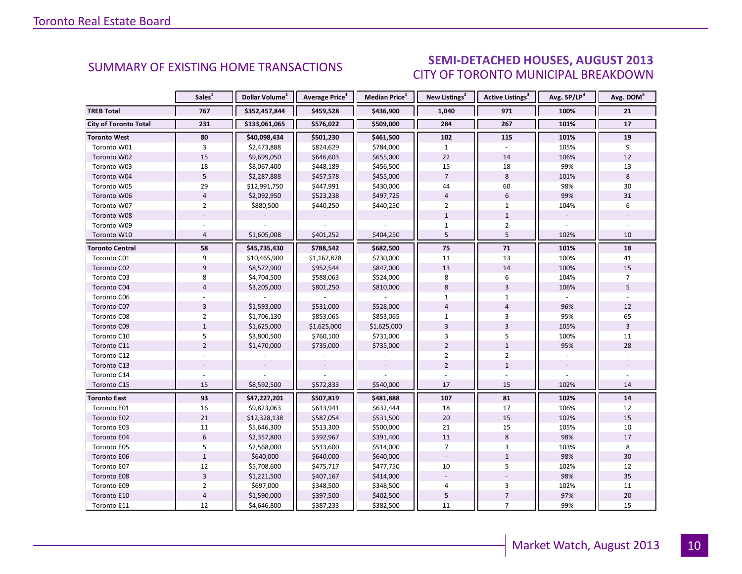### SEMI-DETACHED HOUSES, AUGUST 2013 CITY OF TORONTO MUNICIPAL BREAKDOWN

<span id="page-9-0"></span>

|                              | Sales <sup>1</sup> | Dollar Volume <sup>1</sup> | <b>Average Price</b> <sup>1</sup> | Median Price <sup>1</sup> | New Listings <sup>2</sup> | <b>Active Listings<sup>3</sup></b> | Avg. SP/LP <sup>4</sup> | Avg. DOM <sup>5</sup> |
|------------------------------|--------------------|----------------------------|-----------------------------------|---------------------------|---------------------------|------------------------------------|-------------------------|-----------------------|
| <b>TREB Total</b>            | 767                | \$352,457,844              | \$459,528                         | \$436,900                 | 1,040                     | 971                                | 100%                    | 21                    |
| <b>City of Toronto Total</b> | 231                | \$133,061,065              | \$576,022                         | \$509,000                 | 284                       | 267                                | 101%                    | 17                    |
| <b>Toronto West</b>          | 80                 | \$40,098,434               | \$501,230                         | \$461,500                 | 102                       | 115                                | 101%                    | 19                    |
| Toronto W01                  | 3                  | \$2,473,888                | \$824,629                         | \$784,000                 | $\mathbf{1}$              |                                    | 105%                    | 9                     |
| Toronto W02                  | 15                 | \$9,699,050                | \$646,603                         | \$655,000                 | 22                        | 14                                 | 106%                    | 12                    |
| Toronto W03                  | 18                 | \$8,067,400                | \$448,189                         | \$456,500                 | 15                        | 18                                 | 99%                     | 13                    |
| Toronto W04                  | 5                  | \$2,287,888                | \$457,578                         | \$455,000                 | $\overline{7}$            | 8                                  | 101%                    | 8                     |
| Toronto W05                  | 29                 | \$12,991,750               | \$447,991                         | \$430,000                 | 44                        | 60                                 | 98%                     | 30                    |
| Toronto W06                  | $\overline{4}$     | \$2,092,950                | \$523,238                         | \$497,725                 | $\overline{4}$            | 6                                  | 99%                     | 31                    |
| Toronto W07                  | $\overline{2}$     | \$880,500                  | \$440,250                         | \$440,250                 | $\overline{2}$            | $\mathbf{1}$                       | 104%                    | 6                     |
| Toronto W08                  |                    |                            |                                   |                           | $\mathbf{1}$              | $1\,$                              |                         |                       |
| Toronto W09                  |                    |                            |                                   |                           | $\mathbf{1}$              | $\overline{2}$                     |                         |                       |
| Toronto W10                  | $\overline{4}$     | \$1,605,008                | \$401,252                         | \$404,250                 | 5                         | 5                                  | 102%                    | 10                    |
| Toronto Central              | 58                 | \$45,735,430               | \$788,542                         | \$682,500                 | 75                        | 71                                 | 101%                    | 18                    |
| Toronto C01                  | 9                  | \$10,465,900               | \$1,162,878                       | \$730,000                 | 11                        | 13                                 | 100%                    | 41                    |
| Toronto C02                  | 9                  | \$8,572,900                | \$952,544                         | \$847,000                 | 13                        | 14                                 | 100%                    | 15                    |
| Toronto C03                  | 8                  | \$4,704,500                | \$588,063                         | \$524,000                 | 8                         | 6                                  | 104%                    | $\overline{7}$        |
| Toronto C04                  | $\overline{4}$     | \$3,205,000                | \$801,250                         | \$810,000                 | 8                         | $\overline{3}$                     | 106%                    | 5                     |
| Toronto C06                  |                    |                            |                                   |                           | 1                         | $\mathbf{1}$                       |                         |                       |
| Toronto C07                  | $\overline{3}$     | \$1,593,000                | \$531,000                         | \$528,000                 | $\overline{4}$            | $\overline{4}$                     | 96%                     | 12                    |
| Toronto C08                  | $\overline{2}$     | \$1,706,130                | \$853,065                         | \$853,065                 | $\mathbf{1}$              | 3                                  | 95%                     | 65                    |
| Toronto C09                  | $\mathbf{1}$       | \$1,625,000                | \$1,625,000                       | \$1,625,000               | $\overline{3}$            | $\overline{\mathbf{3}}$            | 105%                    | $\overline{3}$        |
| Toronto C10                  | 5                  | \$3,800,500                | \$760,100                         | \$731,000                 | 3                         | 5                                  | 100%                    | 11                    |
| Toronto C11                  | $\overline{2}$     | \$1,470,000                | \$735,000                         | \$735,000                 | $\overline{2}$            | $\mathbf{1}$                       | 95%                     | 28                    |
| Toronto C12                  |                    |                            |                                   |                           | $\overline{2}$            | $\overline{2}$                     |                         |                       |
| Toronto C13                  |                    |                            |                                   |                           | $\overline{2}$            | $\mathbf{1}$                       |                         |                       |
| Toronto C14                  |                    |                            |                                   |                           |                           |                                    |                         |                       |
| Toronto C15                  | 15                 | \$8,592,500                | \$572,833                         | \$540,000                 | 17                        | 15                                 | 102%                    | 14                    |
| <b>Toronto East</b>          | 93                 | \$47,227,201               | \$507,819                         | \$481,888                 | 107                       | 81                                 | 102%                    | 14                    |
| Toronto E01                  | 16                 | \$9,823,063                | \$613,941                         | \$632,444                 | 18                        | 17                                 | 106%                    | 12                    |
| Toronto E02                  | 21                 | \$12,328,138               | \$587,054                         | \$531,500                 | 20                        | 15                                 | 102%                    | 15                    |
| Toronto E03                  | 11                 | \$5,646,300                | \$513,300                         | \$500,000                 | 21                        | 15                                 | 105%                    | 10                    |
| Toronto E04                  | $6\phantom{a}$     | \$2,357,800                | \$392,967                         | \$391,400                 | 11                        | 8                                  | 98%                     | 17                    |
| Toronto E05                  | 5                  | \$2,568,000                | \$513,600                         | \$514,000                 | $\overline{7}$            | 3                                  | 103%                    | 8                     |
| Toronto E06                  | $1\,$              | \$640,000                  | \$640,000                         | \$640,000                 |                           | $\mathbf{1}$                       | 98%                     | 30                    |
| Toronto E07                  | 12                 | \$5,708,600                | \$475,717                         | \$477,750                 | 10                        | 5                                  | 102%                    | 12                    |
| Toronto E08                  | $\overline{3}$     | \$1,221,500                | \$407,167                         | \$414,000                 |                           |                                    | 98%                     | 35                    |
| Toronto E09                  | $\overline{2}$     | \$697,000                  | \$348,500                         | \$348,500                 | 4                         | 3                                  | 102%                    | 11                    |
| Toronto E10                  | $\overline{4}$     | \$1,590,000                | \$397,500                         | \$402,500                 | 5                         | $\overline{7}$                     | 97%                     | 20                    |
| Toronto E11                  | 12                 | \$4,646,800                | \$387,233                         | \$382,500                 | 11                        | $\overline{7}$                     | 99%                     | 15                    |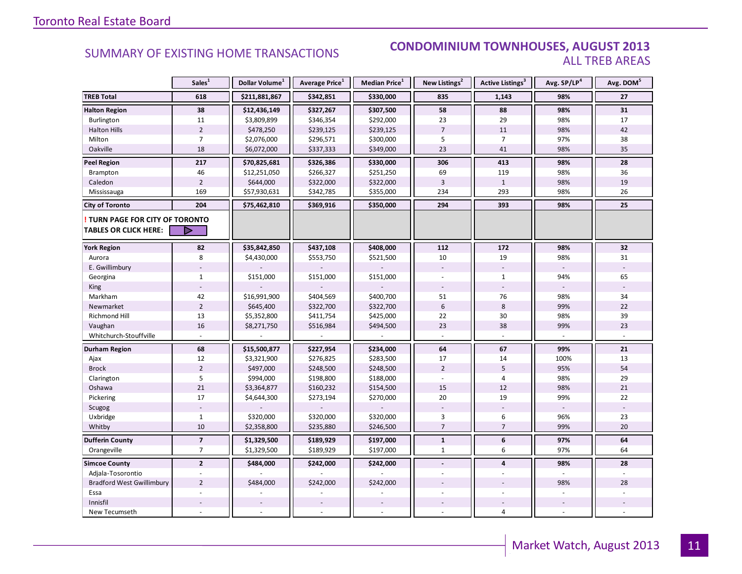#### SUMMARY OF EXISTING HOME TRANSACTIONS **CONDOMINIUM TOWNHOUSES, AUGUST 2013** ALL TREB AREAS

|                                  | Sales <sup>1</sup>       | Dollar Volume <sup>1</sup> | Average Price <sup>1</sup> | Median Price <sup>1</sup> | New Listings <sup>2</sup> | <b>Active Listings<sup>3</sup></b> | Avg. SP/LP4 | Avg. DOM <sup>5</sup> |
|----------------------------------|--------------------------|----------------------------|----------------------------|---------------------------|---------------------------|------------------------------------|-------------|-----------------------|
| <b>TREB Total</b>                | 618                      | \$211,881,867              | \$342,851                  | \$330,000                 | 835                       | 1,143                              | 98%         | 27                    |
| <b>Halton Region</b>             | 38                       | \$12,436,149               | \$327,267                  | \$307,500                 | 58                        | 88                                 | 98%         | 31                    |
| Burlington                       | 11                       | \$3,809,899                | \$346,354                  | \$292,000                 | 23                        | 29                                 | 98%         | 17                    |
| <b>Halton Hills</b>              | $\overline{2}$           | \$478,250                  | \$239,125                  | \$239,125                 | $\overline{7}$            | 11                                 | 98%         | 42                    |
| Milton                           | $\overline{7}$           | \$2,076,000                | \$296,571                  | \$300,000                 | 5                         | $\overline{7}$                     | 97%         | 38                    |
| Oakville                         | 18                       | \$6,072,000                | \$337,333                  | \$349,000                 | 23                        | 41                                 | 98%         | 35                    |
| <b>Peel Region</b>               | 217                      | \$70,825,681               | \$326,386                  | \$330,000                 | 306                       | 413                                | 98%         | 28                    |
| Brampton                         | 46                       | \$12,251,050               | \$266,327                  | \$251,250                 | 69                        | 119                                | 98%         | 36                    |
| Caledon                          | $\overline{2}$           | \$644,000                  | \$322,000                  | \$322,000                 | $\overline{3}$            | $\mathbf{1}$                       | 98%         | 19                    |
| Mississauga                      | 169                      | \$57,930,631               | \$342,785                  | \$355,000                 | 234                       | 293                                | 98%         | 26                    |
| <b>City of Toronto</b>           | 204                      | \$75,462,810               | \$369,916                  | \$350,000                 | 294                       | 393                                | 98%         | 25                    |
| TURN PAGE FOR CITY OF TORONTO    |                          |                            |                            |                           |                           |                                    |             |                       |
| <b>TABLES OR CLICK HERE:</b>     | $\triangleright$         |                            |                            |                           |                           |                                    |             |                       |
| <b>York Region</b>               | 82                       | \$35,842,850               | \$437,108                  | \$408,000                 | 112                       | 172                                | 98%         | 32                    |
| Aurora                           | 8                        | \$4,430,000                | \$553,750                  | \$521,500                 | 10                        | 19                                 | 98%         | 31                    |
| E. Gwillimbury                   |                          |                            |                            |                           |                           |                                    |             |                       |
| Georgina                         | $\mathbf{1}$             | \$151,000                  | \$151,000                  | \$151,000                 |                           | $\mathbf{1}$                       | 94%         | 65                    |
| King                             |                          |                            |                            |                           |                           |                                    |             |                       |
| Markham                          | 42                       | \$16,991,900               | \$404,569                  | \$400,700                 | 51                        | 76                                 | 98%         | 34                    |
| Newmarket                        | $\overline{2}$           | \$645,400                  | \$322,700                  | \$322,700                 | 6                         | 8                                  | 99%         | 22                    |
| Richmond Hill                    | 13                       | \$5,352,800                | \$411,754                  | \$425,000                 | 22                        | 30                                 | 98%         | 39                    |
| Vaughan                          | 16                       | \$8,271,750                | \$516,984                  | \$494,500                 | 23                        | 38                                 | 99%         | 23                    |
| Whitchurch-Stouffville           |                          |                            |                            |                           |                           |                                    |             |                       |
| <b>Durham Region</b>             | 68                       | \$15,500,877               | \$227,954                  | \$234,000                 | 64                        | 67                                 | 99%         | ${\bf 21}$            |
| Ajax                             | 12                       | \$3,321,900                | \$276,825                  | \$283,500                 | 17                        | 14                                 | 100%        | 13                    |
| <b>Brock</b>                     | $\overline{2}$           | \$497,000                  | \$248,500                  | \$248,500                 | $\overline{2}$            | 5                                  | 95%         | 54                    |
| Clarington                       | 5                        | \$994,000                  | \$198,800                  | \$188,000                 |                           | $\overline{4}$                     | 98%         | 29                    |
| Oshawa                           | 21                       | \$3,364,877                | \$160,232                  | \$154,500                 | 15                        | 12                                 | 98%         | 21                    |
| Pickering                        | 17                       | \$4,644,300                | \$273,194                  | \$270,000                 | 20                        | 19                                 | 99%         | 22                    |
| Scugog                           |                          |                            |                            |                           |                           |                                    |             |                       |
| Uxbridge                         | $\mathbf{1}$             | \$320,000                  | \$320,000                  | \$320,000                 | 3                         | 6                                  | 96%         | 23                    |
| Whitby                           | 10                       | \$2,358,800                | \$235,880                  | \$246,500                 | $\overline{7}$            | $\overline{7}$                     | 99%         | 20                    |
| <b>Dufferin County</b>           | $\overline{\phantom{a}}$ | \$1,329,500                | \$189,929                  | \$197,000                 | $\mathbf{1}$              | 6                                  | 97%         | 64                    |
| Orangeville                      | $\overline{7}$           | \$1,329,500                | \$189,929                  | \$197,000                 | $\mathbf{1}$              | 6                                  | 97%         | 64                    |
| <b>Simcoe County</b>             | $\overline{2}$           | \$484,000                  | \$242,000                  | \$242,000                 | $\overline{\phantom{a}}$  | $\overline{4}$                     | 98%         | 28                    |
| Adjala-Tosorontio                |                          |                            |                            |                           |                           |                                    |             |                       |
| <b>Bradford West Gwillimbury</b> | $\overline{2}$           | \$484,000                  | \$242,000                  | \$242,000                 |                           |                                    | 98%         | 28                    |
| Essa                             |                          |                            |                            |                           |                           |                                    |             |                       |
| Innisfil                         |                          |                            |                            |                           |                           |                                    |             |                       |
| New Tecumseth                    |                          |                            |                            |                           |                           | $\overline{4}$                     |             |                       |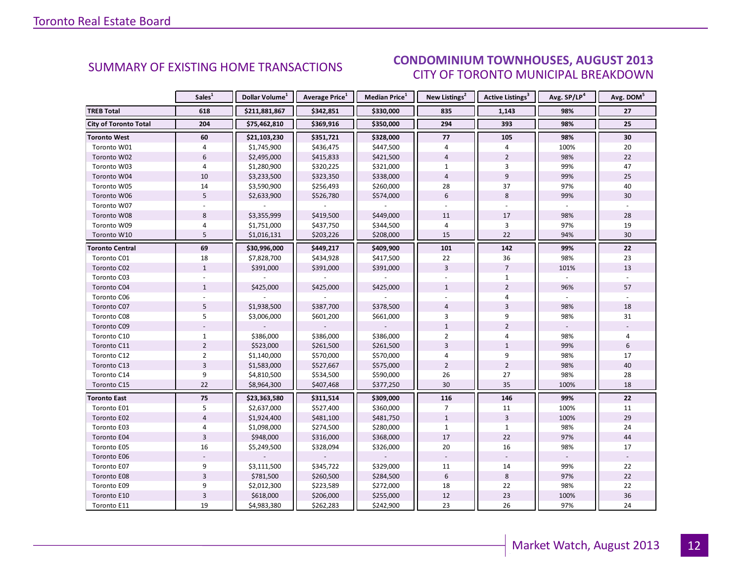#### ALIGUST 2012 CITY OF TORONTO MUNICIPAL BREAKDOWN SUMMARY OF EXISTING HOME TRANSACTIONS **CONDOMINIUM TOWNHOUSES, AUGUST 2013**

<span id="page-11-0"></span>

|                              | Sales <sup>1</sup> | Dollar Volume <sup>1</sup> | Average Price <sup>1</sup> | Median Price <sup>1</sup> | New Listings <sup>2</sup> | Active Listings <sup>3</sup> | Avg. SP/LP <sup>4</sup> | Avg. DOM <sup>5</sup> |
|------------------------------|--------------------|----------------------------|----------------------------|---------------------------|---------------------------|------------------------------|-------------------------|-----------------------|
| <b>TREB Total</b>            | 618                | \$211,881,867              | \$342,851                  | \$330,000                 | 835                       | 1,143                        | 98%                     | 27                    |
| <b>City of Toronto Total</b> | 204                | \$75,462,810               | \$369,916                  | \$350,000                 | 294                       | 393                          | 98%                     | 25                    |
| <b>Toronto West</b>          | 60                 | \$21,103,230               | \$351,721                  | \$328,000                 | 77                        | 105                          | 98%                     | 30                    |
| Toronto W01                  | 4                  | \$1,745,900                | \$436,475                  | \$447,500                 | 4                         | 4                            | 100%                    | 20                    |
| Toronto W02                  | 6                  | \$2,495,000                | \$415,833                  | \$421,500                 | $\overline{4}$            | $\overline{2}$               | 98%                     | 22                    |
| Toronto W03                  | $\overline{4}$     | \$1,280,900                | \$320,225                  | \$321,000                 | $\mathbf{1}$              | 3                            | 99%                     | 47                    |
| Toronto W04                  | 10                 | \$3,233,500                | \$323,350                  | \$338,000                 | $\overline{4}$            | 9                            | 99%                     | 25                    |
| Toronto W05                  | 14                 | \$3,590,900                | \$256,493                  | \$260,000                 | 28                        | 37                           | 97%                     | 40                    |
| Toronto W06                  | $5\overline{5}$    | \$2,633,900                | \$526,780                  | \$574,000                 | 6                         | 8                            | 99%                     | 30                    |
| Toronto W07                  |                    |                            |                            |                           |                           |                              |                         |                       |
| Toronto W08                  | 8                  | \$3,355,999                | \$419,500                  | \$449,000                 | 11                        | 17                           | 98%                     | 28                    |
| Toronto W09                  | 4                  | \$1,751,000                | \$437,750                  | \$344,500                 | 4                         | 3                            | 97%                     | 19                    |
| Toronto W10                  | 5                  | \$1,016,131                | \$203,226                  | \$208,000                 | 15                        | 22                           | 94%                     | 30                    |
| <b>Toronto Central</b>       | 69                 | \$30,996,000               | \$449,217                  | \$409,900                 | 101                       | 142                          | 99%                     | 22                    |
| Toronto C01                  | 18                 | \$7,828,700                | \$434,928                  | \$417,500                 | 22                        | 36                           | 98%                     | 23                    |
| Toronto C02                  | $\mathbf{1}$       | \$391,000                  | \$391,000                  | \$391,000                 | $\overline{3}$            | $\overline{7}$               | 101%                    | 13                    |
| Toronto C03                  |                    |                            |                            |                           |                           | $\mathbf{1}$                 |                         |                       |
| Toronto C04                  | $\mathbf{1}$       | \$425,000                  | \$425,000                  | \$425,000                 | $\mathbf{1}$              | $\overline{2}$               | 96%                     | 57                    |
| Toronto C06                  |                    |                            |                            |                           |                           | 4                            |                         |                       |
| Toronto C07                  | 5                  | \$1,938,500                | \$387,700                  | \$378,500                 | $\overline{4}$            | $\overline{3}$               | 98%                     | 18                    |
| Toronto C08                  | 5                  | \$3,006,000                | \$601,200                  | \$661,000                 | 3                         | 9                            | 98%                     | 31                    |
| Toronto C09                  |                    |                            |                            |                           | $\mathbf{1}$              | $\overline{2}$               |                         |                       |
| Toronto C10                  | $\mathbf{1}$       | \$386,000                  | \$386,000                  | \$386,000                 | $\overline{2}$            | $\overline{4}$               | 98%                     | 4                     |
| Toronto C11                  | $\overline{2}$     | \$523,000                  | \$261,500                  | \$261,500                 | 3                         | $\mathbf{1}$                 | 99%                     | 6                     |
| Toronto C12                  | $\overline{2}$     | \$1,140,000                | \$570,000                  | \$570,000                 | 4                         | 9                            | 98%                     | 17                    |
| Toronto C13                  | $\overline{3}$     | \$1,583,000                | \$527,667                  | \$575,000                 | $\overline{2}$            | $\overline{2}$               | 98%                     | 40                    |
| Toronto C14                  | 9                  | \$4,810,500                | \$534,500                  | \$590,000                 | 26                        | 27                           | 98%                     | 28                    |
| Toronto C15                  | 22                 | \$8,964,300                | \$407,468                  | \$377,250                 | 30                        | 35                           | 100%                    | 18                    |
| <b>Toronto East</b>          | 75                 | \$23,363,580               | \$311,514                  | \$309,000                 | 116                       | 146                          | 99%                     | 22                    |
| Toronto E01                  | 5                  | \$2,637,000                | \$527,400                  | \$360,000                 | $\overline{7}$            | 11                           | 100%                    | 11                    |
| Toronto E02                  | $\overline{4}$     | \$1,924,400                | \$481,100                  | \$481,750                 | $\mathbf{1}$              | $\overline{3}$               | 100%                    | 29                    |
| Toronto E03                  | 4                  | \$1,098,000                | \$274,500                  | \$280,000                 | $\mathbf{1}$              | $\mathbf{1}$                 | 98%                     | 24                    |
| Toronto E04                  | $\overline{3}$     | \$948,000                  | \$316,000                  | \$368,000                 | 17                        | 22                           | 97%                     | 44                    |
| Toronto E05                  | 16                 | \$5,249,500                | \$328,094                  | \$326,000                 | 20                        | 16                           | 98%                     | 17                    |
| Toronto E06                  |                    |                            |                            |                           |                           |                              |                         |                       |
| Toronto E07                  | 9                  | \$3,111,500                | \$345,722                  | \$329,000                 | 11                        | 14                           | 99%                     | 22                    |
| Toronto E08                  | 3                  | \$781,500                  | \$260,500                  | \$284,500                 | $6\,$                     | 8                            | 97%                     | 22                    |
| Toronto E09                  | 9                  | \$2,012,300                | \$223,589                  | \$272,000                 | 18                        | 22                           | 98%                     | 22                    |
| Toronto E10                  | $\overline{3}$     | \$618,000                  | \$206,000                  | \$255,000                 | 12                        | 23                           | 100%                    | 36                    |
| Toronto E11                  | 19                 | \$4,983,380                | \$262,283                  | \$242,900                 | 23                        | 26                           | 97%                     | 24                    |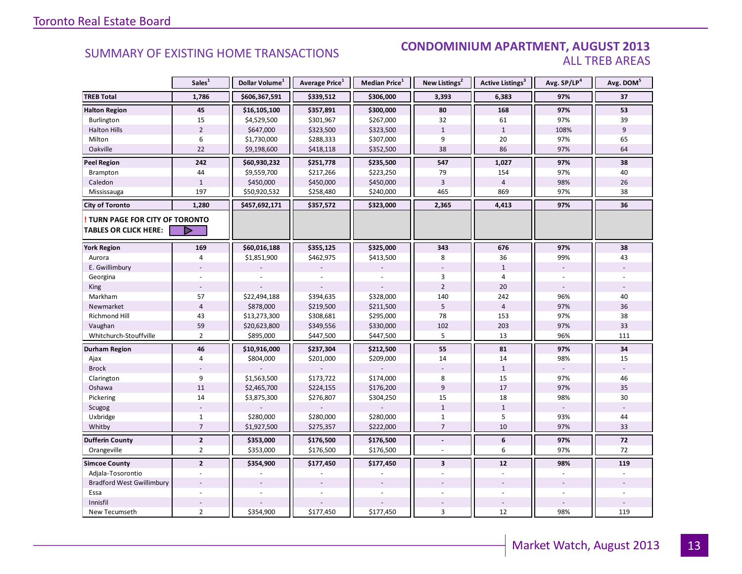#### **Industrial Leasing SUMMARY OF EXISTING HOME TRANSACTIONS CONDOMINIUM APARTMENT, AUGUST 2013** ALL TREB AREAS

|                                                               | Sales <sup>1</sup> | Dollar Volume <sup>1</sup> | Average Price <sup>1</sup> | Median Price <sup>1</sup> | New Listings <sup>2</sup> | Active Listings <sup>3</sup> | Avg. SP/LP <sup>4</sup> | Avg. DOM <sup>5</sup> |
|---------------------------------------------------------------|--------------------|----------------------------|----------------------------|---------------------------|---------------------------|------------------------------|-------------------------|-----------------------|
| <b>TREB Total</b>                                             | 1,786              | \$606,367,591              | \$339,512                  | \$306,000                 | 3,393                     | 6,383                        | 97%                     | 37                    |
| <b>Halton Region</b>                                          | 45                 | \$16,105,100               | \$357,891                  | \$300,000                 | 80                        | 168                          | 97%                     | 53                    |
| Burlington                                                    | 15                 | \$4,529,500                | \$301,967                  | \$267,000                 | 32                        | 61                           | 97%                     | 39                    |
| <b>Halton Hills</b>                                           | $\overline{2}$     | \$647,000                  | \$323,500                  | \$323,500                 | $\mathbf{1}$              | $\mathbf{1}$                 | 108%                    | 9                     |
| Milton                                                        | 6                  | \$1,730,000                | \$288,333                  | \$307,000                 | 9                         | 20                           | 97%                     | 65                    |
| Oakville                                                      | 22                 | \$9,198,600                | \$418,118                  | \$352,500                 | 38                        | 86                           | 97%                     | 64                    |
| <b>Peel Region</b>                                            | 242                | \$60,930,232               | \$251,778                  | \$235,500                 | 547                       | 1,027                        | 97%                     | 38                    |
| Brampton                                                      | 44                 | \$9,559,700                | \$217,266                  | \$223,250                 | 79                        | 154                          | 97%                     | 40                    |
| Caledon                                                       | $\mathbf{1}$       | \$450,000                  | \$450,000                  | \$450,000                 | $\overline{3}$            | $\overline{4}$               | 98%                     | 26                    |
| Mississauga                                                   | 197                | \$50,920,532               | \$258,480                  | \$240,000                 | 465                       | 869                          | 97%                     | 38                    |
| <b>City of Toronto</b>                                        | 1,280              | \$457,692,171              | \$357,572                  | \$323,000                 | 2,365                     | 4,413                        | 97%                     | 36                    |
| TURN PAGE FOR CITY OF TORONTO<br><b>TABLES OR CLICK HERE:</b> | ▶                  |                            |                            |                           |                           |                              |                         |                       |
| <b>York Region</b>                                            | 169                | \$60,016,188               | \$355,125                  | \$325,000                 | 343                       | 676                          | 97%                     | 38                    |
| Aurora                                                        | $\overline{4}$     | \$1,851,900                | \$462,975                  | \$413,500                 | 8                         | 36                           | 99%                     | 43                    |
| E. Gwillimbury                                                |                    |                            |                            |                           |                           | $\mathbf{1}$                 |                         |                       |
| Georgina                                                      |                    |                            |                            |                           | 3                         | $\overline{4}$               |                         |                       |
| King                                                          |                    |                            |                            |                           | $\overline{2}$            | 20                           |                         |                       |
| Markham                                                       | 57                 | \$22,494,188               | \$394,635                  | \$328,000                 | 140                       | 242                          | 96%                     | 40                    |
| Newmarket                                                     | $\overline{4}$     | \$878,000                  | \$219,500                  | \$211,500                 | 5                         | $\overline{4}$               | 97%                     | 36                    |
| Richmond Hill                                                 | 43                 | \$13,273,300               | \$308,681                  | \$295,000                 | 78                        | 153                          | 97%                     | 38                    |
| Vaughan                                                       | 59                 | \$20,623,800               | \$349,556                  | \$330,000                 | 102                       | 203                          | 97%                     | 33                    |
| Whitchurch-Stouffville                                        | $\overline{2}$     | \$895,000                  | \$447,500                  | \$447,500                 | 5                         | 13                           | 96%                     | 111                   |
| Durham Region                                                 | 46                 | \$10,916,000               | \$237,304                  | \$212,500                 | 55                        | 81                           | 97%                     | 34                    |
| Ajax                                                          | $\overline{4}$     | \$804,000                  | \$201,000                  | \$209,000                 | 14                        | 14                           | 98%                     | 15                    |
| <b>Brock</b>                                                  |                    |                            |                            |                           |                           | $\mathbf{1}$                 |                         |                       |
| Clarington                                                    | 9                  | \$1,563,500                | \$173,722                  | \$174,000                 | 8                         | 15                           | 97%                     | 46                    |
| Oshawa                                                        | 11                 | \$2,465,700                | \$224,155                  | \$176,200                 | $\overline{9}$            | 17                           | 97%                     | 35                    |
| Pickering                                                     | 14                 | \$3,875,300                | \$276,807                  | \$304,250                 | 15                        | 18                           | 98%                     | 30                    |
| Scugog                                                        |                    |                            |                            |                           | $\mathbf{1}$              | $\mathbf 1$                  |                         |                       |
| Uxbridge                                                      | $1\,$              | \$280,000                  | \$280,000                  | \$280,000                 | $\mathbf{1}$              | 5                            | 93%                     | 44                    |
| Whitby                                                        | $\overline{7}$     | \$1,927,500                | \$275,357                  | \$222,000                 | $\overline{7}$            | 10                           | 97%                     | 33                    |
| <b>Dufferin County</b>                                        | $\mathbf{2}$       | \$353,000                  | \$176,500                  | \$176,500                 | $\blacksquare$            | 6                            | 97%                     | 72                    |
| Orangeville                                                   | $\overline{2}$     | \$353,000                  | \$176,500                  | \$176,500                 |                           | 6                            | 97%                     | 72                    |
| <b>Simcoe County</b>                                          | $\overline{2}$     | \$354,900                  | \$177,450                  | \$177,450                 | $\overline{\mathbf{3}}$   | 12                           | 98%                     | 119                   |
| Adjala-Tosorontio                                             |                    |                            |                            |                           |                           |                              |                         |                       |
| <b>Bradford West Gwillimbury</b>                              |                    |                            |                            |                           |                           |                              |                         |                       |
| Essa                                                          |                    |                            |                            |                           |                           |                              |                         |                       |
| Innisfil                                                      |                    |                            |                            |                           |                           |                              |                         |                       |
| New Tecumseth                                                 | $\overline{2}$     | \$354,900                  | \$177,450                  | \$177,450                 | 3                         | 12                           | 98%                     | 119                   |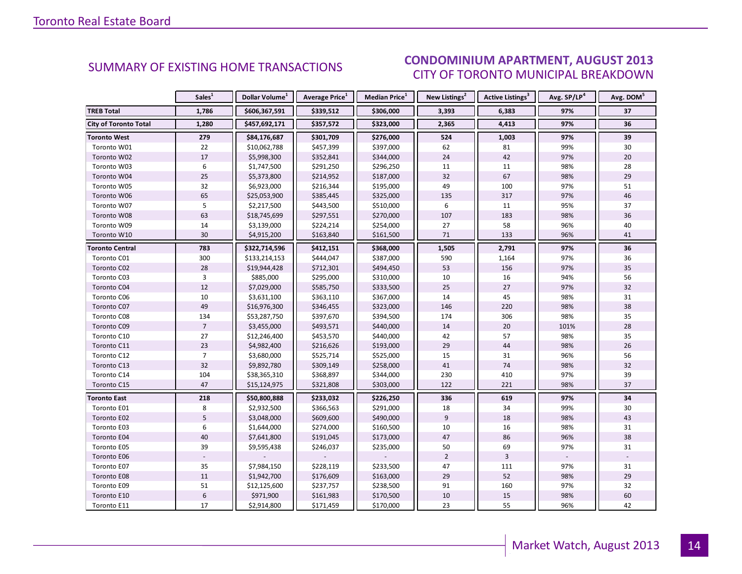#### $\overline{I}$  and  $\overline{I}$  and  $\overline{I}$  and  $\overline{I}$ CITY OF TORONTO MUNICIPAL BREAKDOWN SUMMARY OF EXISTING HOME TRANSACTIONS **CONDOMINIUM APARTMENT, AUGUST 2013**

<span id="page-13-0"></span>

|                              | Sales <sup>1</sup> | Dollar Volume <sup>1</sup> | <b>Average Price</b> <sup>1</sup> | Median Price <sup>1</sup> | New Listings <sup>2</sup> | Active Listings <sup>3</sup> | Avg. SP/LP <sup>4</sup> | Avg. DOM <sup>5</sup> |
|------------------------------|--------------------|----------------------------|-----------------------------------|---------------------------|---------------------------|------------------------------|-------------------------|-----------------------|
| <b>TREB Total</b>            | 1,786              | \$606,367,591              | \$339,512                         | \$306,000                 | 3,393                     | 6,383                        | 97%                     | 37                    |
| <b>City of Toronto Total</b> | 1,280              | \$457,692,171              | \$357,572                         | \$323,000                 | 2,365                     | 4,413                        | 97%                     | 36                    |
| <b>Toronto West</b>          | 279                | \$84,176,687               | \$301,709                         | \$276,000                 | 524                       | 1,003                        | 97%                     | 39                    |
| Toronto W01                  | 22                 | \$10,062,788               | \$457,399                         | \$397,000                 | 62                        | 81                           | 99%                     | 30                    |
| Toronto W02                  | 17                 | \$5,998,300                | \$352,841                         | \$344,000                 | 24                        | 42                           | 97%                     | 20                    |
| Toronto W03                  | 6                  | \$1,747,500                | \$291,250                         | \$296,250                 | 11                        | 11                           | 98%                     | 28                    |
| Toronto W04                  | 25                 | \$5,373,800                | \$214,952                         | \$187,000                 | 32                        | 67                           | 98%                     | 29                    |
| Toronto W05                  | 32                 | \$6,923,000                | \$216,344                         | \$195,000                 | 49                        | 100                          | 97%                     | 51                    |
| Toronto W06                  | 65                 | \$25,053,900               | \$385,445                         | \$325,000                 | 135                       | 317                          | 97%                     | 46                    |
| Toronto W07                  | 5                  | \$2,217,500                | \$443,500                         | \$510,000                 | 6                         | 11                           | 95%                     | 37                    |
| Toronto W08                  | 63                 | \$18,745,699               | \$297,551                         | \$270,000                 | 107                       | 183                          | 98%                     | 36                    |
| Toronto W09                  | 14                 | \$3,139,000                | \$224,214                         | \$254,000                 | 27                        | 58                           | 96%                     | 40                    |
| Toronto W10                  | 30                 | \$4,915,200                | \$163,840                         | \$161,500                 | 71                        | 133                          | 96%                     | 41                    |
| Toronto Central              | 783                | \$322,714,596              | \$412,151                         | \$368,000                 | 1,505                     | 2,791                        | 97%                     | 36                    |
| Toronto C01                  | 300                | \$133,214,153              | \$444,047                         | \$387,000                 | 590                       | 1,164                        | 97%                     | 36                    |
| Toronto C02                  | 28                 | \$19,944,428               | \$712,301                         | \$494,450                 | 53                        | 156                          | 97%                     | 35                    |
| Toronto C03                  | 3                  | \$885,000                  | \$295,000                         | \$310,000                 | 10                        | 16                           | 94%                     | 56                    |
| Toronto C04                  | 12                 | \$7,029,000                | \$585,750                         | \$333,500                 | 25                        | 27                           | 97%                     | 32                    |
| Toronto C06                  | 10                 | \$3,631,100                | \$363,110                         | \$367,000                 | 14                        | 45                           | 98%                     | 31                    |
| Toronto C07                  | 49                 | \$16,976,300               | \$346,455                         | \$323,000                 | 146                       | 220                          | 98%                     | 38                    |
| Toronto C08                  | 134                | \$53,287,750               | \$397,670                         | \$394,500                 | 174                       | 306                          | 98%                     | 35                    |
| Toronto C09                  | $\overline{7}$     | \$3,455,000                | \$493,571                         | \$440,000                 | 14                        | 20                           | 101%                    | 28                    |
| Toronto C10                  | 27                 | \$12,246,400               | \$453,570                         | \$440,000                 | 42                        | 57                           | 98%                     | 35                    |
| Toronto C11                  | 23                 | \$4,982,400                | \$216,626                         | \$193,000                 | 29                        | 44                           | 98%                     | 26                    |
| Toronto C12                  | $\overline{7}$     | \$3,680,000                | \$525,714                         | \$525,000                 | 15                        | 31                           | 96%                     | 56                    |
| Toronto C13                  | 32                 | \$9,892,780                | \$309,149                         | \$258,000                 | 41                        | 74                           | 98%                     | 32                    |
| Toronto C14                  | 104                | \$38,365,310               | \$368,897                         | \$344,000                 | 230                       | 410                          | 97%                     | 39                    |
| Toronto C15                  | 47                 | \$15,124,975               | \$321,808                         | \$303,000                 | 122                       | 221                          | 98%                     | 37                    |
| <b>Toronto East</b>          | 218                | \$50,800,888               | \$233,032                         | \$226,250                 | 336                       | 619                          | 97%                     | 34                    |
| Toronto E01                  | 8                  | \$2,932,500                | \$366,563                         | \$291,000                 | 18                        | 34                           | 99%                     | 30                    |
| Toronto E02                  | 5                  | \$3,048,000                | \$609,600                         | \$490,000                 | $\overline{9}$            | 18                           | 98%                     | 43                    |
| Toronto E03                  | 6                  | \$1,644,000                | \$274,000                         | \$160,500                 | 10                        | 16                           | 98%                     | 31                    |
| Toronto E04                  | 40                 | \$7,641,800                | \$191,045                         | \$173,000                 | 47                        | 86                           | 96%                     | 38                    |
| Toronto E05                  | 39                 | \$9,595,438                | \$246,037                         | \$235,000                 | 50                        | 69                           | 97%                     | 31                    |
| Toronto E06                  |                    |                            |                                   |                           | $\overline{2}$            | $\overline{3}$               |                         |                       |
| Toronto E07                  | 35                 | \$7,984,150                | \$228,119                         | \$233,500                 | 47                        | 111                          | 97%                     | 31                    |
| Toronto E08                  | 11                 | \$1,942,700                | \$176,609                         | \$163,000                 | 29                        | 52                           | 98%                     | 29                    |
| Toronto E09                  | 51                 | \$12,125,600               | \$237,757                         | \$238,500                 | 91                        | 160                          | 97%                     | 32                    |
| Toronto E10                  | $\boldsymbol{6}$   | \$971,900                  | \$161,983                         | \$170,500                 | 10                        | 15                           | 98%                     | 60                    |
| Toronto E11                  | 17                 | \$2,914,800                | \$171,459                         | \$170,000                 | 23                        | 55                           | 96%                     | 42                    |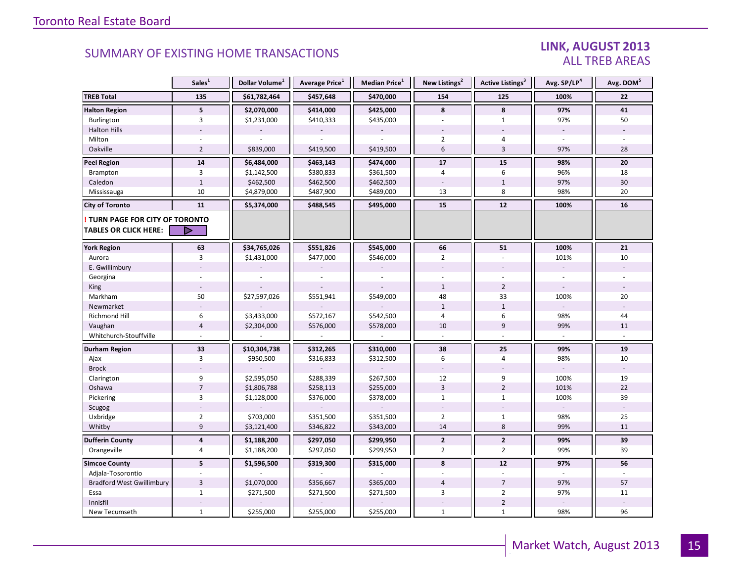### LINK, AUGUST 2013 ALL TREB AREAS

|                                                               | Sales <sup>1</sup>      | Dollar Volume <sup>1</sup> | Average Price <sup>1</sup> | Median Price <sup>1</sup> | New Listings <sup>2</sup> | Active Listings <sup>3</sup> | Avg. SP/LP <sup>4</sup>  | Avg. DOM <sup>5</sup> |
|---------------------------------------------------------------|-------------------------|----------------------------|----------------------------|---------------------------|---------------------------|------------------------------|--------------------------|-----------------------|
| <b>TREB Total</b>                                             | 135                     | \$61,782,464               | \$457,648                  | \$470,000                 | 154                       | 125                          | 100%                     | 22                    |
| <b>Halton Region</b>                                          | 5 <sup>5</sup>          | \$2,070,000                | \$414,000                  | \$425,000                 | 8                         | 8                            | 97%                      | 41                    |
| Burlington                                                    | $\overline{3}$          | \$1,231,000                | \$410,333                  | \$435,000                 | ä,                        | $\mathbf{1}$                 | 97%                      | 50                    |
| <b>Halton Hills</b>                                           |                         |                            |                            |                           |                           |                              |                          |                       |
| Milton                                                        |                         |                            |                            |                           | $\overline{2}$            | $\overline{4}$               |                          |                       |
| Oakville                                                      | $\overline{2}$          | \$839,000                  | \$419,500                  | \$419,500                 | 6                         | $\overline{3}$               | 97%                      | 28                    |
| <b>Peel Region</b>                                            | ${\bf 14}$              | \$6,484,000                | \$463,143                  | \$474,000                 | 17                        | 15                           | 98%                      | 20                    |
| Brampton                                                      | 3                       | \$1,142,500                | \$380,833                  | \$361,500                 | 4                         | 6                            | 96%                      | 18                    |
| Caledon                                                       | $\mathbf{1}$            | \$462,500                  | \$462,500                  | \$462,500                 |                           | $\mathbf{1}$                 | 97%                      | 30                    |
| Mississauga                                                   | 10                      | \$4,879,000                | \$487,900                  | \$489,000                 | 13                        | 8                            | 98%                      | 20                    |
| <b>City of Toronto</b>                                        | 11                      | \$5,374,000                | \$488,545                  | \$495,000                 | 15                        | 12                           | 100%                     | 16                    |
| TURN PAGE FOR CITY OF TORONTO<br><b>TABLES OR CLICK HERE:</b> | ⋗                       |                            |                            |                           |                           |                              |                          |                       |
| <b>York Region</b>                                            | 63                      | \$34,765,026               | \$551,826                  | \$545,000                 | 66                        | 51                           | 100%                     | 21                    |
| Aurora                                                        | 3                       | \$1,431,000                | \$477,000                  | \$546,000                 | $\overline{2}$            |                              | 101%                     | 10                    |
| E. Gwillimbury                                                |                         |                            |                            |                           |                           |                              |                          |                       |
| Georgina                                                      |                         |                            |                            |                           |                           |                              |                          |                       |
| King                                                          |                         |                            |                            |                           | $\mathbf{1}$              | $\overline{2}$               | $\overline{\phantom{a}}$ |                       |
| Markham                                                       | 50                      | \$27,597,026               | \$551,941                  | \$549,000                 | 48                        | 33                           | 100%                     | 20                    |
| Newmarket                                                     |                         |                            |                            |                           | $\mathbf{1}$              | $\mathbf{1}$                 |                          |                       |
| <b>Richmond Hill</b>                                          | 6                       | \$3,433,000                | \$572,167                  | \$542,500                 | 4                         | 6                            | 98%                      | 44                    |
| Vaughan                                                       | $\overline{4}$          | \$2,304,000                | \$576,000                  | \$578,000                 | 10                        | $\overline{9}$               | 99%                      | 11                    |
| Whitchurch-Stouffville                                        |                         |                            |                            |                           |                           |                              |                          |                       |
| <b>Durham Region</b>                                          | 33                      | \$10,304,738               | \$312,265                  | \$310,000                 | 38                        | 25                           | 99%                      | ${\bf 19}$            |
| Ajax                                                          | 3                       | \$950,500                  | \$316,833                  | \$312,500                 | 6                         | 4                            | 98%                      | 10                    |
| <b>Brock</b>                                                  |                         |                            |                            |                           |                           |                              |                          |                       |
| Clarington                                                    | 9                       | \$2,595,050                | \$288,339                  | \$267,500                 | 12                        | 9                            | 100%                     | 19                    |
| Oshawa                                                        | $\overline{7}$          | \$1,806,788                | \$258,113                  | \$255,000                 | $\overline{3}$            | $\overline{2}$               | 101%                     | 22                    |
| Pickering                                                     | 3                       | \$1,128,000                | \$376,000                  | \$378,000                 | $\mathbf{1}$              | $\mathbf{1}$                 | 100%                     | 39                    |
| Scugog                                                        |                         |                            |                            |                           |                           |                              |                          |                       |
| Uxbridge                                                      | $\overline{2}$          | \$703,000                  | \$351,500                  | \$351,500                 | $\overline{2}$            | $1\,$                        | 98%                      | 25                    |
| Whitby                                                        | 9                       | \$3,121,400                | \$346,822                  | \$343,000                 | 14                        | 8                            | 99%                      | 11                    |
| <b>Dufferin County</b>                                        | $\overline{\mathbf{4}}$ | \$1,188,200                | \$297,050                  | \$299,950                 | $\overline{2}$            | $\mathbf{2}$                 | 99%                      | 39                    |
| Orangeville                                                   | 4                       | \$1,188,200                | \$297,050                  | \$299,950                 | $\overline{2}$            | $\overline{2}$               | 99%                      | 39                    |
| <b>Simcoe County</b>                                          | 5                       | \$1,596,500                | \$319,300                  | \$315,000                 | 8                         | 12                           | 97%                      | 56                    |
| Adjala-Tosorontio                                             |                         |                            |                            |                           |                           |                              |                          |                       |
| <b>Bradford West Gwillimbury</b>                              | $\overline{3}$          | \$1,070,000                | \$356,667                  | \$365,000                 | $\overline{4}$            | $\overline{7}$               | 97%                      | 57                    |
| Essa                                                          | $\mathbf{1}$            | \$271,500                  | \$271,500                  | \$271,500                 | 3                         | $\overline{2}$               | 97%                      | 11                    |
| Innisfil                                                      |                         |                            |                            |                           |                           | $\mathbf 2$                  |                          |                       |
| New Tecumseth                                                 | $\mathbf{1}$            | \$255,000                  | \$255,000                  | \$255,000                 | $\mathbf{1}$              | $\mathbf{1}$                 | 98%                      | 96                    |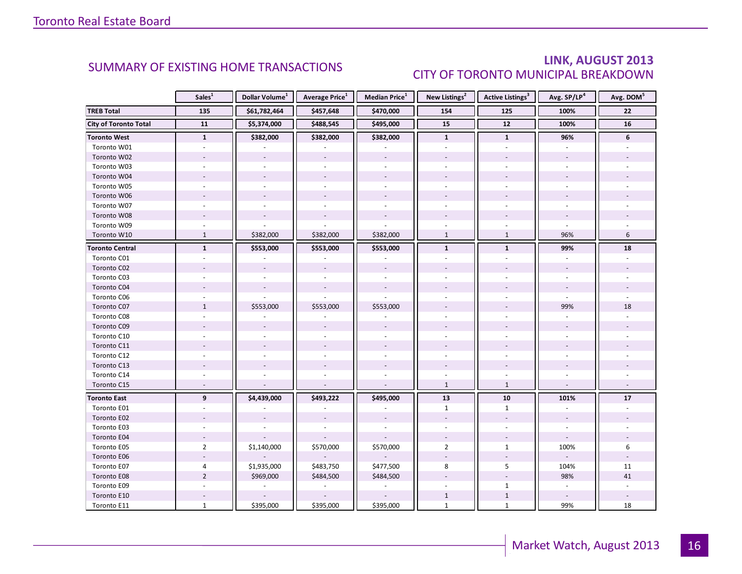### LINK, AUGUST 2013 CITY OF TORONTO MUNICIPAL BREAKDOWN

<span id="page-15-0"></span>

|                              | Sales <sup>1</sup>       | Dollar Volume <sup>1</sup> | <b>Average Price</b> <sup>1</sup> | <b>Median Price</b> <sup>1</sup> | New Listings <sup>2</sup> | <b>Active Listings<sup>3</sup></b> | Avg. SP/LP <sup>4</sup>  | Avg. DOM <sup>5</sup> |
|------------------------------|--------------------------|----------------------------|-----------------------------------|----------------------------------|---------------------------|------------------------------------|--------------------------|-----------------------|
| <b>TREB Total</b>            | 135                      | \$61,782,464               | \$457,648                         | \$470,000                        | 154                       | 125                                | 100%                     | 22                    |
| <b>City of Toronto Total</b> | 11                       | \$5,374,000                | \$488,545                         | \$495,000                        | 15                        | $12$                               | 100%                     | 16                    |
| <b>Toronto West</b>          | $\mathbf{1}$             | \$382,000                  | \$382,000                         | \$382,000                        | $\mathbf{1}$              | $\mathbf{1}$                       | 96%                      | $6\phantom{1}$        |
| Toronto W01                  |                          |                            |                                   |                                  |                           |                                    |                          |                       |
| Toronto W02                  |                          | $\sim$                     | $\overline{a}$                    | $\overline{a}$                   |                           |                                    |                          |                       |
| Toronto W03                  | ÷.                       | $\sim$                     | $\bar{a}$                         | $\sim$                           | ÷.                        | ÷.                                 |                          |                       |
| Toronto W04                  |                          |                            |                                   |                                  |                           |                                    |                          |                       |
| Toronto W05                  |                          |                            |                                   |                                  |                           |                                    |                          |                       |
| Toronto W06                  |                          | $\sim$                     | $\overline{\phantom{a}}$          |                                  |                           |                                    |                          |                       |
| Toronto W07                  | ٠                        | $\sim$                     |                                   | $\sim$                           | $\sim$                    | ÷.                                 |                          |                       |
| Toronto W08                  |                          |                            |                                   |                                  |                           |                                    |                          |                       |
| Toronto W09                  |                          |                            |                                   |                                  |                           |                                    |                          |                       |
| Toronto W10                  | $\mathbf{1}$             | \$382,000                  | \$382,000                         | \$382,000                        | $\mathbf{1}$              | $\mathbf{1}$                       | 96%                      | 6                     |
| <b>Toronto Central</b>       | $\mathbf{1}$             | \$553,000                  | \$553,000                         | \$553,000                        | $\mathbf{1}$              | $\mathbf{1}$                       | 99%                      | 18                    |
| Toronto C01                  |                          |                            |                                   |                                  |                           |                                    |                          |                       |
| Toronto C02                  |                          |                            |                                   |                                  |                           |                                    |                          |                       |
| Toronto C03                  |                          |                            |                                   |                                  |                           |                                    |                          |                       |
| Toronto C04                  |                          |                            |                                   |                                  |                           |                                    |                          |                       |
| Toronto C06                  |                          |                            |                                   |                                  |                           |                                    |                          |                       |
| Toronto C07                  | $\mathbf{1}$             | \$553,000                  | \$553,000                         | \$553,000                        |                           |                                    | 99%                      | 18                    |
| Toronto C08                  |                          |                            |                                   |                                  |                           |                                    |                          |                       |
| Toronto C09                  |                          |                            |                                   |                                  |                           |                                    |                          |                       |
| Toronto C10                  |                          |                            |                                   |                                  |                           |                                    |                          |                       |
| Toronto C11                  |                          |                            |                                   |                                  |                           |                                    |                          |                       |
| Toronto C12                  |                          |                            |                                   | ÷,                               |                           |                                    |                          |                       |
| Toronto C13                  |                          |                            |                                   |                                  |                           |                                    |                          |                       |
| Toronto C14                  | ÷                        |                            |                                   | L.                               | $\sim$                    | $\overline{a}$                     |                          |                       |
| Toronto C15                  | $\overline{a}$           |                            |                                   |                                  | $\mathbf{1}$              | $\mathbf{1}$                       |                          |                       |
| <b>Toronto East</b>          | 9                        | \$4,439,000                | \$493,222                         | \$495,000                        | 13                        | 10                                 | 101%                     | 17                    |
| Toronto E01                  |                          |                            |                                   |                                  | $\mathbf{1}$              | $\mathbf{1}$                       | $\bar{a}$                |                       |
| Toronto E02                  |                          |                            |                                   |                                  | $\overline{a}$            | $\overline{a}$                     |                          |                       |
| Toronto E03                  |                          |                            |                                   |                                  |                           |                                    |                          |                       |
| Toronto E04                  | $\overline{\phantom{a}}$ |                            |                                   |                                  | $\overline{\phantom{a}}$  | $\sim$                             | $\overline{\phantom{a}}$ |                       |
| Toronto E05                  | $\overline{2}$           | \$1,140,000                | \$570,000                         | \$570,000                        | $\overline{2}$            | $\mathbf{1}$                       | 100%                     | 6                     |
| Toronto E06                  |                          |                            |                                   |                                  |                           |                                    |                          |                       |
| Toronto E07                  | 4                        | \$1,935,000                | \$483,750                         | \$477,500                        | 8                         | 5                                  | 104%                     | 11                    |
| Toronto E08                  | $\overline{2}$           | \$969,000                  | \$484,500                         | \$484,500                        |                           |                                    | 98%                      | 41                    |
| Toronto E09                  |                          | $\sim$                     | $\bar{a}$                         | $\sim$                           |                           | $\mathbf{1}$                       | $\bar{a}$                |                       |
| Toronto E10                  |                          |                            |                                   |                                  | $\mathbf{1}$              | $1\,$                              |                          |                       |
| Toronto E11                  | $\mathbf{1}$             | \$395,000                  | \$395,000                         | \$395,000                        | $\mathbf{1}$              | $\mathbf{1}$                       | 99%                      | 18                    |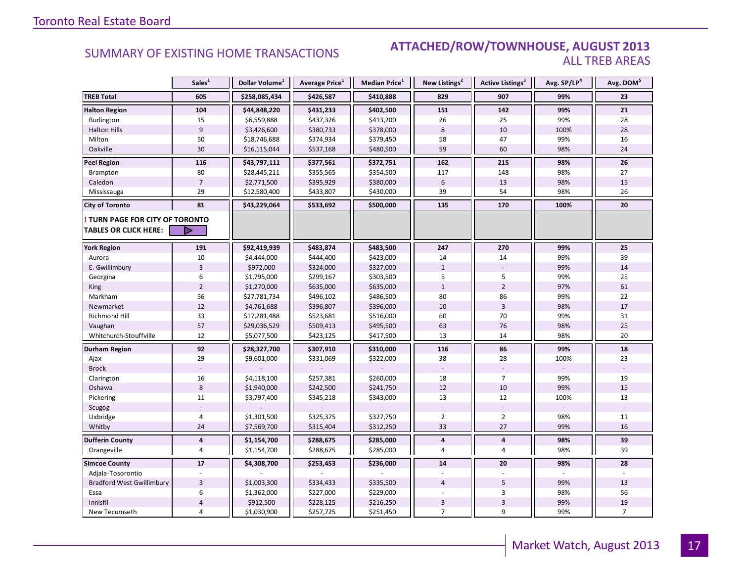#### SUMMARY OF EXISTING HOME TRANSACTIONS **ATTACHED/ROW/TOWNHOUSE, AUGUST 2013** ALL TREB AREAS

|                                  | Sales <sup>1</sup> | Dollar Volume <sup>1</sup> | Average Price <sup>1</sup> | Median Price <sup>1</sup> | New Listings <sup>2</sup> | <b>Active Listings</b> <sup>3</sup> | Avg. SP/LP4 | Avg. DOM <sup>5</sup> |
|----------------------------------|--------------------|----------------------------|----------------------------|---------------------------|---------------------------|-------------------------------------|-------------|-----------------------|
| <b>TREB Total</b>                | 605                | \$258,085,434              | \$426,587                  | \$410,888                 | 829                       | 907                                 | 99%         | 23                    |
| <b>Halton Region</b>             | 104                | \$44,848,220               | \$431,233                  | \$402,500                 | 151                       | 142                                 | 99%         | 21                    |
| Burlington                       | 15                 | \$6,559,888                | \$437,326                  | \$413,200                 | 26                        | 25                                  | 99%         | 28                    |
| <b>Halton Hills</b>              | $\overline{9}$     | \$3,426,600                | \$380,733                  | \$378,000                 | 8                         | 10                                  | 100%        | 28                    |
| Milton                           | 50                 | \$18,746,688               | \$374,934                  | \$379,450                 | 58                        | 47                                  | 99%         | 16                    |
| Oakville                         | 30                 | \$16,115,044               | \$537,168                  | \$480,500                 | 59                        | 60                                  | 98%         | 24                    |
| Peel Region                      | 116                | \$43,797,111               | \$377,561                  | \$372,751                 | 162                       | 215                                 | 98%         | 26                    |
| Brampton                         | 80                 | \$28,445,211               | \$355,565                  | \$354,500                 | 117                       | 148                                 | 98%         | 27                    |
| Caledon                          | $\overline{7}$     | \$2,771,500                | \$395,929                  | \$380,000                 | 6                         | 13                                  | 98%         | 15                    |
| Mississauga                      | 29                 | \$12,580,400               | \$433,807                  | \$430,000                 | 39                        | 54                                  | 98%         | 26                    |
| <b>City of Toronto</b>           | 81                 | \$43,229,064               | \$533,692                  | \$500,000                 | 135                       | 170                                 | 100%        | 20                    |
| TURN PAGE FOR CITY OF TORONTO    |                    |                            |                            |                           |                           |                                     |             |                       |
| <b>TABLES OR CLICK HERE:</b>     | $\triangleright$   |                            |                            |                           |                           |                                     |             |                       |
| <b>York Region</b>               | 191                | \$92,419,939               | \$483,874                  | \$483,500                 | 247                       | 270                                 | 99%         | 25                    |
| Aurora                           | 10                 | \$4,444,000                | \$444,400                  | \$423,000                 | 14                        | 14                                  | 99%         | 39                    |
| E. Gwillimbury                   | $\overline{3}$     | \$972,000                  | \$324,000                  | \$327,000                 | $\mathbf{1}$              |                                     | 99%         | 14                    |
| Georgina                         | 6                  | \$1,795,000                | \$299,167                  | \$303,500                 | 5                         | 5                                   | 99%         | 25                    |
| King                             | $\overline{2}$     | \$1,270,000                | \$635,000                  | \$635,000                 | $\mathbf{1}$              | $\overline{2}$                      | 97%         | 61                    |
| Markham                          | 56                 | \$27,781,734               | \$496,102                  | \$486,500                 | 80                        | 86                                  | 99%         | 22                    |
| Newmarket                        | 12                 | \$4,761,688                | \$396,807                  | \$396,000                 | 10                        | $\overline{3}$                      | 98%         | 17                    |
| Richmond Hill                    | 33                 | \$17,281,488               | \$523,681                  | \$516,000                 | 60                        | 70                                  | 99%         | 31                    |
| Vaughan                          | 57                 | \$29,036,529               | \$509,413                  | \$495,500                 | 63                        | 76                                  | 98%         | 25                    |
| Whitchurch-Stouffville           | 12                 | \$5,077,500                | \$423,125                  | \$417,500                 | 13                        | 14                                  | 98%         | 20                    |
| Durham Region                    | 92                 | \$28,327,700               | \$307,910                  | \$310,000                 | 116                       | 86                                  | 99%         | 18                    |
| Ajax                             | 29                 | \$9,601,000                | \$331,069                  | \$322,000                 | 38                        | 28                                  | 100%        | 23                    |
| <b>Brock</b>                     |                    |                            |                            |                           |                           |                                     |             |                       |
| Clarington                       | 16                 | \$4,118,100                | \$257,381                  | \$260,000                 | 18                        | $\overline{7}$                      | 99%         | 19                    |
| Oshawa                           | $\,8\,$            | \$1,940,000                | \$242,500                  | \$241,750                 | 12                        | 10                                  | 99%         | 15                    |
| Pickering                        | 11                 | \$3,797,400                | \$345,218                  | \$343,000                 | 13                        | 12                                  | 100%        | 13                    |
| Scugog                           |                    |                            |                            |                           |                           |                                     |             |                       |
| Uxbridge                         | $\overline{4}$     | \$1,301,500                | \$325,375                  | \$327,750                 | $\overline{2}$            | $\overline{2}$                      | 98%         | 11                    |
| Whitby                           | 24                 | \$7,569,700                | \$315,404                  | \$312,250                 | 33                        | 27                                  | 99%         | 16                    |
| <b>Dufferin County</b>           | $\pmb{4}$          | \$1,154,700                | \$288,675                  | \$285,000                 | 4                         | $\overline{\mathbf{4}}$             | 98%         | 39                    |
| Orangeville                      | $\overline{4}$     | \$1,154,700                | \$288,675                  | \$285,000                 | 4                         | $\overline{4}$                      | 98%         | 39                    |
| <b>Simcoe County</b>             | $17$               | \$4,308,700                | \$253,453                  | \$236,000                 | 14                        | 20                                  | 98%         | 28                    |
| Adjala-Tosorontio                |                    |                            |                            |                           |                           |                                     |             |                       |
| <b>Bradford West Gwillimbury</b> | $\overline{3}$     | \$1,003,300                | \$334,433                  | \$335,500                 | $\overline{4}$            | 5                                   | 99%         | 13                    |
| Essa                             | 6                  | \$1,362,000                | \$227,000                  | \$229,000                 |                           | 3                                   | 98%         | 56                    |
| Innisfil                         | $\overline{4}$     | \$912,500                  | \$228,125                  | \$216,250                 | 3                         | $\overline{3}$                      | 99%         | 19                    |
| New Tecumseth                    | $\overline{4}$     | \$1,030,900                | \$257,725                  | \$251,450                 | $\overline{7}$            | 9                                   | 99%         | $\overline{7}$        |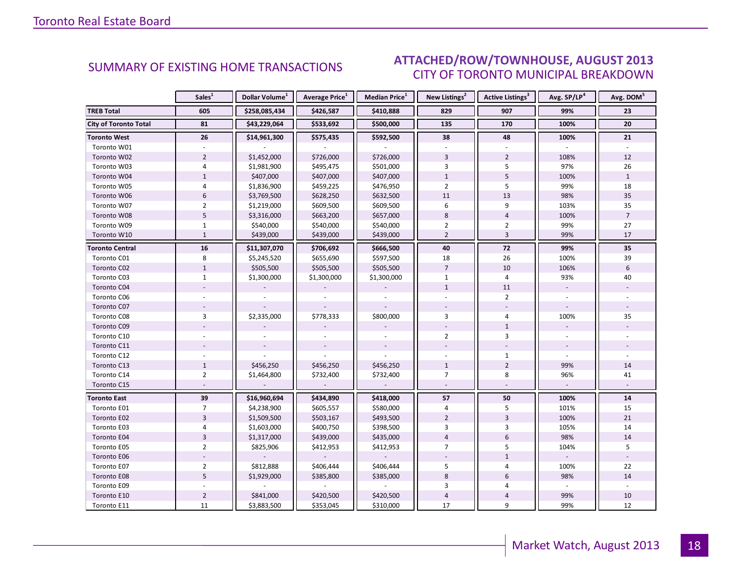#### ALIGUST 2012 CITY OF TORONTO MUNICIPAL BREAKDOWN SUMMARY OF EXISTING HOME TRANSACTIONS **ATTACHED/ROW/TOWNHOUSE, AUGUST 2013**

<span id="page-17-0"></span>

|                              | Sales <sup>1</sup> | Dollar Volume <sup>1</sup> | <b>Average Price</b> <sup>1</sup> | Median Price <sup>1</sup> | New Listings <sup>2</sup> | Active Listings <sup>3</sup> | Avg. SP/LP <sup>4</sup> | Avg. DOM <sup>5</sup> |
|------------------------------|--------------------|----------------------------|-----------------------------------|---------------------------|---------------------------|------------------------------|-------------------------|-----------------------|
| <b>TREB Total</b>            | 605                | \$258,085,434              | \$426,587                         | \$410,888                 | 829                       | 907                          | 99%                     | 23                    |
| <b>City of Toronto Total</b> | 81                 | \$43,229,064               | \$533,692                         | \$500,000                 | 135                       | 170                          | 100%                    | 20                    |
| <b>Toronto West</b>          | 26                 | \$14,961,300               | \$575,435                         | \$592,500                 | 38                        | 48                           | 100%                    | 21                    |
| Toronto W01                  |                    |                            |                                   |                           |                           |                              |                         |                       |
| Toronto W02                  | $\overline{2}$     | \$1,452,000                | \$726,000                         | \$726,000                 | $\overline{3}$            | $\overline{2}$               | 108%                    | 12                    |
| Toronto W03                  | 4                  | \$1,981,900                | \$495,475                         | \$501,000                 | 3                         | 5                            | 97%                     | 26                    |
| Toronto W04                  | $\mathbf{1}$       | \$407,000                  | \$407,000                         | \$407,000                 | $\mathbf{1}$              | 5                            | 100%                    | $\mathbf{1}$          |
| Toronto W05                  | 4                  | \$1,836,900                | \$459,225                         | \$476,950                 | $\overline{2}$            | 5                            | 99%                     | 18                    |
| Toronto W06                  | $6\,$              | \$3,769,500                | \$628,250                         | \$632,500                 | 11                        | 13                           | 98%                     | 35                    |
| Toronto W07                  | $\overline{2}$     | \$1,219,000                | \$609,500                         | \$609,500                 | 6                         | 9                            | 103%                    | 35                    |
| Toronto W08                  | 5                  | \$3,316,000                | \$663,200                         | \$657,000                 | 8                         | $\overline{4}$               | 100%                    | $\overline{7}$        |
| Toronto W09                  | $\mathbf{1}$       | \$540,000                  | \$540,000                         | \$540,000                 | $\overline{2}$            | $\overline{2}$               | 99%                     | 27                    |
| Toronto W10                  | $\overline{1}$     | \$439,000                  | \$439,000                         | \$439,000                 | $\overline{2}$            | $\overline{3}$               | 99%                     | 17                    |
| <b>Toronto Central</b>       | 16                 | \$11,307,070               | \$706,692                         | \$666,500                 | 40                        | 72                           | 99%                     | 35                    |
| Toronto C01                  | 8                  | \$5,245,520                | \$655,690                         | \$597,500                 | 18                        | 26                           | 100%                    | 39                    |
| Toronto C02                  | $\mathbf{1}$       | \$505,500                  | \$505,500                         | \$505,500                 | $\overline{7}$            | 10                           | 106%                    | 6                     |
| Toronto C03                  | $\mathbf{1}$       | \$1,300,000                | \$1,300,000                       | \$1,300,000               | $\mathbf{1}$              | $\overline{4}$               | 93%                     | 40                    |
| Toronto C04                  |                    |                            |                                   |                           | $\mathbf{1}$              | 11                           |                         |                       |
| Toronto C06                  |                    |                            |                                   |                           |                           | $\overline{2}$               |                         |                       |
| Toronto C07                  |                    |                            |                                   |                           |                           |                              |                         |                       |
| Toronto C08                  | 3                  | \$2,335,000                | \$778,333                         | \$800,000                 | 3                         | 4                            | 100%                    | 35                    |
| Toronto C09                  |                    |                            |                                   |                           |                           | $\mathbf{1}$                 |                         |                       |
| Toronto C10                  |                    |                            |                                   |                           | $\overline{2}$            | 3                            |                         |                       |
| Toronto C11                  |                    |                            |                                   |                           |                           |                              |                         |                       |
| Toronto C12                  |                    |                            |                                   |                           |                           | $\mathbf{1}$                 |                         |                       |
| Toronto C13                  | $\mathbf{1}$       | \$456,250                  | \$456,250                         | \$456,250                 | $\mathbf{1}$              | $\overline{2}$               | 99%                     | 14                    |
| Toronto C14                  | $\overline{2}$     | \$1,464,800                | \$732,400                         | \$732,400                 | $\overline{7}$            | 8                            | 96%                     | 41                    |
| Toronto C15                  |                    |                            |                                   |                           |                           |                              |                         |                       |
| <b>Toronto East</b>          | 39                 | \$16,960,694               | \$434,890                         | \$418,000                 | 57                        | 50                           | 100%                    | 14                    |
| Toronto E01                  | $\overline{7}$     | \$4,238,900                | \$605,557                         | \$580,000                 | 4                         | 5                            | 101%                    | 15                    |
| Toronto E02                  | $\overline{3}$     | \$1,509,500                | \$503,167                         | \$493,500                 | $\overline{2}$            | $\overline{3}$               | 100%                    | 21                    |
| Toronto E03                  | 4                  | \$1,603,000                | \$400,750                         | \$398,500                 | 3                         | 3                            | 105%                    | 14                    |
| Toronto E04                  | $\overline{3}$     | \$1,317,000                | \$439,000                         | \$435,000                 | $\overline{\mathbf{4}}$   | 6                            | 98%                     | 14                    |
| Toronto E05                  | $\overline{2}$     | \$825,906                  | \$412,953                         | \$412,953                 | $\overline{7}$            | 5                            | 104%                    | 5                     |
| Toronto E06                  |                    |                            |                                   |                           |                           | $\mathbf{1}$                 |                         |                       |
| Toronto E07                  | $\overline{2}$     | \$812,888                  | \$406,444                         | \$406,444                 | 5                         | 4                            | 100%                    | 22                    |
| Toronto E08                  | 5                  | \$1,929,000                | \$385,800                         | \$385,000                 | 8                         | 6                            | 98%                     | 14                    |
| Toronto E09                  |                    |                            |                                   |                           | 3                         | 4                            |                         |                       |
| Toronto E10                  | $\overline{2}$     | \$841,000                  | \$420,500                         | \$420,500                 | 4                         | 4                            | 99%                     | 10                    |
| Toronto E11                  | 11                 | \$3,883,500                | \$353,045                         | \$310,000                 | 17                        | 9                            | 99%                     | 12                    |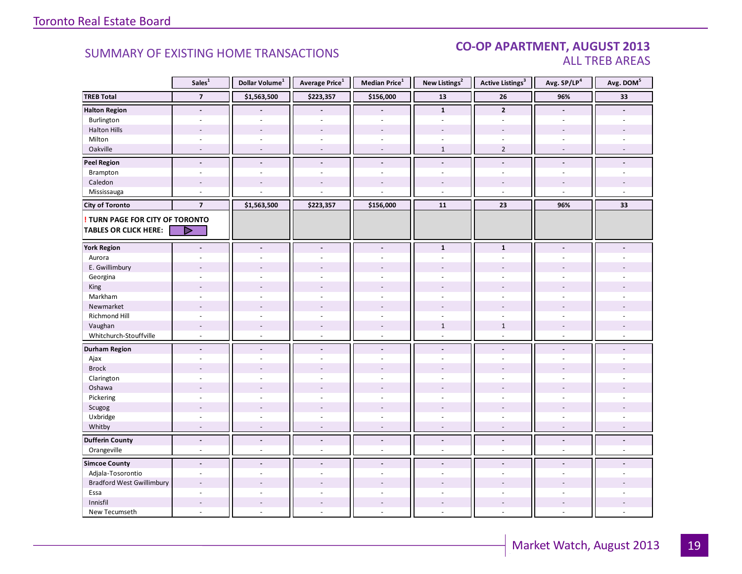#### CO-OP APARTMENT, AUGUST 2013 ALL TREB AREAS

|                                  | Sales <sup>1</sup>       | Dollar Volume <sup>1</sup> | Average Price <sup>1</sup> | Median Price $^1$        | New Listings <sup>2</sup> | <b>Active Listings<sup>3</sup></b> | Avg. SP/LP <sup>4</sup>  | Avg. DOM <sup>5</sup> |
|----------------------------------|--------------------------|----------------------------|----------------------------|--------------------------|---------------------------|------------------------------------|--------------------------|-----------------------|
| <b>TREB Total</b>                | $\overline{\phantom{a}}$ | \$1,563,500                | \$223,357                  | \$156,000                | ${\bf 13}$                | 26                                 | 96%                      | 33                    |
| <b>Halton Region</b>             | $\overline{\phantom{a}}$ |                            |                            |                          | $\mathbf{1}$              | $\overline{2}$                     | $\overline{a}$           |                       |
| Burlington                       | ÷,                       |                            |                            |                          |                           |                                    |                          |                       |
| <b>Halton Hills</b>              | $\sim$                   | $\overline{\phantom{a}}$   | $\overline{a}$             | $\overline{a}$           |                           |                                    | ٠                        |                       |
| Milton                           | $\sim$                   | $\sim$                     | $\sim$                     | $\omega$                 | $\sim$                    | $\sim$                             | ÷.                       |                       |
| Oakville                         | $\overline{a}$           | $\sim$                     | $\sim$                     | $\overline{\phantom{a}}$ | $\mathbf{1}$              | $\overline{2}$                     | $\overline{a}$           | ÷,                    |
| <b>Peel Region</b>               | $\blacksquare$           | $\overline{\phantom{a}}$   | $\blacksquare$             | $\overline{\phantom{a}}$ | $\overline{\phantom{a}}$  | $\blacksquare$                     | $\overline{\phantom{a}}$ | $\blacksquare$        |
| Brampton                         | ÷,                       | ÷.                         | ä,                         | $\omega$                 | ä,                        | ä,                                 | ä,                       | L.                    |
| Caledon                          | $\overline{a}$           |                            |                            |                          |                           |                                    |                          |                       |
| Mississauga                      | $\overline{a}$           |                            |                            |                          | ÷,                        | $\overline{a}$                     |                          |                       |
| <b>City of Toronto</b>           | $\overline{\mathbf{z}}$  | \$1,563,500                | \$223,357                  | \$156,000                | 11                        | 23                                 | 96%                      | 33                    |
| TURN PAGE FOR CITY OF TORONTO    |                          |                            |                            |                          |                           |                                    |                          |                       |
| <b>TABLES OR CLICK HERE:</b>     | D                        |                            |                            |                          |                           |                                    |                          |                       |
|                                  |                          |                            |                            |                          |                           |                                    |                          |                       |
| <b>York Region</b>               |                          | $\overline{a}$             | $\blacksquare$             | $\blacksquare$           | $\mathbf{1}$              | $\mathbf 1$                        |                          |                       |
| Aurora                           |                          |                            |                            |                          | ä,                        | ÷.                                 |                          |                       |
| E. Gwillimbury                   |                          |                            |                            |                          |                           |                                    |                          |                       |
| Georgina                         |                          |                            | ÷                          |                          |                           |                                    |                          |                       |
| King                             | $\overline{a}$           | $\overline{a}$             | $\overline{a}$             |                          |                           |                                    |                          |                       |
| Markham                          | $\sim$                   | $\bar{a}$                  | ä,                         | ÷,                       | ÷,                        | $\sim$                             |                          |                       |
| Newmarket                        |                          |                            |                            |                          |                           |                                    |                          |                       |
| Richmond Hill                    |                          |                            |                            |                          |                           |                                    |                          |                       |
| Vaughan                          | $\sim$                   | $\overline{\phantom{a}}$   | $\overline{\phantom{a}}$   | $\overline{\phantom{a}}$ | $\mathbf{1}$              | $\mathbf{1}$                       |                          |                       |
| Whitchurch-Stouffville           | $\sim$                   | $\sim$                     | $\overline{a}$             | $\mathcal{L}$            | ÷.                        | $\sim$                             | $\sim$                   |                       |
| <b>Durham Region</b>             | $\blacksquare$           | $\blacksquare$             | $\blacksquare$             | $\blacksquare$           | $\blacksquare$            | $\sim$                             | $\blacksquare$           |                       |
| Ajax                             | ä,                       | $\bar{a}$                  | $\bar{a}$                  | $\sim$                   | ÷,                        | ÷,                                 |                          |                       |
| <b>Brock</b>                     | $\overline{a}$           | $\overline{a}$             | $\overline{a}$             |                          |                           |                                    |                          |                       |
| Clarington                       |                          |                            | ÷.                         |                          |                           |                                    |                          |                       |
| Oshawa                           | L.                       |                            |                            |                          |                           |                                    |                          |                       |
| Pickering                        | $\sim$                   | $\overline{a}$             | ÷.                         | $\sim$                   | L.                        | ÷.                                 | ÷                        |                       |
| Scugog                           |                          |                            |                            |                          |                           |                                    |                          |                       |
| Uxbridge                         | $\sim$                   | ÷.                         | $\overline{a}$             | $\sim$                   | ÷.                        | ÷.                                 | $\sim$                   |                       |
| Whitby                           | $\overline{\phantom{a}}$ | $\overline{a}$             | $\overline{\phantom{a}}$   | $\sim$                   | $\overline{\phantom{a}}$  | $\overline{\phantom{a}}$           | $\overline{\phantom{a}}$ | $\overline{a}$        |
| <b>Dufferin County</b>           | $\overline{a}$           | $\Box$                     | $\overline{a}$             | $\Box$                   | $\overline{a}$            | $\mathbf{v}$                       | $\Box$                   | ä,                    |
| Orangeville                      | $\sim$                   | $\sim$                     | L.                         | $\overline{a}$           | $\overline{\phantom{a}}$  | $\overline{\phantom{a}}$           | $\sim$                   | L.                    |
| <b>Simcoe County</b>             | $\overline{a}$           | $\overline{a}$             | $\overline{a}$             | $\blacksquare$           | $\overline{a}$            | ÷                                  | $\blacksquare$           |                       |
| Adjala-Tosorontio                | $\sim$                   | ÷.                         | ä,                         |                          | ä,                        | ÷.                                 |                          |                       |
| <b>Bradford West Gwillimbury</b> |                          |                            |                            |                          |                           |                                    |                          |                       |
| Essa                             | ÷.                       | $\overline{a}$             | L.                         | $\overline{a}$           | ÷                         | ÷.                                 | ÷                        |                       |
| Innisfil                         |                          |                            |                            |                          |                           |                                    |                          |                       |
| New Tecumseth                    | $\sim$                   |                            | ÷.                         |                          | ÷.                        | ÷.                                 | ÷                        |                       |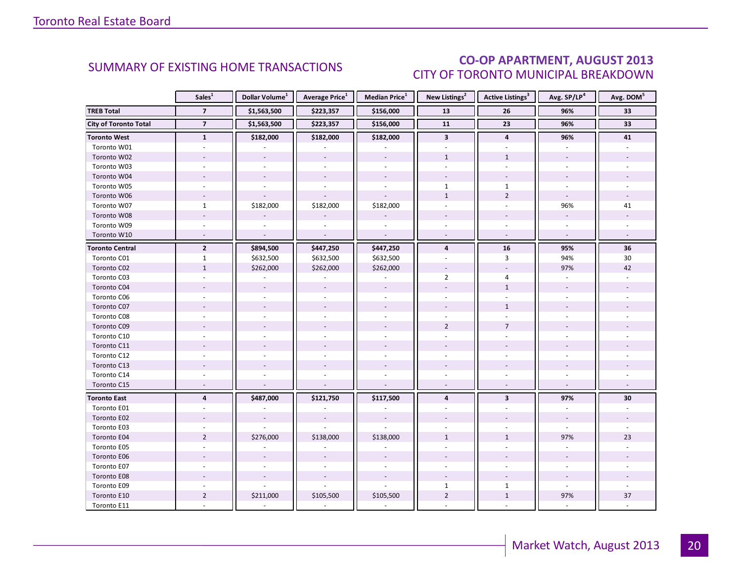### CO-OP APARTMENT, AUGUST 2013 CITY OF TORONTO MUNICIPAL BREAKDOWN

<span id="page-19-0"></span>

|                              | Sales <sup>1</sup>       | Dollar Volume <sup>1</sup> | <b>Average Price</b> <sup>1</sup> | Median Price <sup>1</sup> | New Listings <sup>2</sup> | <b>Active Listings<sup>3</sup></b> | Avg. SP/LP <sup>4</sup>  | Avg. DOM <sup>5</sup> |
|------------------------------|--------------------------|----------------------------|-----------------------------------|---------------------------|---------------------------|------------------------------------|--------------------------|-----------------------|
| <b>TREB Total</b>            | $\overline{7}$           | \$1,563,500                | \$223,357                         | \$156,000                 | 13                        | 26                                 | 96%                      | 33                    |
| <b>City of Toronto Total</b> | $\overline{7}$           | \$1,563,500                | \$223,357                         | \$156,000                 | 11                        | 23                                 | 96%                      | 33                    |
| <b>Toronto West</b>          | $\mathbf{1}$             | \$182,000                  | \$182,000                         | \$182,000                 | $\overline{\mathbf{3}}$   | $\overline{\mathbf{4}}$            | 96%                      | 41                    |
| Toronto W01                  |                          |                            |                                   |                           |                           |                                    |                          |                       |
| Toronto W02                  | $\overline{\phantom{a}}$ | $\sim$                     | $\equiv$                          | $\sim$                    | $\mathbf{1}$              | $\mathbf{1}$                       |                          |                       |
| Toronto W03                  | $\omega$                 | $\sim$                     | $\omega$                          | $\omega$                  | $\omega$                  | $\sim$                             | $\sim$                   |                       |
| Toronto W04                  |                          |                            |                                   |                           |                           |                                    |                          |                       |
| Toronto W05                  |                          |                            |                                   |                           | $\mathbf{1}$              | $\mathbf{1}$                       |                          |                       |
| Toronto W06                  | $\omega$                 |                            |                                   | $\overline{a}$            | $\mathbf{1}$              | $\overline{2}$                     | $\omega$                 |                       |
| Toronto W07                  | $\mathbf{1}$             | \$182,000                  | \$182,000                         | \$182,000                 | $\overline{\phantom{a}}$  | $\omega$                           | 96%                      | 41                    |
| Toronto W08                  |                          |                            |                                   |                           |                           |                                    | $\overline{\phantom{a}}$ |                       |
| Toronto W09                  |                          |                            |                                   |                           |                           |                                    |                          |                       |
| Toronto W10                  | $\sim$                   | $\overline{a}$             | $\mathbf{r}$                      | $\sim$                    | $\omega$                  | $\sim$                             | $\omega$                 |                       |
| <b>Toronto Central</b>       | $\overline{2}$           | \$894,500                  | \$447,250                         | \$447,250                 | $\overline{4}$            | 16                                 | 95%                      | 36                    |
| Toronto C01                  | $\mathbf{1}$             | \$632,500                  | \$632,500                         | \$632,500                 |                           | 3                                  | 94%                      | 30                    |
| Toronto C02                  | $\mathbf{1}$             | \$262,000                  | \$262,000                         | \$262,000                 |                           | $\overline{a}$                     | 97%                      | 42                    |
| Toronto C03                  | $\overline{\phantom{a}}$ |                            |                                   | $\sim$                    | $\overline{2}$            | 4                                  |                          |                       |
| Toronto C04                  |                          |                            |                                   |                           |                           | $\mathbf{1}$                       |                          |                       |
| Toronto C06                  |                          |                            |                                   |                           |                           |                                    |                          |                       |
| Toronto C07                  |                          |                            | $\overline{\phantom{a}}$          |                           |                           | $\mathbf{1}$                       |                          |                       |
| Toronto C08                  |                          |                            |                                   |                           |                           |                                    |                          |                       |
| Toronto C09                  |                          |                            |                                   |                           | $\overline{2}$            | $\overline{7}$                     |                          |                       |
| Toronto C10                  |                          |                            |                                   |                           |                           |                                    |                          |                       |
| Toronto C11                  |                          |                            |                                   |                           |                           |                                    |                          |                       |
| Toronto C12                  |                          |                            |                                   |                           |                           |                                    |                          |                       |
| Toronto C13                  |                          |                            |                                   |                           |                           |                                    |                          |                       |
| Toronto C14                  |                          |                            |                                   |                           |                           |                                    |                          |                       |
| Toronto C15                  | $\overline{a}$           |                            |                                   |                           |                           |                                    |                          |                       |
| <b>Toronto East</b>          | $\overline{4}$           | \$487,000                  | \$121,750                         | \$117,500                 | $\overline{4}$            | $\overline{\mathbf{3}}$            | 97%                      | 30                    |
| Toronto E01                  |                          |                            |                                   |                           |                           |                                    |                          |                       |
| Toronto E02                  |                          | $\sim$                     | $\overline{\phantom{a}}$          | $\overline{\phantom{a}}$  |                           |                                    |                          |                       |
| Toronto E03                  |                          |                            |                                   |                           |                           |                                    |                          |                       |
| Toronto E04                  | $\overline{2}$           | \$276,000                  | \$138,000                         | \$138,000                 | $\mathbf{1}$              | $\mathbf{1}$                       | 97%                      | 23                    |
| Toronto E05                  | $\mathbf{r}$             |                            |                                   |                           | $\overline{a}$            | $\overline{a}$                     | ÷.                       |                       |
| Toronto E06                  |                          |                            | $\overline{\phantom{a}}$          |                           |                           |                                    |                          |                       |
| Toronto E07                  |                          |                            |                                   |                           |                           |                                    |                          |                       |
| Toronto E08                  |                          | $\sim$                     | $\mathbf{r}$                      | $\mathbf{r}$              |                           |                                    |                          |                       |
| Toronto E09                  |                          |                            |                                   | ÷.                        | $\mathbf{1}$              | $\mathbf{1}$                       | $\omega$                 |                       |
| Toronto E10                  | $\overline{2}$           | \$211,000                  | \$105,500                         | \$105,500                 | $\overline{2}$            | $\,1\,$                            | 97%                      | 37                    |
| Toronto E11                  |                          |                            |                                   |                           |                           |                                    |                          |                       |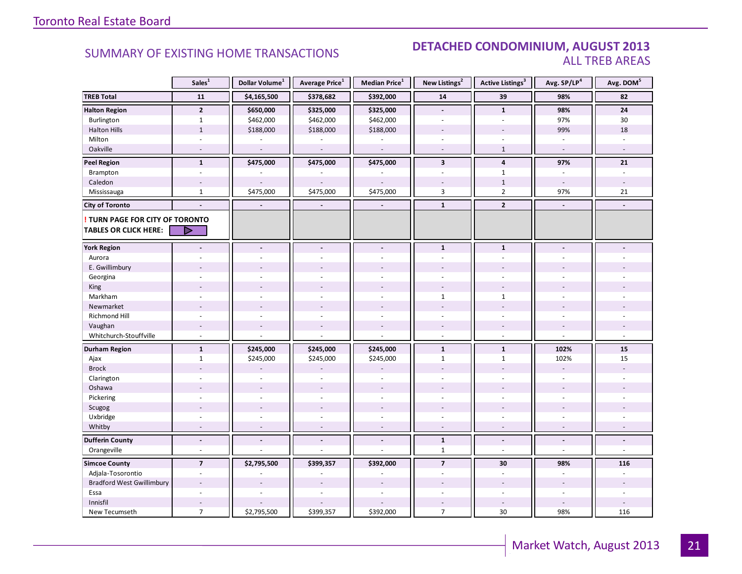#### SUMMARY OF EXISTING HOME TRANSACTIONS **DETACHED CONDOMINIUM, AUGUST 2013** ALL TREB AREAS

|                                                               | Sales <sup>1</sup>       | Dollar Volume <sup>1</sup> | <b>Average Price</b> <sup>1</sup> | Median Price <sup>1</sup> | New Listings <sup>2</sup> | <b>Active Listings<sup>3</sup></b> | Avg. SP/LP4              | Avg. DOM <sup>5</sup> |
|---------------------------------------------------------------|--------------------------|----------------------------|-----------------------------------|---------------------------|---------------------------|------------------------------------|--------------------------|-----------------------|
| <b>TREB Total</b>                                             | 11                       | \$4,165,500                | \$378,682                         | \$392,000                 | 14                        | 39                                 | 98%                      | 82                    |
| <b>Halton Region</b>                                          | $\overline{2}$           | \$650,000                  | \$325,000                         | \$325,000                 | $\blacksquare$            | $\mathbf{1}$                       | 98%                      | 24                    |
| Burlington                                                    | $\mathbf{1}$             | \$462,000                  | \$462,000                         | \$462,000                 | $\overline{a}$            | $\overline{a}$                     | 97%                      | 30                    |
| <b>Halton Hills</b>                                           | $\mathbf 1$              | \$188,000                  | \$188,000                         | \$188,000                 |                           |                                    | 99%                      | 18                    |
| Milton                                                        |                          |                            |                                   | ä,                        | ÷.                        |                                    |                          |                       |
| Oakville                                                      | $\sim$                   |                            | $\overline{\phantom{a}}$          | $\sim$                    | $\blacksquare$            | $\mathbf{1}$                       | $\overline{\phantom{a}}$ |                       |
| <b>Peel Region</b>                                            | $\mathbf{1}$             | \$475,000                  | \$475,000                         | \$475,000                 | $\overline{\mathbf{3}}$   | $\overline{a}$                     | 97%                      | 21                    |
| Brampton                                                      | $\bar{a}$                |                            |                                   |                           | ä,                        | $\mathbf{1}$                       | $\overline{\phantom{a}}$ | ä,                    |
| Caledon                                                       | $\overline{\phantom{a}}$ |                            |                                   |                           |                           | $\mathbf 1$                        | $\overline{\phantom{a}}$ |                       |
| Mississauga                                                   | $\mathbf{1}$             | \$475,000                  | \$475,000                         | \$475,000                 | 3                         | $\overline{2}$                     | 97%                      | 21                    |
| <b>City of Toronto</b>                                        | $\blacksquare$           | $\blacksquare$             | $\blacksquare$                    |                           | $\mathbf{1}$              | $\overline{2}$                     | $\blacksquare$           | $\blacksquare$        |
| TURN PAGE FOR CITY OF TORONTO<br><b>TABLES OR CLICK HERE:</b> | Þ                        |                            |                                   |                           |                           |                                    |                          |                       |
| <b>York Region</b>                                            |                          |                            | $\overline{a}$                    | $\overline{\phantom{a}}$  | $\mathbf{1}$              | $\mathbf{1}$                       |                          |                       |
| Aurora                                                        |                          |                            |                                   |                           |                           |                                    |                          |                       |
| E. Gwillimbury                                                |                          |                            |                                   |                           |                           |                                    |                          |                       |
| Georgina                                                      |                          |                            |                                   | ÷                         |                           |                                    |                          |                       |
| King                                                          |                          |                            |                                   |                           |                           |                                    |                          |                       |
| Markham                                                       | ÷,                       |                            | ÷                                 | $\sim$                    | $\mathbf{1}$              | $\mathbf{1}$                       |                          |                       |
| Newmarket                                                     |                          |                            |                                   |                           |                           |                                    |                          |                       |
| <b>Richmond Hill</b>                                          |                          |                            |                                   |                           |                           |                                    |                          |                       |
| Vaughan                                                       | $\overline{a}$           |                            | $\overline{a}$                    | $\overline{\phantom{a}}$  | $\overline{a}$            | $\overline{a}$                     |                          |                       |
| Whitchurch-Stouffville                                        | $\sim$                   |                            |                                   | ÷,                        | $\overline{\phantom{a}}$  | $\sim$                             |                          |                       |
| <b>Durham Region</b>                                          | $\mathbf{1}$             | \$245,000                  | \$245,000                         | \$245,000                 | $\mathbf 1$               | $\mathbf 1$                        | 102%                     | 15                    |
| Ajax                                                          | $\mathbf{1}$             | \$245,000                  | \$245,000                         | \$245,000                 | $\mathbf{1}$              | $\mathbf{1}$                       | 102%                     | 15                    |
| <b>Brock</b>                                                  |                          |                            |                                   |                           |                           |                                    |                          |                       |
| Clarington                                                    |                          |                            |                                   |                           |                           |                                    |                          |                       |
| Oshawa                                                        |                          |                            | $\overline{a}$                    |                           |                           |                                    |                          |                       |
| Pickering                                                     | $\overline{a}$           |                            | ÷.                                | $\overline{a}$            | $\overline{a}$            | ä,                                 |                          |                       |
| Scugog                                                        |                          |                            | ÷,                                | $\overline{a}$            |                           |                                    |                          |                       |
| Uxbridge                                                      |                          |                            |                                   |                           |                           |                                    |                          |                       |
| Whitby                                                        |                          |                            |                                   |                           |                           |                                    |                          |                       |
| <b>Dufferin County</b>                                        | $\frac{1}{2}$            | $\blacksquare$             | $\overline{a}$                    | $\blacksquare$            | $\mathbf{1}$              | $\overline{a}$                     | $\blacksquare$           | ÷.                    |
| Orangeville                                                   | $\overline{a}$           |                            |                                   | L.                        | $\mathbf{1}$              | $\overline{a}$                     | $\overline{a}$           | ÷.                    |
| <b>Simcoe County</b>                                          | $\overline{7}$           | \$2,795,500                | \$399,357                         | \$392,000                 | $\overline{7}$            | 30                                 | 98%                      | 116                   |
| Adjala-Tosorontio                                             | ÷,                       |                            |                                   |                           | ä,                        | $\sim$                             |                          |                       |
| <b>Bradford West Gwillimbury</b>                              | $\overline{\phantom{a}}$ |                            |                                   |                           |                           |                                    |                          |                       |
| Essa                                                          | ÷.                       |                            | L.                                | $\overline{a}$            | ä,                        | ä,                                 | $\overline{a}$           |                       |
| Innisfil                                                      |                          |                            |                                   |                           |                           | $\sim$                             |                          |                       |
| New Tecumseth                                                 | $\overline{7}$           | \$2,795,500                | \$399,357                         | \$392,000                 | $\overline{7}$            | $30\,$                             | 98%                      | 116                   |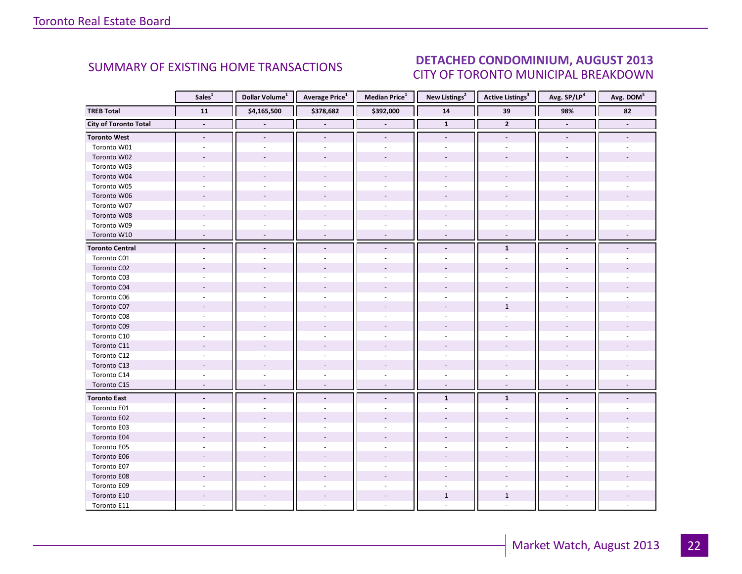#### ALIGUST 2012 CITY OF TORONTO MUNICIPAL BREAKDOWN SUMMARY OF EXISTING HOME TRANSACTIONS **DETACHED CONDOMINIUM, AUGUST 2013**

<span id="page-21-0"></span>

|                              | Sales <sup>1</sup>       | Dollar Volume <sup>1</sup> | <b>Average Price</b> <sup>1</sup> | <b>Median Price</b> <sup>1</sup> | New Listings <sup>2</sup> | <b>Active Listings</b> <sup>3</sup> | Avg. SP/LP <sup>4</sup> | Avg. DOM <sup>5</sup> |
|------------------------------|--------------------------|----------------------------|-----------------------------------|----------------------------------|---------------------------|-------------------------------------|-------------------------|-----------------------|
| <b>TREB Total</b>            | $\overline{11}$          | \$4,165,500                | \$378,682                         | \$392,000                        | ${\bf 14}$                | 39                                  | 98%                     | $\overline{82}$       |
| <b>City of Toronto Total</b> | $\blacksquare$           |                            | $\blacksquare$                    | $\blacksquare$                   | $\mathbf{1}$              | $\overline{2}$                      | $\blacksquare$          | $\blacksquare$        |
| <b>Toronto West</b>          | $\blacksquare$           | $\overline{\phantom{a}}$   | $\overline{\phantom{a}}$          | $\blacksquare$                   | $\overline{\phantom{a}}$  | $\overline{\phantom{a}}$            | $\blacksquare$          |                       |
| Toronto W01                  |                          |                            |                                   | ÷,                               |                           |                                     |                         |                       |
| Toronto W02                  |                          |                            |                                   |                                  |                           |                                     |                         |                       |
| Toronto W03                  |                          |                            |                                   |                                  |                           |                                     |                         |                       |
| Toronto W04                  |                          |                            |                                   |                                  |                           |                                     |                         |                       |
| Toronto W05                  |                          |                            |                                   | $\sim$                           |                           |                                     |                         |                       |
| Toronto W06                  |                          |                            |                                   |                                  |                           |                                     |                         |                       |
| Toronto W07                  |                          |                            |                                   |                                  |                           |                                     |                         |                       |
| Toronto W08                  |                          |                            |                                   |                                  |                           |                                     |                         |                       |
| Toronto W09                  |                          |                            |                                   |                                  |                           |                                     |                         |                       |
| Toronto W10                  |                          |                            |                                   |                                  |                           |                                     |                         |                       |
| <b>Toronto Central</b>       | $\overline{a}$           | $\overline{\phantom{a}}$   | $\overline{\phantom{a}}$          | $\overline{a}$                   |                           | $\mathbf{1}$                        |                         |                       |
| Toronto C01                  |                          |                            |                                   |                                  |                           |                                     |                         |                       |
| Toronto C02                  |                          |                            |                                   |                                  |                           |                                     |                         |                       |
| Toronto C03                  |                          |                            |                                   | $\overline{\phantom{a}}$         |                           |                                     |                         |                       |
| Toronto C04                  |                          |                            |                                   |                                  |                           |                                     |                         |                       |
| Toronto C06                  |                          |                            |                                   |                                  |                           |                                     |                         |                       |
| Toronto C07                  |                          |                            |                                   |                                  |                           | $\mathbf{1}$                        |                         |                       |
| Toronto C08                  |                          |                            |                                   | ä,                               |                           |                                     |                         |                       |
| Toronto C09                  |                          |                            |                                   |                                  |                           |                                     |                         |                       |
| Toronto C10                  |                          |                            |                                   |                                  |                           |                                     |                         |                       |
| Toronto C11                  |                          |                            |                                   |                                  |                           |                                     |                         |                       |
| Toronto C12                  |                          |                            |                                   | $\overline{\phantom{a}}$         | $\overline{\phantom{a}}$  | ÷,                                  |                         |                       |
| Toronto C13                  |                          |                            |                                   |                                  |                           |                                     |                         |                       |
| Toronto C14                  |                          |                            |                                   | ÷.                               |                           |                                     |                         |                       |
| Toronto C15                  | $\sim$                   | $\sim$                     | $\sim$                            | $\sim$                           | $\sim$                    | $\overline{\phantom{a}}$            | $\sim$                  |                       |
| <b>Toronto East</b>          | $\overline{\phantom{a}}$ | $\overline{\phantom{a}}$   | $\overline{\phantom{a}}$          | $\blacksquare$                   | $\mathbf{1}$              | $\mathbf{1}$                        |                         |                       |
| Toronto E01                  |                          |                            |                                   |                                  |                           |                                     |                         |                       |
| Toronto E02                  |                          |                            |                                   |                                  |                           |                                     |                         |                       |
| Toronto E03                  |                          |                            |                                   |                                  |                           |                                     |                         |                       |
| Toronto E04                  |                          |                            |                                   |                                  |                           |                                     |                         |                       |
| Toronto E05                  |                          |                            |                                   |                                  |                           |                                     |                         |                       |
| Toronto E06                  |                          |                            |                                   |                                  |                           |                                     |                         |                       |
| Toronto E07                  |                          |                            |                                   |                                  |                           |                                     |                         |                       |
| Toronto E08                  |                          |                            |                                   |                                  |                           |                                     |                         |                       |
| Toronto E09                  |                          |                            |                                   |                                  |                           |                                     |                         |                       |
| Toronto E10                  |                          |                            |                                   |                                  | $\mathbf{1}$              | $\mathbf{1}$                        |                         |                       |
| Toronto E11                  |                          |                            |                                   |                                  |                           |                                     |                         |                       |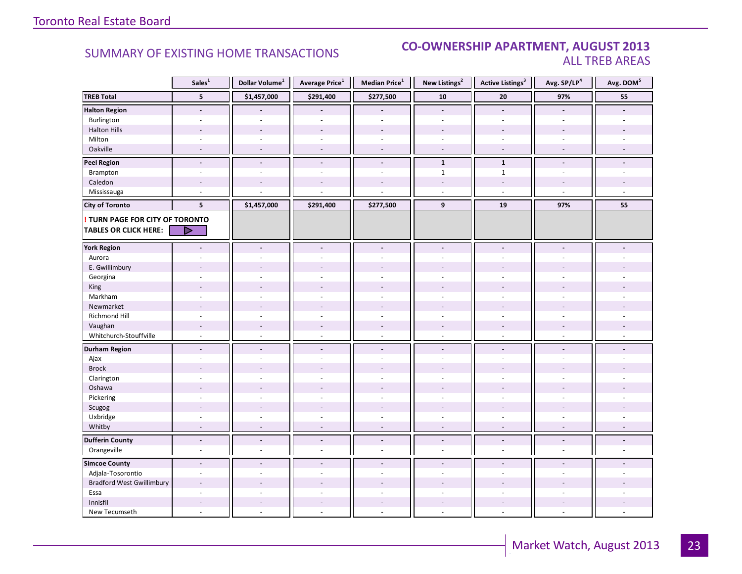#### **Industrial Leasing CO-OWNERSHIP APARTMENT, AUGUST 2013**<br>ALL TREB AREAS ALL TREB AREAS

|                                  | Sales <sup>1</sup>       | Dollar Volume <sup>1</sup> | Average Price <sup>1</sup> | Median Price <sup>1</sup> | New Listings <sup>2</sup> | <b>Active Listings<sup>3</sup></b> | Avg. SP/LP <sup>4</sup> | Avg. DOM <sup>5</sup> |
|----------------------------------|--------------------------|----------------------------|----------------------------|---------------------------|---------------------------|------------------------------------|-------------------------|-----------------------|
| <b>TREB Total</b>                | 5                        | \$1,457,000                | \$291,400                  | \$277,500                 | 10                        | 20                                 | 97%                     | 55                    |
| <b>Halton Region</b>             | $\overline{\phantom{a}}$ |                            |                            |                           | $\overline{\phantom{a}}$  | $\blacksquare$                     |                         |                       |
| Burlington                       | $\overline{a}$           | $\overline{a}$             | ÷.                         | $\sim$                    | ÷.                        | ÷.                                 | ÷.                      |                       |
| <b>Halton Hills</b>              |                          |                            |                            |                           |                           |                                    |                         |                       |
| Milton                           | $\sim$                   | $\sim$                     | $\bar{a}$                  | $\sim$                    | $\overline{\phantom{a}}$  | $\sim$                             |                         |                       |
| Oakville                         | $\sim$                   | $\overline{a}$             | ÷,                         | $\overline{\phantom{a}}$  | $\sim$                    | $\overline{\phantom{a}}$           | $\sim$                  |                       |
| <b>Peel Region</b>               | $\overline{a}$           | $\blacksquare$             | $\overline{a}$             | $\blacksquare$            | $\mathbf{1}$              | $\mathbf{1}$                       | $\blacksquare$          | $\overline{a}$        |
| Brampton                         | $\sim$                   | $\sim$                     | $\bar{a}$                  | $\sim$                    | $\mathbf 1$               | $\mathbf{1}$                       | $\sim$                  |                       |
| Caledon                          | $\sim$                   |                            |                            |                           | ٠                         | $\sim$                             |                         |                       |
| Mississauga                      | $\sim$                   |                            |                            |                           | $\overline{\phantom{a}}$  | $\omega$                           | $\sim$                  | ÷.                    |
| <b>City of Toronto</b>           | 5                        | \$1,457,000                | \$291,400                  | \$277,500                 | 9                         | 19                                 | 97%                     | 55                    |
| TURN PAGE FOR CITY OF TORONTO    |                          |                            |                            |                           |                           |                                    |                         |                       |
| <b>TABLES OR CLICK HERE:</b>     | ▷                        |                            |                            |                           |                           |                                    |                         |                       |
| <b>York Region</b>               |                          | $\overline{a}$             | $\frac{1}{2}$              | $\blacksquare$            | $\overline{a}$            | $\overline{a}$                     |                         |                       |
|                                  |                          |                            |                            |                           |                           |                                    |                         |                       |
| Aurora                           |                          |                            |                            |                           |                           |                                    |                         |                       |
| E. Gwillimbury                   |                          |                            |                            |                           |                           |                                    |                         |                       |
| Georgina                         |                          |                            |                            | $\overline{a}$            |                           |                                    |                         |                       |
| King                             |                          |                            |                            |                           |                           |                                    |                         |                       |
| Markham                          | $\bar{a}$                | $\sim$                     | ÷,                         | $\sim$                    | ÷.                        | $\sim$                             |                         |                       |
| Newmarket                        |                          |                            |                            |                           |                           |                                    |                         |                       |
| Richmond Hill                    |                          |                            |                            |                           |                           |                                    |                         |                       |
| Vaughan                          | $\sim$                   | $\overline{\phantom{a}}$   | $\overline{\phantom{a}}$   | $\sim$                    | $\overline{\phantom{a}}$  | $\overline{a}$                     |                         |                       |
| Whitchurch-Stouffville           | $\sim$                   | $\sim$                     | ÷,                         | $\omega$                  | $\omega$                  | $\omega$                           | ÷.                      |                       |
| <b>Durham Region</b>             | $\overline{\phantom{a}}$ | $\blacksquare$             | $\overline{a}$             | $\blacksquare$            | $\overline{\phantom{a}}$  | $\blacksquare$                     | $\blacksquare$          |                       |
| Ajax                             | $\sim$                   |                            |                            | $\overline{a}$            | ÷.                        |                                    |                         |                       |
| <b>Brock</b>                     |                          |                            |                            |                           |                           |                                    |                         |                       |
| Clarington                       |                          |                            |                            |                           |                           |                                    |                         |                       |
| Oshawa                           | $\overline{a}$           |                            |                            |                           |                           |                                    |                         |                       |
| Pickering                        | $\bar{a}$                |                            |                            | ÷,                        | ÷,                        | ÷,                                 |                         |                       |
| Scugog                           |                          |                            |                            |                           |                           |                                    |                         |                       |
| Uxbridge                         | $\sim$                   |                            | L.                         | $\overline{a}$            | ÷                         | ä,                                 |                         |                       |
| Whitby                           | ۰                        |                            | ÷,                         |                           | ÷,                        | $\overline{\phantom{a}}$           |                         |                       |
| <b>Dufferin County</b>           | $\overline{a}$           | $\overline{a}$             | $\overline{a}$             | $\blacksquare$            | $\overline{a}$            | $\overline{a}$                     | $\overline{a}$          | L.                    |
| Orangeville                      | $\sim$                   | ÷.                         | L.                         | $\overline{a}$            | ÷                         | $\sim$                             | $\sim$                  | $\overline{a}$        |
| <b>Simcoe County</b>             | $\blacksquare$           | $\blacksquare$             | $\overline{a}$             | $\overline{a}$            | $\blacksquare$            | $\overline{a}$                     |                         |                       |
| Adjala-Tosorontio                | $\sim$                   |                            |                            |                           | ÷                         | ä,                                 |                         |                       |
| <b>Bradford West Gwillimbury</b> |                          |                            |                            |                           |                           |                                    |                         |                       |
| Essa                             | ÷.                       |                            | L.                         | $\overline{a}$            | ÷                         | ÷.                                 |                         |                       |
| Innisfil                         |                          |                            |                            |                           |                           |                                    |                         |                       |
| New Tecumseth                    | $\overline{a}$           |                            | L.                         |                           | ÷                         | $\overline{a}$                     |                         |                       |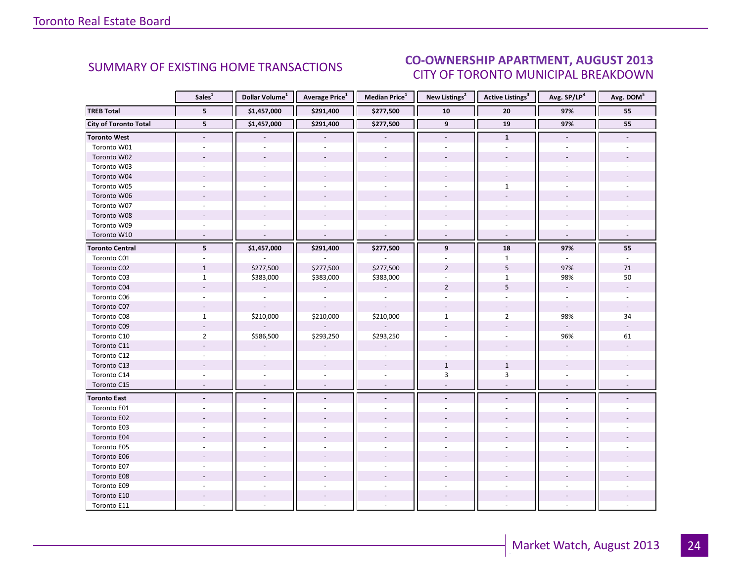#### $\overline{I}$  and  $\overline{I}$  and  $\overline{I}$  and  $\overline{I}$ CITY OF TORONTO MUNICIPAL BREAKDOWN SUMMARY OF EXISTING HOME TRANSACTIONS **CO-OWNERSHIP APARTMENT, AUGUST 2013**

<span id="page-23-0"></span>

|                              | Sales <sup>1</sup>       | Dollar Volume <sup>1</sup> | <b>Average Price</b> <sup>1</sup> | <b>Median Price</b> <sup>1</sup> | New Listings <sup>2</sup> | <b>Active Listings<sup>3</sup></b> | Avg. SP/LP <sup>4</sup>  | Avg. DOM <sup>5</sup> |
|------------------------------|--------------------------|----------------------------|-----------------------------------|----------------------------------|---------------------------|------------------------------------|--------------------------|-----------------------|
| <b>TREB Total</b>            | 5                        | \$1,457,000                | \$291,400                         | \$277,500                        | 10                        | 20                                 | 97%                      | 55                    |
| <b>City of Toronto Total</b> | $5\phantom{.0}$          | \$1,457,000                | \$291,400                         | \$277,500                        | 9                         | 19                                 | 97%                      |                       |
| <b>Toronto West</b>          | $\blacksquare$           |                            |                                   | $\overline{\phantom{a}}$         | $\overline{\phantom{a}}$  | $\mathbf{1}$                       | $\blacksquare$           |                       |
| Toronto W01                  |                          |                            |                                   |                                  |                           |                                    |                          |                       |
| Toronto W02                  |                          |                            |                                   |                                  |                           |                                    |                          |                       |
| Toronto W03                  |                          |                            |                                   | $\bar{a}$                        |                           |                                    |                          |                       |
| Toronto W04                  |                          |                            |                                   |                                  |                           |                                    |                          |                       |
| Toronto W05                  |                          |                            |                                   |                                  |                           | $\mathbf{1}$                       |                          |                       |
| Toronto W06                  |                          |                            |                                   |                                  |                           |                                    |                          |                       |
| Toronto W07                  |                          |                            |                                   | $\overline{a}$                   |                           | $\overline{a}$                     |                          |                       |
| Toronto W08                  |                          |                            |                                   |                                  |                           |                                    |                          |                       |
| Toronto W09                  |                          |                            |                                   |                                  |                           |                                    |                          |                       |
| Toronto W10                  |                          |                            |                                   | $\sim$                           |                           | $\sim$                             | $\sim$                   |                       |
| <b>Toronto Central</b>       | 5                        | \$1,457,000                | \$291,400                         | \$277,500                        | 9                         | 18                                 | 97%                      | 55                    |
| Toronto C01                  |                          |                            |                                   |                                  |                           | $\mathbf{1}$                       |                          |                       |
| Toronto C02                  | $\mathbf{1}$             | \$277,500                  | \$277,500                         | \$277,500                        | $\overline{2}$            | 5                                  | 97%                      | 71                    |
| Toronto C03                  | $\mathbf{1}$             | \$383,000                  | \$383,000                         | \$383,000                        |                           | $\mathbf{1}$                       | 98%                      | 50                    |
| Toronto C04                  |                          |                            |                                   |                                  | $\overline{2}$            | 5                                  | $\overline{\phantom{a}}$ |                       |
| Toronto C06                  |                          |                            |                                   |                                  |                           |                                    |                          |                       |
| Toronto C07                  |                          |                            |                                   |                                  |                           |                                    | $\blacksquare$           |                       |
| Toronto C08                  | $\mathbf{1}$             | \$210,000                  | \$210,000                         | \$210,000                        | $\mathbf{1}$              | $\overline{2}$                     | 98%                      | 34                    |
| Toronto C09                  |                          |                            |                                   |                                  |                           |                                    | $\omega$                 |                       |
| Toronto C10                  | $\overline{2}$           | \$586,500                  | \$293,250                         | \$293,250                        |                           |                                    | 96%                      | 61                    |
| Toronto C11                  |                          |                            |                                   |                                  |                           |                                    | $\mathcal{L}^{\pm}$      |                       |
| Toronto C12                  |                          |                            |                                   |                                  |                           |                                    |                          |                       |
| Toronto C13                  |                          |                            |                                   |                                  | $\mathbf{1}$              | $\mathbf{1}$                       |                          |                       |
| Toronto C14                  |                          |                            |                                   |                                  | $\overline{3}$            | $\overline{3}$                     |                          |                       |
| Toronto C15                  | $\overline{\phantom{a}}$ | $\sim$                     |                                   | $\overline{\phantom{a}}$         |                           |                                    |                          |                       |
| <b>Toronto East</b>          | $\overline{\phantom{a}}$ | $\overline{\phantom{a}}$   | $\blacksquare$                    | $\overline{\phantom{a}}$         | $\overline{\phantom{a}}$  | $\overline{\phantom{a}}$           |                          |                       |
| Toronto E01                  |                          |                            |                                   |                                  |                           |                                    |                          |                       |
| Toronto E02                  |                          |                            |                                   |                                  |                           |                                    |                          |                       |
| Toronto E03                  |                          |                            |                                   |                                  |                           |                                    |                          |                       |
| Toronto E04                  |                          |                            |                                   |                                  |                           |                                    |                          |                       |
| Toronto E05                  |                          |                            |                                   | $\overline{a}$                   |                           |                                    |                          |                       |
| Toronto E06                  |                          |                            |                                   |                                  |                           |                                    |                          |                       |
| Toronto E07                  |                          |                            |                                   |                                  |                           |                                    |                          |                       |
| Toronto E08                  |                          |                            |                                   |                                  |                           |                                    |                          |                       |
| Toronto E09                  |                          |                            |                                   |                                  |                           |                                    |                          |                       |
| Toronto E10                  |                          |                            |                                   |                                  |                           | $\overline{\phantom{a}}$           |                          |                       |
| Toronto E11                  |                          |                            |                                   |                                  |                           |                                    |                          |                       |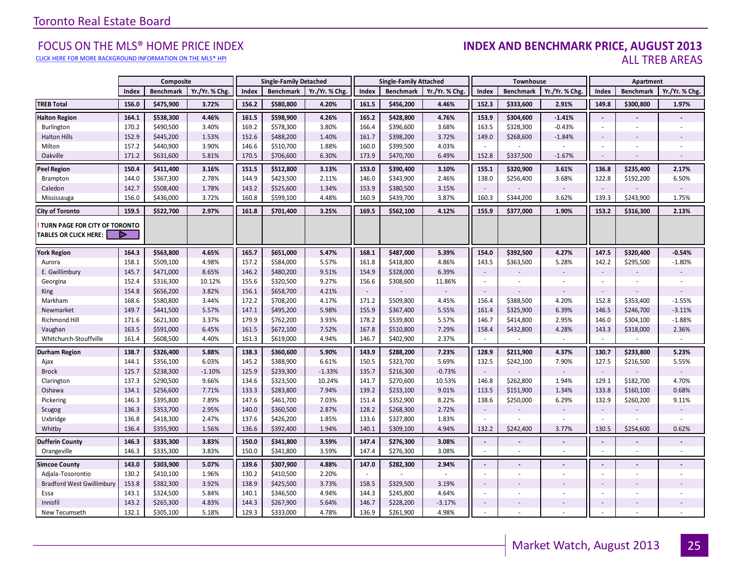[CLICK HERE FOR MORE BACKGROUND INFORMATION ON THE MLS® HPI](http://www.torontorealestateboard.com/market_news/home_price_index/index.htm)

#### FOCUS ON THE MLS® HOME PRICE INDEX **INDEX AND BENCHMARK PRICE, AUGUST 2013**<br>Elick here for more background information on the mls® hpi ALL TREB AREAS

|                                                               | Composite |                  |                | <b>Single-Family Detached</b> |                  |                | <b>Single-Family Attached</b> |                  |                | Townhouse                |                  |                          | Apartment                |                          |                |
|---------------------------------------------------------------|-----------|------------------|----------------|-------------------------------|------------------|----------------|-------------------------------|------------------|----------------|--------------------------|------------------|--------------------------|--------------------------|--------------------------|----------------|
|                                                               | Index     | <b>Benchmark</b> | Yr./Yr. % Chg. | Index                         | <b>Benchmark</b> | Yr./Yr. % Chg. | Index                         | <b>Benchmark</b> | Yr./Yr. % Chg. | Index                    | <b>Benchmark</b> | Yr./Yr. % Chg            | Index                    | <b>Benchmark</b>         | Yr./Yr. % Chg. |
| <b>TREB Total</b>                                             | 156.0     | \$475,900        | 3.72%          | 156.2                         | \$580,800        | 4.20%          | 161.5                         | \$456,200        | 4.46%          | 152.3                    | \$333,600        | 2.91%                    | 149.8                    | \$300,800                | 1.97%          |
| <b>Halton Region</b>                                          | 164.1     | \$538,300        | 4.46%          | 161.5                         | \$598,900        | 4.26%          | 165.2                         | \$428,800        | 4.76%          | 153.9                    | \$304,600        | $-1.41%$                 | $\sim$                   |                          |                |
| Burlington                                                    | 170.2     | \$490,500        | 3.40%          | 169.2                         | \$578,300        | 3.80%          | 166.4                         | \$396,600        | 3.68%          | 163.5                    | \$328,300        | $-0.43%$                 | $\sim$                   |                          |                |
| <b>Halton Hills</b>                                           | 152.9     | \$445,200        | 1.53%          | 152.6                         | \$488,200        | 1.40%          | 161.7                         | \$398,200        | 3.72%          | 149.0                    | \$268,600        | $-1.84%$                 | $\sim$                   |                          |                |
| Milton                                                        | 157.2     | \$440,900        | 3.90%          | 146.6                         | \$510,700        | 1.88%          | 160.0                         | \$399,500        | 4.03%          | ×.                       |                  | ×.                       |                          | ä,                       |                |
| Oakville                                                      | 171.2     | \$631,600        | 5.81%          | 170.5                         | \$706,600        | 6.30%          | 173.9                         | \$470,700        | 6.49%          | 152.8                    | \$337,500        | $-1.67%$                 | $\sim$                   | $\overline{\phantom{a}}$ | $\sim$         |
| <b>Peel Region</b>                                            | 150.4     | \$411,400        | 3.16%          | 151.5                         | \$512,800        | 3.13%          | 153.0                         | \$390,400        | 3.10%          | 155.1                    | \$320,900        | 3.61%                    | 136.8                    | \$235,400                | 2.17%          |
| Brampton                                                      | 144.0     | \$367,300        | 2.78%          | 144.9                         | \$423,500        | 2.11%          | 146.0                         | \$343,900        | 2.46%          | 138.0                    | \$256,400        | 3.68%                    | 122.8                    | \$192,200                | 6.50%          |
| Caledon                                                       | 142.7     | \$508,400        | 1.78%          | 143.2                         | \$525,600        | 1.34%          | 153.9                         | \$380,500        | 3.15%          | $\sim$                   |                  |                          | $\sim$                   |                          |                |
| Mississauga                                                   | 156.0     | \$436,000        | 3.72%          | 160.8                         | \$599,100        | 4.48%          | 160.9                         | \$439,700        | 3.87%          | 160.3                    | \$344,200        | 3.62%                    | 139.3                    | \$243,900                | 1.75%          |
| <b>City of Toronto</b>                                        | 159.5     | \$522,700        | 2.97%          | 161.8                         | \$701,400        | 3.25%          | 169.5                         | \$562,100        | 4.12%          | 155.9                    | \$377,000        | 1.90%                    | 153.2                    | \$316,300                | 2.13%          |
| TURN PAGE FOR CITY OF TORONTO<br><b>TABLES OR CLICK HERE:</b> | ▶         |                  |                |                               |                  |                |                               |                  |                |                          |                  |                          |                          |                          |                |
| <b>York Region</b>                                            | 164.3     | \$563,800        | 4.65%          | 165.7                         | \$651,000        | 5.47%          | 168.1                         | \$487,000        | 5.39%          | 154.0                    | \$392,500        | 4.27%                    | 147.5                    | \$320,400                | $-0.54%$       |
| Aurora                                                        | 158.1     | \$509,100        | 4.98%          | 157.2                         | \$584,000        | 5.57%          | 161.8                         | \$418,800        | 4.86%          | 143.5                    | \$363,500        | 5.28%                    | 142.2                    | \$295,500                | $-1.80%$       |
| E. Gwillimbury                                                | 145.7     | \$471,000        | 8.65%          | 146.2                         | \$480,200        | 9.51%          | 154.9                         | \$328,000        | 6.39%          | $\overline{\phantom{a}}$ |                  |                          | $\overline{\phantom{a}}$ |                          |                |
| Georgina                                                      | 152.4     | \$316,300        | 10.12%         | 155.6                         | \$320,500        | 9.27%          | 156.6                         | \$308,600        | 11.86%         | $\sim$                   |                  | $\overline{\phantom{a}}$ | $\omega$                 | ÷,                       |                |
| King                                                          | 154.8     | \$656,200        | 3.82%          | 156.1                         | \$658,700        | 4.21%          | $\sim$                        |                  |                | $\sim$                   |                  | $\sim$                   | $\sim$                   |                          |                |
| Markham                                                       | 168.6     | \$580,800        | 3.44%          | 172.2                         | \$708,200        | 4.17%          | 171.2                         | \$509,800        | 4.45%          | 156.4                    | \$388,500        | 4.20%                    | 152.8                    | \$353,400                | $-1.55%$       |
| Newmarket                                                     | 149.7     | \$441,500        | 5.57%          | 147.1                         | \$495,200        | 5.98%          | 155.9                         | \$367,400        | 5.55%          | 161.4                    | \$325,900        | 6.39%                    | 146.5                    | \$246,700                | $-3.11%$       |
| Richmond Hill                                                 | 171.6     | \$621,300        | 3.37%          | 179.9                         | \$762,200        | 3.93%          | 178.2                         | \$539,800        | 5.57%          | 146.7                    | \$414,800        | 2.95%                    | 146.0                    | \$304,100                | $-1.88%$       |
| Vaughan                                                       | 163.5     | \$591,000        | 6.45%          | 161.5                         | \$672,100        | 7.52%          | 167.8                         | \$510,800        | 7.29%          | 158.4                    | \$432,800        | 4.28%                    | 143.3                    | \$318,000                | 2.36%          |
| Whitchurch-Stouffville                                        | 161.4     | \$608,500        | 4.40%          | 161.3                         | \$619,000        | 4.94%          | 146.7                         | \$402,900        | 2.37%          | $\sim$                   | $\sim$           | $\sim$                   | $\sim$                   | $\sim$                   | $\sim$         |
| <b>Durham Region</b>                                          | 138.7     | \$326,400        | 5.88%          | 138.3                         | \$360,600        | 5.90%          | 143.9                         | \$288,200        | 7.23%          | 128.9                    | \$211,900        | 4.37%                    | 130.7                    | \$233,800                | 5.23%          |
| Ajax                                                          | 144.1     | \$356,100        | 6.03%          | 145.2                         | \$388,900        | 6.61%          | 150.5                         | \$323,700        | 5.69%          | 132.5                    | \$242,100        | 7.90%                    | 127.5                    | \$216,500                | 5.55%          |
| <b>Brock</b>                                                  | 125.7     | \$238,300        | $-1.10%$       | 125.9                         | \$239,300        | $-1.33%$       | 135.7                         | \$216,300        | $-0.73%$       | $\overline{\phantom{a}}$ |                  | $\sim$                   | $\sim$                   |                          |                |
| Clarington                                                    | 137.3     | \$290,500        | 9.66%          | 134.6                         | \$323,500        | 10.24%         | 141.7                         | \$270,600        | 10.53%         | 146.8                    | \$262,800        | 1.94%                    | 129.1                    | \$182,700                | 4.70%          |
| Oshawa                                                        | 134.1     | \$256,600        | 7.71%          | 133.3                         | \$283,800        | 7.94%          | 139.2                         | \$233,100        | 9.01%          | 113.5                    | \$151,900        | 1.34%                    | 133.8                    | \$160,100                | 0.68%          |
| Pickering                                                     | 146.3     | \$395,800        | 7.89%          | 147.6                         | \$461,700        | 7.03%          | 151.4                         | \$352,900        | 8.22%          | 138.6                    | \$250,000        | 6.29%                    | 132.9                    | \$260,200                | 9.11%          |
| Scugog                                                        | 136.3     | \$353,700        | 2.95%          | 140.0                         | \$360,500        | 2.87%          | 128.2                         | \$268,300        | 2.72%          | $\sim$                   |                  | $\overline{\phantom{a}}$ | $\sim$                   |                          |                |
| Uxbridge                                                      | 136.8     | \$418,300        | 2.47%          | 137.6                         | \$426,200        | 1.85%          | 133.6                         | \$327,800        | 1.83%          |                          |                  | ×.                       |                          |                          |                |
| Whitby                                                        | 136.4     | \$355,900        | 1.56%          | 136.6                         | \$392,400        | 1.94%          | 140.1                         | \$309,100        | 4.94%          | 132.2                    | \$242,400        | 3.77%                    | 130.5                    | \$254,600                | 0.62%          |
| <b>Dufferin County</b>                                        | 146.3     | \$335,300        | 3.83%          | 150.0                         | \$341,800        | 3.59%          | 147.4                         | \$276,300        | 3.08%          | $\blacksquare$           |                  |                          | $\sim$                   | $\overline{a}$           |                |
| Orangeville                                                   | 146.3     | \$335,300        | 3.83%          | 150.0                         | \$341,800        | 3.59%          | 147.4                         | \$276,300        | 3.08%          | $\overline{\phantom{a}}$ | $\sim$           | $\mathbf{r}$             | $\sim$                   | ÷.                       | ÷              |
| <b>Simcoe County</b>                                          | 143.0     | \$303,900        | 5.07%          | 139.6                         | \$307,900        | 4.88%          | 147.0                         | \$282,300        | 2.94%          | $\blacksquare$           |                  |                          |                          |                          |                |
| Adjala-Tosorontio                                             | 130.2     | \$410,100        | 1.96%          | 130.2                         | \$410,500        | 2.20%          | $\sim$                        |                  | $\sim$         | $\sim$                   |                  | ×.                       | $\sim$                   | ÷,                       |                |
| <b>Bradford West Gwillimbury</b>                              | 153.8     | \$382,300        | 3.92%          | 138.9                         | \$425,500        | 3.73%          | 158.5                         | \$329,500        | 3.19%          | $\overline{\phantom{a}}$ |                  |                          |                          |                          |                |
| Essa                                                          | 143.1     | \$324,500        | 5.84%          | 140.1                         | \$346,500        | 4.94%          | 144.3                         | \$245,800        | 4.64%          | ×.                       |                  |                          | $\sim$                   |                          |                |
| Innisfil                                                      | 143.2     | \$265,300        | 4.83%          | 144.3                         | \$267,900        | 5.64%          | 146.7                         | \$228,200        | $-3.17%$       | $\overline{\phantom{a}}$ |                  |                          | $\sim$                   |                          |                |
| New Tecumseth                                                 | 132.1     | \$305,100        | 5.18%          | 129.3                         | \$333,000        | 4.78%          | 136.9                         | \$261,900        | 4.98%          | ×.                       |                  |                          |                          | ÷                        |                |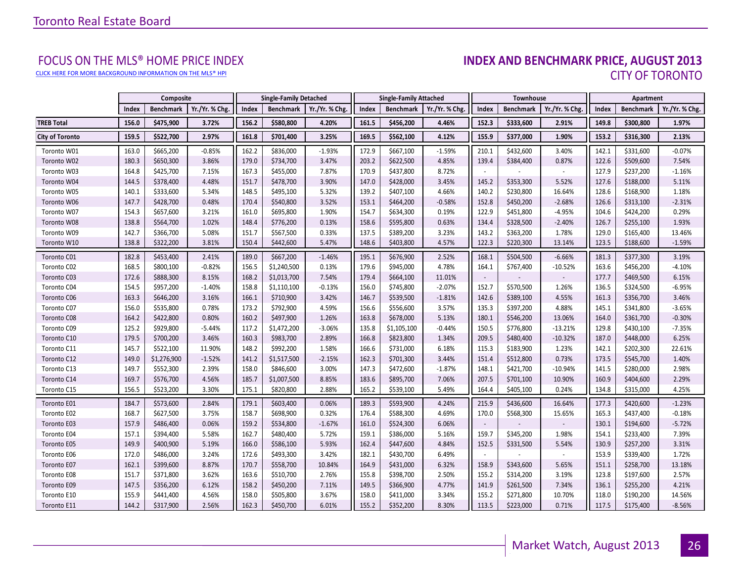[CLICK HERE FOR MORE BACKGROUND INFORMATION ON THE MLS® HPI](http://www.torontorealestateboard.com/market_news/home_price_index/index.htm)

## FOCUS ON THE MLS® HOME PRICE INDEX<br>**INDEX AND BENCHMARK PRICE, AUGUST 2013** CITY OF TORONTO

|                        |       | Composite   |                | <b>Single-Family Detached</b><br><b>Single-Family Attached</b> |                  | Townhouse      |       |                  | Apartment      |        |                  |                |       |                  |                |
|------------------------|-------|-------------|----------------|----------------------------------------------------------------|------------------|----------------|-------|------------------|----------------|--------|------------------|----------------|-------|------------------|----------------|
|                        | Index | Benchmark   | Yr./Yr. % Chg. | Index                                                          | <b>Benchmark</b> | Yr./Yr. % Chg. | Index | <b>Benchmark</b> | Yr./Yr. % Chg. | Index  | <b>Benchmark</b> | Yr./Yr. % Chg. | Index | <b>Benchmark</b> | Yr./Yr. % Chg. |
| <b>TREB Total</b>      | 156.0 | \$475,900   | 3.72%          | 156.2                                                          | \$580,800        | 4.20%          | 161.5 | \$456,200        | 4.46%          | 152.3  | \$333,600        | 2.91%          | 149.8 | \$300,800        | 1.97%          |
| <b>City of Toronto</b> | 159.5 | \$522,700   | 2.97%          | 161.8                                                          | \$701,400        | 3.25%          | 169.5 | \$562,100        | 4.12%          | 155.9  | \$377,000        | 1.90%          | 153.2 | \$316,300        | 2.13%          |
| Toronto W01            | 163.0 | \$665,200   | $-0.85%$       | 162.2                                                          | \$836,000        | $-1.93%$       | 172.9 | \$667,100        | $-1.59%$       | 210.1  | \$432,600        | 3.40%          | 142.1 | \$331,600        | $-0.07%$       |
| Toronto W02            | 180.3 | \$650,300   | 3.86%          | 179.0                                                          | \$734,700        | 3.47%          | 203.2 | \$622,500        | 4.85%          | 139.4  | \$384,400        | 0.87%          | 122.6 | \$509,600        | 7.54%          |
| Toronto W03            | 164.8 | \$425,700   | 7.15%          | 167.3                                                          | \$455,000        | 7.87%          | 170.9 | \$437,800        | 8.72%          |        |                  |                | 127.9 | \$237,200        | $-1.16%$       |
| Toronto W04            | 144.5 | \$378,400   | 4.48%          | 151.7                                                          | \$478,700        | 3.90%          | 147.0 | \$428,000        | 3.45%          | 145.2  | \$353,300        | 5.52%          | 127.6 | \$188,000        | 5.11%          |
| Toronto W05            | 140.1 | \$333,600   | 5.34%          | 148.5                                                          | \$495,100        | 5.32%          | 139.2 | \$407,100        | 4.66%          | 140.2  | \$230,800        | 16.64%         | 128.6 | \$168,900        | 1.18%          |
| Toronto W06            | 147.7 | \$428,700   | 0.48%          | 170.4                                                          | \$540,800        | 3.52%          | 153.1 | \$464,200        | $-0.58%$       | 152.8  | \$450,200        | $-2.68%$       | 126.6 | \$313,100        | $-2.31%$       |
| Toronto W07            | 154.3 | \$657,600   | 3.21%          | 161.0                                                          | \$695,800        | 1.90%          | 154.7 | \$634,300        | 0.19%          | 122.9  | \$451,800        | $-4.95%$       | 104.6 | \$424,200        | 0.29%          |
| Toronto W08            | 138.8 | \$564,700   | 1.02%          | 148.4                                                          | \$776,200        | 0.13%          | 158.6 | \$595,800        | 0.63%          | 134.4  | \$328,500        | $-2.40%$       | 126.7 | \$255,100        | 1.93%          |
| Toronto W09            | 142.7 | \$366,700   | 5.08%          | 151.7                                                          | \$567,500        | 0.33%          | 137.5 | \$389,200        | 3.23%          | 143.2  | \$363,200        | 1.78%          | 129.0 | \$165,400        | 13.46%         |
| Toronto W10            | 138.8 | \$322,200   | 3.81%          | 150.4                                                          | \$442,600        | 5.47%          | 148.6 | \$403,800        | 4.57%          | 122.3  | \$220,300        | 13.14%         | 123.5 | \$188,600        | $-1.59%$       |
| Toronto C01            | 182.8 | \$453,400   | 2.41%          | 189.0                                                          | \$667,200        | $-1.46%$       | 195.1 | \$676,900        | 2.52%          | 168.1  | \$504,500        | $-6.66%$       | 181.3 | \$377,300        | 3.19%          |
| Toronto C02            | 168.5 | \$800,100   | $-0.82%$       | 156.5                                                          | \$1,240,500      | 0.13%          | 179.6 | \$945,000        | 4.78%          | 164.1  | \$767,400        | $-10.52%$      | 163.6 | \$456,200        | $-4.10%$       |
| Toronto C03            | 172.6 | \$888,300   | 8.15%          | 168.2                                                          | \$1,013,700      | 7.54%          | 179.4 | \$664,100        | 11.01%         |        |                  |                | 177.7 | \$469,500        | 6.15%          |
| Toronto C04            | 154.5 | \$957,200   | $-1.40%$       | 158.8                                                          | \$1,110,100      | $-0.13%$       | 156.0 | \$745,800        | $-2.07%$       | 152.7  | \$570,500        | 1.26%          | 136.5 | \$324,500        | $-6.95%$       |
| Toronto C06            | 163.3 | \$646,200   | 3.16%          | 166.1                                                          | \$710,900        | 3.42%          | 146.7 | \$539,500        | $-1.81%$       | 142.6  | \$389,100        | 4.55%          | 161.3 | \$356,700        | 3.46%          |
| Toronto C07            | 156.0 | \$535,800   | 0.78%          | 173.2                                                          | \$792,900        | 4.59%          | 156.6 | \$556,600        | 3.57%          | 135.3  | \$397,200        | 4.88%          | 145.1 | \$341,800        | $-3.65%$       |
| Toronto C08            | 164.2 | \$422,800   | 0.80%          | 160.2                                                          | \$497,900        | 1.26%          | 163.8 | \$678,000        | 5.13%          | 180.1  | \$546,200        | 13.06%         | 164.0 | \$361,700        | $-0.30%$       |
| Toronto C09            | 125.2 | \$929,800   | $-5.44%$       | 117.2                                                          | \$1,472,200      | $-3.06%$       | 135.8 | \$1,105,100      | $-0.44%$       | 150.5  | \$776,800        | $-13.21%$      | 129.8 | \$430,100        | $-7.35%$       |
| Toronto C10            | 179.5 | \$700,200   | 3.46%          | 160.3                                                          | \$983,700        | 2.89%          | 166.8 | \$823,800        | 1.34%          | 209.5  | \$480,400        | $-10.32%$      | 187.0 | \$448,000        | 6.25%          |
| Toronto C11            | 145.7 | \$522,100   | 11.90%         | 148.2                                                          | \$992,200        | 1.58%          | 166.6 | \$731,000        | 6.18%          | 115.3  | \$183,900        | 1.23%          | 142.1 | \$202,300        | 22.61%         |
| Toronto C12            | 149.0 | \$1,276,900 | $-1.52%$       | 141.2                                                          | \$1,517,500      | $-2.15%$       | 162.3 | \$701,300        | 3.44%          | 151.4  | \$512,800        | 0.73%          | 173.5 | \$545,700        | 1.40%          |
| Toronto C13            | 149.7 | \$552,300   | 2.39%          | 158.0                                                          | \$846,600        | 3.00%          | 147.3 | \$472,600        | $-1.87%$       | 148.1  | \$421,700        | $-10.94%$      | 141.5 | \$280,000        | 2.98%          |
| Toronto C14            | 169.7 | \$576,700   | 4.56%          | 185.7                                                          | \$1,007,500      | 8.85%          | 183.6 | \$895,700        | 7.06%          | 207.5  | \$701,100        | 10.90%         | 160.9 | \$404,600        | 2.29%          |
| Toronto C15            | 156.5 | \$523,200   | 3.30%          | 175.1                                                          | \$820,800        | 2.88%          | 165.2 | \$539,100        | 5.49%          | 164.4  | \$405,100        | 0.24%          | 134.8 | \$315,000        | 4.25%          |
| Toronto E01            | 184.7 | \$573,600   | 2.84%          | 179.1                                                          | \$603,400        | 0.06%          | 189.3 | \$593,900        | 4.24%          | 215.9  | \$436,600        | 16.64%         | 177.3 | \$420,600        | $-1.23%$       |
| Toronto E02            | 168.7 | \$627,500   | 3.75%          | 158.7                                                          | \$698,900        | 0.32%          | 176.4 | \$588,300        | 4.69%          | 170.0  | \$568,300        | 15.65%         | 165.3 | \$437,400        | $-0.18%$       |
| Toronto E03            | 157.9 | \$486,400   | 0.06%          | 159.2                                                          | \$534,800        | $-1.67%$       | 161.0 | \$524,300        | 6.06%          |        |                  |                | 130.1 | \$194,600        | $-5.72%$       |
| Toronto E04            | 157.1 | \$394,400   | 5.58%          | 162.7                                                          | \$480,400        | 5.72%          | 159.1 | \$386,000        | 5.16%          | 159.7  | \$345,200        | 1.98%          | 154.1 | \$233,400        | 7.39%          |
| Toronto E05            | 149.9 | \$400,900   | 5.19%          | 166.0                                                          | \$586,100        | 5.93%          | 162.4 | \$447,600        | 4.84%          | 152.5  | \$331,500        | 5.54%          | 130.9 | \$257,200        | 3.31%          |
| Toronto E06            | 172.0 | \$486,000   | 3.24%          | 172.6                                                          | \$493,300        | 3.42%          | 182.1 | \$430,700        | 6.49%          | $\sim$ |                  |                | 153.9 | \$339,400        | 1.72%          |
| Toronto E07            | 162.1 | \$399,600   | 8.87%          | 170.7                                                          | \$558,700        | 10.84%         | 164.9 | \$431,000        | 6.32%          | 158.9  | \$343,600        | 5.65%          | 151.1 | \$258,700        | 13.18%         |
| Toronto E08            | 151.7 | \$371,800   | 3.62%          | 163.6                                                          | \$510,700        | 2.76%          | 155.8 | \$398,700        | 2.50%          | 155.2  | \$314,200        | 3.19%          | 123.8 | \$197,600        | 2.57%          |
| Toronto E09            | 147.5 | \$356,200   | 6.12%          | 158.2                                                          | \$450,200        | 7.11%          | 149.5 | \$366,900        | 4.77%          | 141.9  | \$261,500        | 7.34%          | 136.1 | \$255,200        | 4.21%          |
| Toronto E10            | 155.9 | \$441,400   | 4.56%          | 158.0                                                          | \$505,800        | 3.67%          | 158.0 | \$411,000        | 3.34%          | 155.2  | \$271,800        | 10.70%         | 118.0 | \$190,200        | 14.56%         |
| Toronto E11            | 144.2 | \$317,900   | 2.56%          | 162.3                                                          | \$450,700        | 6.01%          | 155.2 | \$352,200        | 8.30%          | 113.5  | \$223,000        | 0.71%          | 117.5 | \$175,400        | $-8.56%$       |